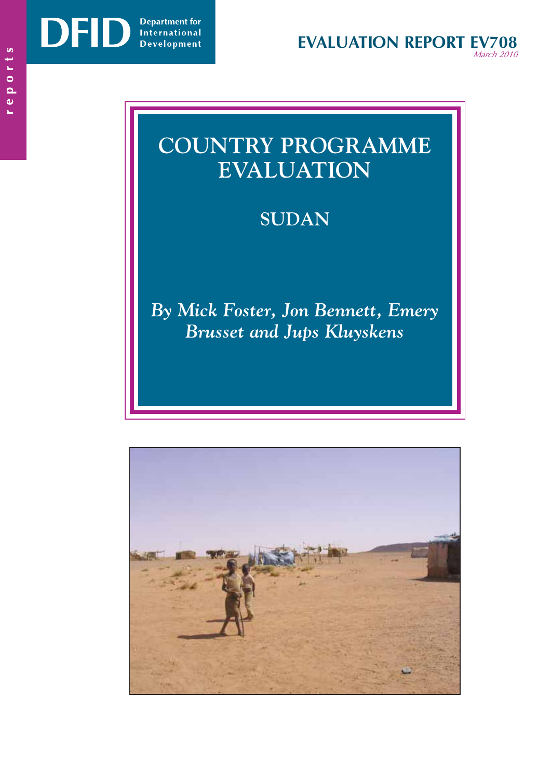DF

# **COUNTRY PROGRAMME EVALUATION**

# **SUDAN**

*By Mick Foster, Jon Bennett, Emery Brusset and Jups Kluyskens* 

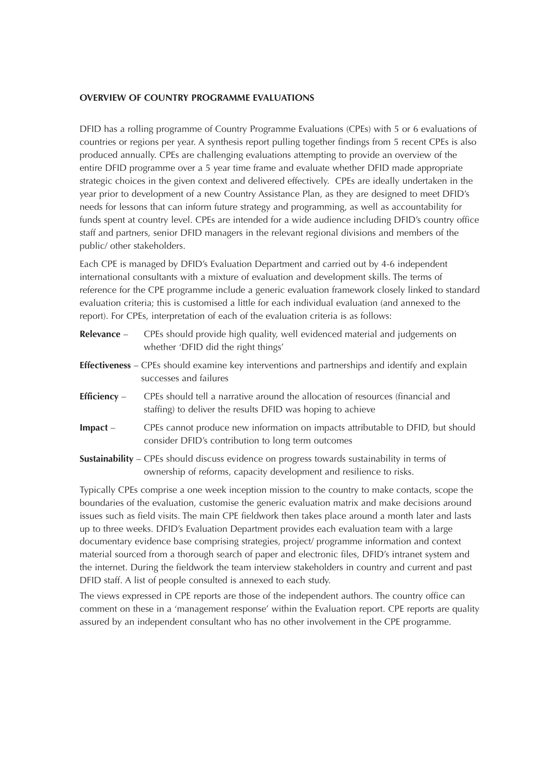#### **OVERVIEW OF COUNTRY PROGRAMME EVALUATIONS**

DFID has a rolling programme of Country Programme Evaluations (CPEs) with 5 or 6 evaluations of countries or regions per year. A synthesis report pulling together findings from 5 recent CPEs is also produced annually. CPEs are challenging evaluations attempting to provide an overview of the entire DFID programme over a 5 year time frame and evaluate whether DFID made appropriate strategic choices in the given context and delivered effectively. CPEs are ideally undertaken in the year prior to development of a new Country Assistance Plan, as they are designed to meet DFID's needs for lessons that can inform future strategy and programming, as well as accountability for funds spent at country level. CPEs are intended for a wide audience including DFID's country office staff and partners, senior DFID managers in the relevant regional divisions and members of the public/ other stakeholders.

Each CPE is managed by DFID's Evaluation Department and carried out by 4-6 independent international consultants with a mixture of evaluation and development skills. The terms of reference for the CPE programme include a generic evaluation framework closely linked to standard evaluation criteria; this is customised a little for each individual evaluation (and annexed to the report). For CPEs, interpretation of each of the evaluation criteria is as follows:

| Relevance -    | CPEs should provide high quality, well evidenced material and judgements on<br>whether 'DFID did the right things'                                                         |
|----------------|----------------------------------------------------------------------------------------------------------------------------------------------------------------------------|
|                | <b>Effectiveness</b> – CPEs should examine key interventions and partnerships and identify and explain<br>successes and failures                                           |
| Efficiency $-$ | CPEs should tell a narrative around the allocation of resources (financial and<br>staffing) to deliver the results DFID was hoping to achieve                              |
| $Im$ pact $-$  | CPEs cannot produce new information on impacts attributable to DFID, but should<br>consider DFID's contribution to long term outcomes                                      |
|                | <b>Sustainability</b> – CPEs should discuss evidence on progress towards sustainability in terms of<br>ownership of reforms, capacity development and resilience to risks. |
|                | Typically CPEs comprise a one week inception mission to the country to make contacts, scope the                                                                            |

Typically CPEs comprise a one week inception mission to the country to make contacts, scope the boundaries of the evaluation, customise the generic evaluation matrix and make decisions around issues such as field visits. The main CPE fieldwork then takes place around a month later and lasts up to three weeks. DFID's Evaluation Department provides each evaluation team with a large documentary evidence base comprising strategies, project/ programme information and context material sourced from a thorough search of paper and electronic files, DFID's intranet system and the internet. During the fieldwork the team interview stakeholders in country and current and past DFID staff. A list of people consulted is annexed to each study.

The views expressed in CPE reports are those of the independent authors. The country office can comment on these in a 'management response' within the Evaluation report. CPE reports are quality assured by an independent consultant who has no other involvement in the CPE programme.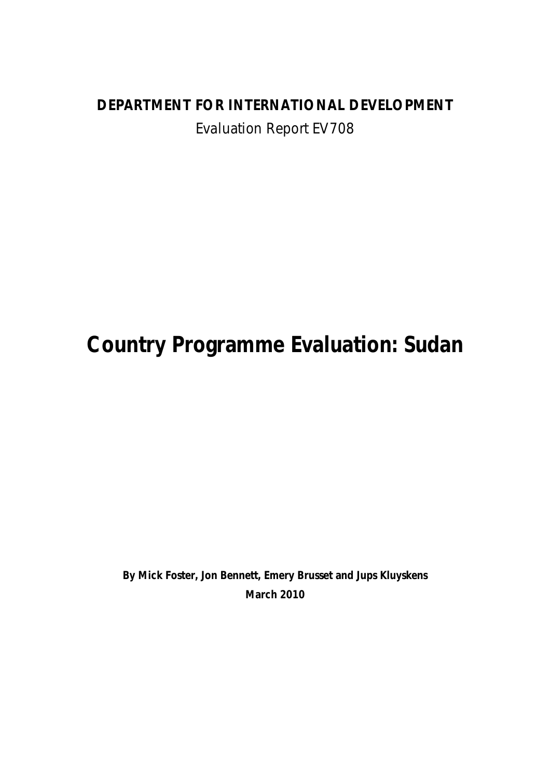# **DEPARTMENT FOR INTERNATIONAL DEVELOPMENT**  Evaluation Report EV708

# **Country Programme Evaluation: Sudan**

**By Mick Foster, Jon Bennett, Emery Brusset and Jups Kluyskens March 2010**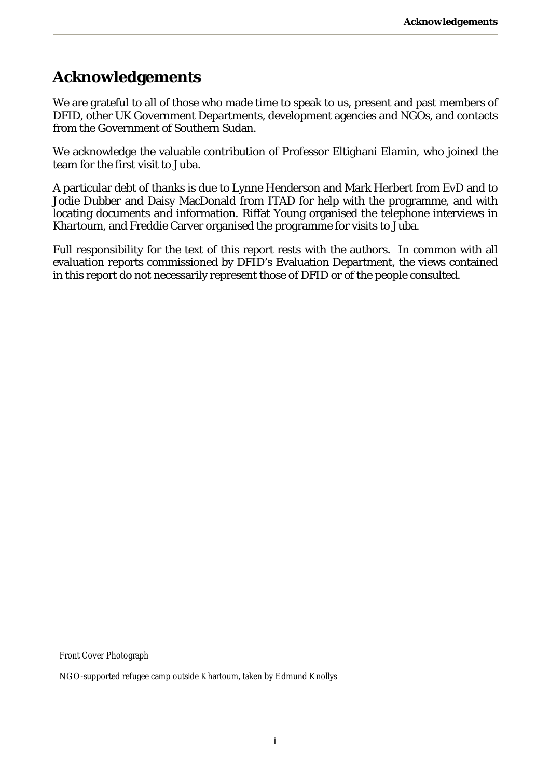## **Acknowledgements**

We are grateful to all of those who made time to speak to us, present and past members of DFID, other UK Government Departments, development agencies and NGOs, and contacts from the Government of Southern Sudan.

We acknowledge the valuable contribution of Professor Eltighani Elamin, who joined the team for the first visit to Juba.

A particular debt of thanks is due to Lynne Henderson and Mark Herbert from EvD and to Jodie Dubber and Daisy MacDonald from ITAD for help with the programme, and with locating documents and information. Riffat Young organised the telephone interviews in Khartoum, and Freddie Carver organised the programme for visits to Juba.

Full responsibility for the text of this report rests with the authors. In common with all evaluation reports commissioned by DFID's Evaluation Department, the views contained in this report do not necessarily represent those of DFID or of the people consulted.

Front Cover Photograph

NGO-supported refugee camp outside Khartoum, taken by Edmund Knollys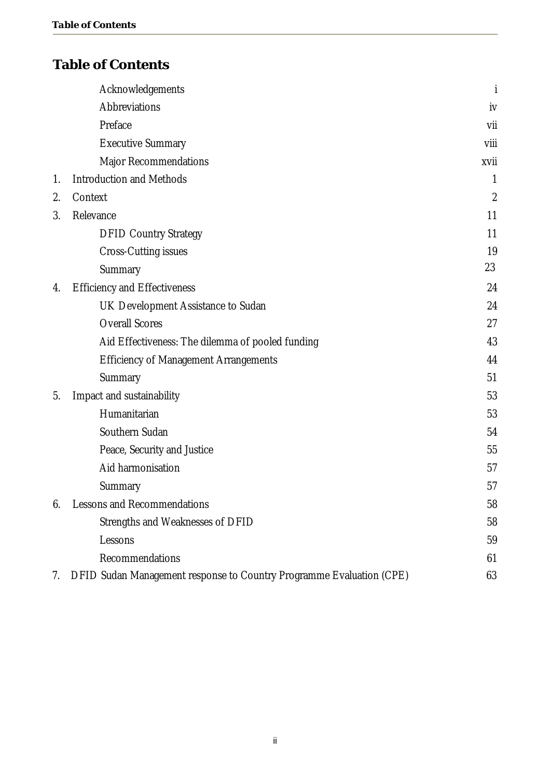### **Table of Contents**

|    | Acknowledgements                                                     | İ              |
|----|----------------------------------------------------------------------|----------------|
|    | Abbreviations                                                        | iv             |
|    | Preface                                                              | vii            |
|    | <b>Executive Summary</b>                                             | viii           |
|    | <b>Major Recommendations</b>                                         | xvii           |
| 1. | <b>Introduction and Methods</b>                                      | 1              |
| 2. | Context                                                              | $\overline{2}$ |
| 3. | Relevance                                                            | 11             |
|    | <b>DFID Country Strategy</b>                                         | 11             |
|    | <b>Cross-Cutting issues</b>                                          | 19             |
|    | Summary                                                              | 23             |
| 4. | <b>Efficiency and Effectiveness</b>                                  | 24             |
|    | UK Development Assistance to Sudan                                   | 24             |
|    | <b>Overall Scores</b>                                                | 27             |
|    | Aid Effectiveness: The dilemma of pooled funding                     | 43             |
|    | <b>Efficiency of Management Arrangements</b>                         | 44             |
|    | Summary                                                              | 51             |
| 5. | Impact and sustainability                                            | 53             |
|    | Humanitarian                                                         | 53             |
|    | Southern Sudan                                                       | 54             |
|    | Peace, Security and Justice                                          | 55             |
|    | Aid harmonisation                                                    | 57             |
|    | Summary                                                              | 57             |
| 6. | <b>Lessons and Recommendations</b>                                   |                |
|    | Strengths and Weaknesses of DFID                                     | 58             |
|    | Lessons                                                              | 59             |
|    | Recommendations                                                      | 61             |
| 7. | DFID Sudan Management response to Country Programme Evaluation (CPE) | 63             |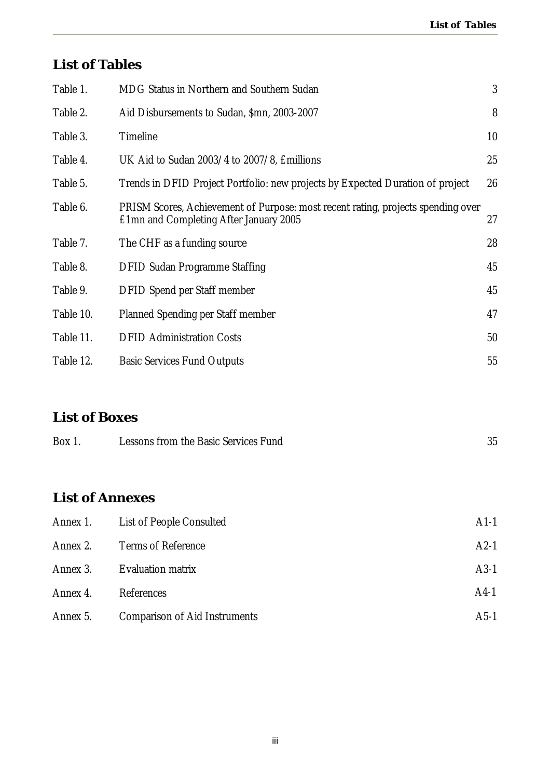### **List of Tables**

| Table 1.               | MDG Status in Northern and Southern Sudan<br>3                                                                             |        |  |  |
|------------------------|----------------------------------------------------------------------------------------------------------------------------|--------|--|--|
| Table 2.               | Aid Disbursements to Sudan, \$mn, 2003-2007                                                                                | 8      |  |  |
| Table 3.               | Timeline                                                                                                                   | 10     |  |  |
| Table 4.               | UK Aid to Sudan 2003/4 to 2007/8, Emillions                                                                                | 25     |  |  |
| Table 5.               | Trends in DFID Project Portfolio: new projects by Expected Duration of project                                             | 26     |  |  |
| Table 6.               | PRISM Scores, Achievement of Purpose: most recent rating, projects spending over<br>£1mn and Completing After January 2005 | 27     |  |  |
| Table 7.               | The CHF as a funding source                                                                                                | 28     |  |  |
| Table 8.               | <b>DFID Sudan Programme Staffing</b>                                                                                       | 45     |  |  |
| Table 9.               | <b>DFID Spend per Staff member</b>                                                                                         | 45     |  |  |
| Table 10.              | Planned Spending per Staff member                                                                                          | 47     |  |  |
| Table 11.              | <b>DFID Administration Costs</b>                                                                                           | 50     |  |  |
| Table 12.              | <b>Basic Services Fund Outputs</b>                                                                                         | 55     |  |  |
|                        |                                                                                                                            |        |  |  |
| <b>List of Boxes</b>   |                                                                                                                            |        |  |  |
| Box 1.                 | Lessons from the Basic Services Fund                                                                                       | 35     |  |  |
| <b>List of Annexes</b> |                                                                                                                            |        |  |  |
| Annex 1.               | List of People Consulted                                                                                                   | $A1-1$ |  |  |
| Annex 2.               | <b>Terms of Reference</b>                                                                                                  | $A2-1$ |  |  |

- Annex 3. Evaluation matrix **A3-1** Annex 4. References A4-1
- Annex 5. Comparison of Aid Instruments **Annex 5.** A5-1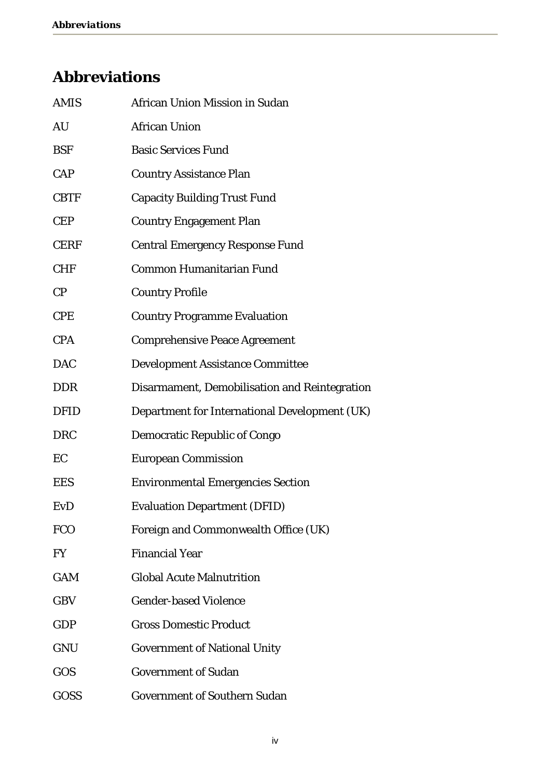# **Abbreviations**

| <b>AMIS</b> | African Union Mission in Sudan                |
|-------------|-----------------------------------------------|
| AU          | <b>African Union</b>                          |
| <b>BSF</b>  | <b>Basic Services Fund</b>                    |
| CAP         | <b>Country Assistance Plan</b>                |
| <b>CBTF</b> | <b>Capacity Building Trust Fund</b>           |
| <b>CEP</b>  | <b>Country Engagement Plan</b>                |
| <b>CERF</b> | <b>Central Emergency Response Fund</b>        |
| <b>CHF</b>  | Common Humanitarian Fund                      |
| CP          | <b>Country Profile</b>                        |
| <b>CPE</b>  | <b>Country Programme Evaluation</b>           |
| <b>CPA</b>  | <b>Comprehensive Peace Agreement</b>          |
| <b>DAC</b>  | Development Assistance Committee              |
| <b>DDR</b>  | Disarmament, Demobilisation and Reintegration |
| <b>DFID</b> | Department for International Development (UK) |
| <b>DRC</b>  | Democratic Republic of Congo                  |
| EC          | <b>European Commission</b>                    |
| <b>EES</b>  | <b>Environmental Emergencies Section</b>      |
| <b>EvD</b>  | <b>Evaluation Department (DFID)</b>           |
| <b>FCO</b>  | Foreign and Commonwealth Office (UK)          |
| FY          | <b>Financial Year</b>                         |
| <b>GAM</b>  | <b>Global Acute Malnutrition</b>              |
| <b>GBV</b>  | <b>Gender-based Violence</b>                  |
| GDP         | <b>Gross Domestic Product</b>                 |
| <b>GNU</b>  | Government of National Unity                  |
| GOS         | Government of Sudan                           |
| GOSS        | Government of Southern Sudan                  |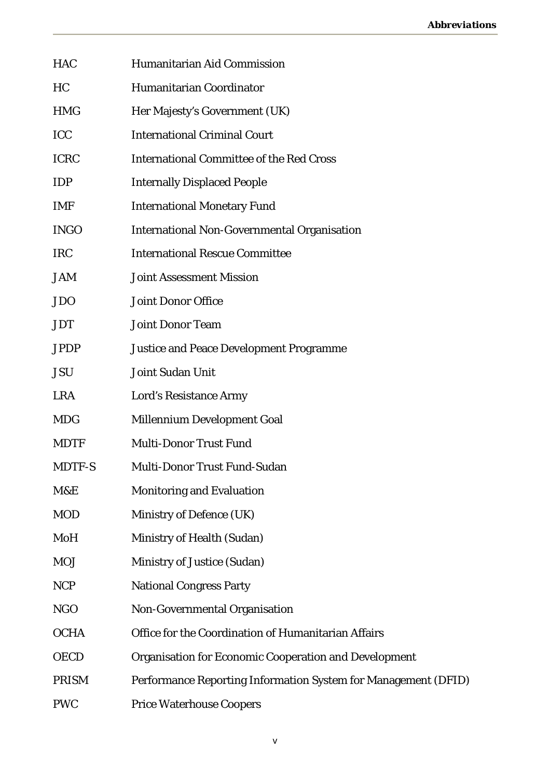| <b>HAC</b>   | <b>Humanitarian Aid Commission</b>                             |
|--------------|----------------------------------------------------------------|
| <b>HC</b>    | Humanitarian Coordinator                                       |
| <b>HMG</b>   | Her Majesty's Government (UK)                                  |
| ICC          | <b>International Criminal Court</b>                            |
| <b>ICRC</b>  | <b>International Committee of the Red Cross</b>                |
| <b>IDP</b>   | <b>Internally Displaced People</b>                             |
| <b>IMF</b>   | <b>International Monetary Fund</b>                             |
| <b>INGO</b>  | International Non-Governmental Organisation                    |
| <b>IRC</b>   | <b>International Rescue Committee</b>                          |
| <b>JAM</b>   | <b>Joint Assessment Mission</b>                                |
| <b>JDO</b>   | Joint Donor Office                                             |
| <b>JDT</b>   | <b>Joint Donor Team</b>                                        |
| <b>JPDP</b>  | Justice and Peace Development Programme                        |
| <b>JSU</b>   | Joint Sudan Unit                                               |
| <b>LRA</b>   | Lord's Resistance Army                                         |
| <b>MDG</b>   | Millennium Development Goal                                    |
| <b>MDTF</b>  | Multi-Donor Trust Fund                                         |
| MDTF-S       | Multi-Donor Trust Fund-Sudan                                   |
| M&E          | Monitoring and Evaluation                                      |
| <b>MOD</b>   | Ministry of Defence (UK)                                       |
| MoH          | Ministry of Health (Sudan)                                     |
| <b>MOJ</b>   | Ministry of Justice (Sudan)                                    |
| <b>NCP</b>   | <b>National Congress Party</b>                                 |
| <b>NGO</b>   | Non-Governmental Organisation                                  |
| <b>OCHA</b>  | Office for the Coordination of Humanitarian Affairs            |
| <b>OECD</b>  | Organisation for Economic Cooperation and Development          |
| <b>PRISM</b> | Performance Reporting Information System for Management (DFID) |
| <b>PWC</b>   | Price Waterhouse Coopers                                       |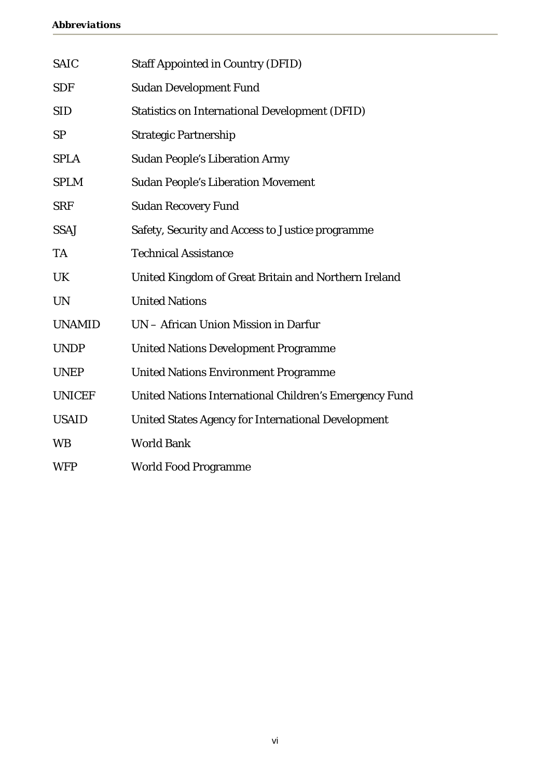| <b>SAIC</b>   | Staff Appointed in Country (DFID)                      |
|---------------|--------------------------------------------------------|
| <b>SDF</b>    | Sudan Development Fund                                 |
| <b>SID</b>    | Statistics on International Development (DFID)         |
| <b>SP</b>     | <b>Strategic Partnership</b>                           |
| <b>SPLA</b>   | Sudan People's Liberation Army                         |
| <b>SPLM</b>   | <b>Sudan People's Liberation Movement</b>              |
| <b>SRF</b>    | <b>Sudan Recovery Fund</b>                             |
| <b>SSAJ</b>   | Safety, Security and Access to Justice programme       |
| <b>TA</b>     | <b>Technical Assistance</b>                            |
| <b>UK</b>     | United Kingdom of Great Britain and Northern Ireland   |
| <b>UN</b>     | <b>United Nations</b>                                  |
| <b>UNAMID</b> | UN - African Union Mission in Darfur                   |
| <b>UNDP</b>   | United Nations Development Programme                   |
| <b>UNEP</b>   | United Nations Environment Programme                   |
| <b>UNICEF</b> | United Nations International Children's Emergency Fund |
| <b>USAID</b>  | United States Agency for International Development     |
| <b>WB</b>     | <b>World Bank</b>                                      |
| <b>WFP</b>    | World Food Programme                                   |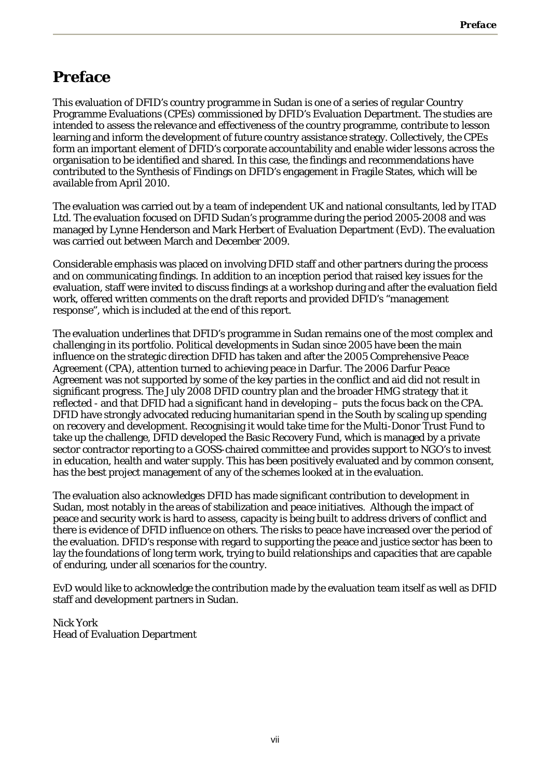## **Preface**

This evaluation of DFID's country programme in Sudan is one of a series of regular Country Programme Evaluations (CPEs) commissioned by DFID's Evaluation Department. The studies are intended to assess the relevance and effectiveness of the country programme, contribute to lesson learning and inform the development of future country assistance strategy. Collectively, the CPEs form an important element of DFID's corporate accountability and enable wider lessons across the organisation to be identified and shared. In this case, the findings and recommendations have contributed to the Synthesis of Findings on DFID's engagement in Fragile States, which will be available from April 2010.

The evaluation was carried out by a team of independent UK and national consultants, led by ITAD Ltd. The evaluation focused on DFID Sudan's programme during the period 2005-2008 and was managed by Lynne Henderson and Mark Herbert of Evaluation Department (EvD). The evaluation was carried out between March and December 2009.

Considerable emphasis was placed on involving DFID staff and other partners during the process and on communicating findings. In addition to an inception period that raised key issues for the evaluation, staff were invited to discuss findings at a workshop during and after the evaluation field work, offered written comments on the draft reports and provided DFID's "management response", which is included at the end of this report.

The evaluation underlines that DFID's programme in Sudan remains one of the most complex and challenging in its portfolio. Political developments in Sudan since 2005 have been the main influence on the strategic direction DFID has taken and after the 2005 Comprehensive Peace Agreement (CPA), attention turned to achieving peace in Darfur. The 2006 Darfur Peace Agreement was not supported by some of the key parties in the conflict and aid did not result in significant progress. The July 2008 DFID country plan and the broader HMG strategy that it reflected - and that DFID had a significant hand in developing – puts the focus back on the CPA. DFID have strongly advocated reducing humanitarian spend in the South by scaling up spending on recovery and development. Recognising it would take time for the Multi-Donor Trust Fund to take up the challenge, DFID developed the Basic Recovery Fund, which is managed by a private sector contractor reporting to a GOSS-chaired committee and provides support to NGO's to invest in education, health and water supply. This has been positively evaluated and by common consent, has the best project management of any of the schemes looked at in the evaluation.

The evaluation also acknowledges DFID has made significant contribution to development in Sudan, most notably in the areas of stabilization and peace initiatives. Although the impact of peace and security work is hard to assess, capacity is being built to address drivers of conflict and there is evidence of DFID influence on others. The risks to peace have increased over the period of the evaluation. DFID's response with regard to supporting the peace and justice sector has been to lay the foundations of long term work, trying to build relationships and capacities that are capable of enduring, under all scenarios for the country.

EvD would like to acknowledge the contribution made by the evaluation team itself as well as DFID staff and development partners in Sudan.

Nick York Head of Evaluation Department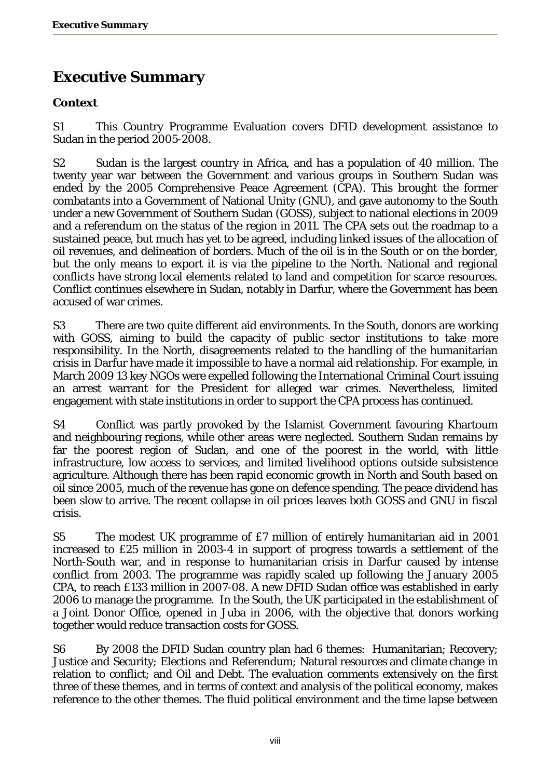# **Executive Summary**

#### **Context**

S1 This Country Programme Evaluation covers DFID development assistance to Sudan in the period 2005-2008.

S2 Sudan is the largest country in Africa, and has a population of 40 million. The twenty year war between the Government and various groups in Southern Sudan was ended by the 2005 Comprehensive Peace Agreement (CPA). This brought the former combatants into a Government of National Unity (GNU), and gave autonomy to the South under a new Government of Southern Sudan (GOSS), subject to national elections in 2009 and a referendum on the status of the region in 2011. The CPA sets out the roadmap to a sustained peace, but much has yet to be agreed, including linked issues of the allocation of oil revenues, and delineation of borders. Much of the oil is in the South or on the border, but the only means to export it is via the pipeline to the North. National and regional conflicts have strong local elements related to land and competition for scarce resources. Conflict continues elsewhere in Sudan, notably in Darfur, where the Government has been accused of war crimes.

S3 There are two quite different aid environments. In the South, donors are working with GOSS, aiming to build the capacity of public sector institutions to take more responsibility. In the North, disagreements related to the handling of the humanitarian crisis in Darfur have made it impossible to have a normal aid relationship. For example, in March 2009 13 key NGOs were expelled following the International Criminal Court issuing an arrest warrant for the President for alleged war crimes. Nevertheless, limited engagement with state institutions in order to support the CPA process has continued.

S4 Conflict was partly provoked by the Islamist Government favouring Khartoum and neighbouring regions, while other areas were neglected. Southern Sudan remains by far the poorest region of Sudan, and one of the poorest in the world, with little infrastructure, low access to services, and limited livelihood options outside subsistence agriculture. Although there has been rapid economic growth in North and South based on oil since 2005, much of the revenue has gone on defence spending. The peace dividend has been slow to arrive. The recent collapse in oil prices leaves both GOSS and GNU in fiscal crisis.

S5 The modest UK programme of £7 million of entirely humanitarian aid in 2001 increased to £25 million in 2003-4 in support of progress towards a settlement of the North-South war, and in response to humanitarian crisis in Darfur caused by intense conflict from 2003. The programme was rapidly scaled up following the January 2005 CPA, to reach £133 million in 2007-08. A new DFID Sudan office was established in early 2006 to manage the programme. In the South, the UK participated in the establishment of a Joint Donor Office, opened in Juba in 2006, with the objective that donors working together would reduce transaction costs for GOSS.

S6 By 2008 the DFID Sudan country plan had 6 themes: Humanitarian; Recovery; Justice and Security; Elections and Referendum; Natural resources and climate change in relation to conflict; and Oil and Debt. The evaluation comments extensively on the first three of these themes, and in terms of context and analysis of the political economy, makes reference to the other themes. The fluid political environment and the time lapse between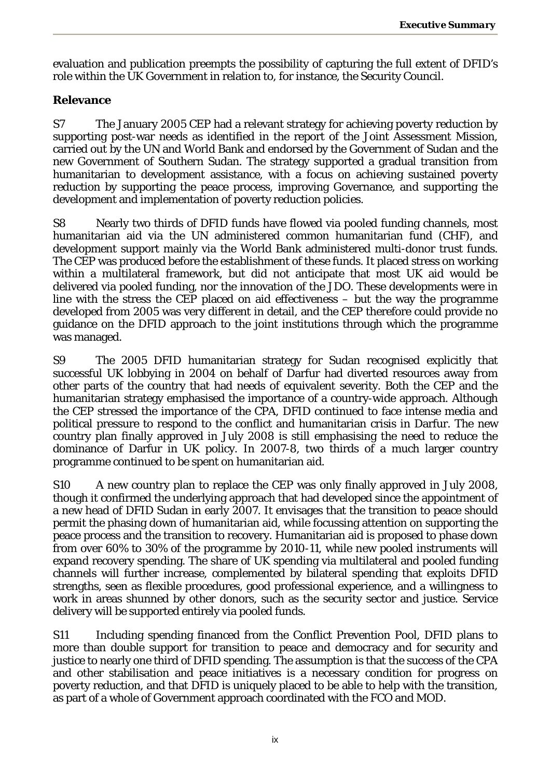evaluation and publication preempts the possibility of capturing the full extent of DFID's role within the UK Government in relation to, for instance, the Security Council.

#### **Relevance**

S7 The January 2005 CEP had a relevant strategy for achieving poverty reduction by supporting post-war needs as identified in the report of the Joint Assessment Mission, carried out by the UN and World Bank and endorsed by the Government of Sudan and the new Government of Southern Sudan. The strategy supported a gradual transition from humanitarian to development assistance, with a focus on achieving sustained poverty reduction by supporting the peace process, improving Governance, and supporting the development and implementation of poverty reduction policies.

S8 Nearly two thirds of DFID funds have flowed via pooled funding channels, most humanitarian aid via the UN administered common humanitarian fund (CHF), and development support mainly via the World Bank administered multi-donor trust funds. The CEP was produced before the establishment of these funds. It placed stress on working within a multilateral framework, but did not anticipate that most UK aid would be delivered via pooled funding, nor the innovation of the JDO. These developments were in line with the stress the CEP placed on aid effectiveness – but the way the programme developed from 2005 was very different in detail, and the CEP therefore could provide no guidance on the DFID approach to the joint institutions through which the programme was managed.

S9 The 2005 DFID humanitarian strategy for Sudan recognised explicitly that successful UK lobbying in 2004 on behalf of Darfur had diverted resources away from other parts of the country that had needs of equivalent severity. Both the CEP and the humanitarian strategy emphasised the importance of a country-wide approach. Although the CEP stressed the importance of the CPA, DFID continued to face intense media and political pressure to respond to the conflict and humanitarian crisis in Darfur. The new country plan finally approved in July 2008 is still emphasising the need to reduce the dominance of Darfur in UK policy. In 2007-8, two thirds of a much larger country programme continued to be spent on humanitarian aid.

S10 A new country plan to replace the CEP was only finally approved in July 2008, though it confirmed the underlying approach that had developed since the appointment of a new head of DFID Sudan in early 2007. It envisages that the transition to peace should permit the phasing down of humanitarian aid, while focussing attention on supporting the peace process and the transition to recovery. Humanitarian aid is proposed to phase down from over 60% to 30% of the programme by 2010-11, while new pooled instruments will expand recovery spending. The share of UK spending via multilateral and pooled funding channels will further increase, complemented by bilateral spending that exploits DFID strengths, seen as flexible procedures, good professional experience, and a willingness to work in areas shunned by other donors, such as the security sector and justice. Service delivery will be supported entirely via pooled funds.

S11 Including spending financed from the Conflict Prevention Pool, DFID plans to more than double support for transition to peace and democracy and for security and justice to nearly one third of DFID spending. The assumption is that the success of the CPA and other stabilisation and peace initiatives is a necessary condition for progress on poverty reduction, and that DFID is uniquely placed to be able to help with the transition, as part of a whole of Government approach coordinated with the FCO and MOD.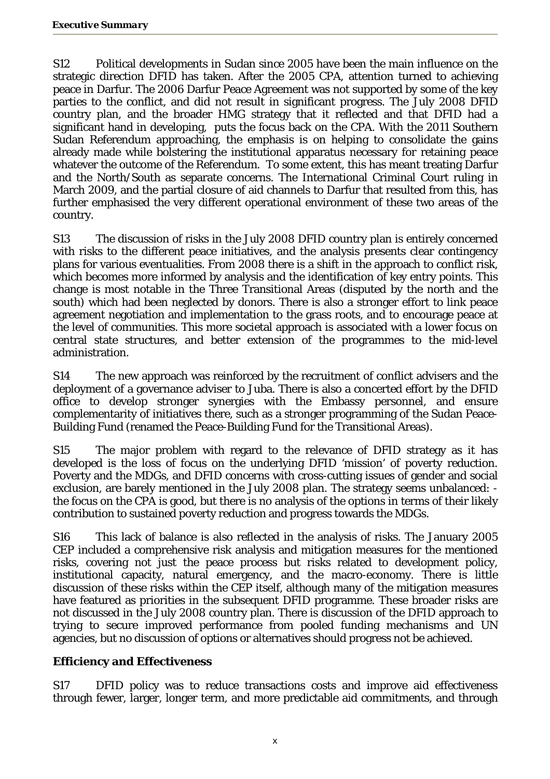S12 Political developments in Sudan since 2005 have been the main influence on the strategic direction DFID has taken. After the 2005 CPA, attention turned to achieving peace in Darfur. The 2006 Darfur Peace Agreement was not supported by some of the key parties to the conflict, and did not result in significant progress. The July 2008 DFID country plan, and the broader HMG strategy that it reflected and that DFID had a significant hand in developing, puts the focus back on the CPA. With the 2011 Southern Sudan Referendum approaching, the emphasis is on helping to consolidate the gains already made while bolstering the institutional apparatus necessary for retaining peace whatever the outcome of the Referendum. To some extent, this has meant treating Darfur and the North/South as separate concerns. The International Criminal Court ruling in March 2009, and the partial closure of aid channels to Darfur that resulted from this, has further emphasised the very different operational environment of these two areas of the country.

S13 The discussion of risks in the July 2008 DFID country plan is entirely concerned with risks to the different peace initiatives, and the analysis presents clear contingency plans for various eventualities. From 2008 there is a shift in the approach to conflict risk, which becomes more informed by analysis and the identification of key entry points. This change is most notable in the Three Transitional Areas (disputed by the north and the south) which had been neglected by donors. There is also a stronger effort to link peace agreement negotiation and implementation to the grass roots, and to encourage peace at the level of communities. This more societal approach is associated with a lower focus on central state structures, and better extension of the programmes to the mid-level administration.

S14 The new approach was reinforced by the recruitment of conflict advisers and the deployment of a governance adviser to Juba. There is also a concerted effort by the DFID office to develop stronger synergies with the Embassy personnel, and ensure complementarity of initiatives there, such as a stronger programming of the Sudan Peace-Building Fund (renamed the Peace-Building Fund for the Transitional Areas).

S15 The major problem with regard to the relevance of DFID strategy as it has developed is the loss of focus on the underlying DFID 'mission' of poverty reduction. Poverty and the MDGs, and DFID concerns with cross-cutting issues of gender and social exclusion, are barely mentioned in the July 2008 plan. The strategy seems unbalanced: the focus on the CPA is good, but there is no analysis of the options in terms of their likely contribution to sustained poverty reduction and progress towards the MDGs.

S16 This lack of balance is also reflected in the analysis of risks. The January 2005 CEP included a comprehensive risk analysis and mitigation measures for the mentioned risks, covering not just the peace process but risks related to development policy, institutional capacity, natural emergency, and the macro-economy. There is little discussion of these risks within the CEP itself, although many of the mitigation measures have featured as priorities in the subsequent DFID programme. These broader risks are not discussed in the July 2008 country plan. There is discussion of the DFID approach to trying to secure improved performance from pooled funding mechanisms and UN agencies, but no discussion of options or alternatives should progress not be achieved.

#### **Efficiency and Effectiveness**

S17 DFID policy was to reduce transactions costs and improve aid effectiveness through fewer, larger, longer term, and more predictable aid commitments, and through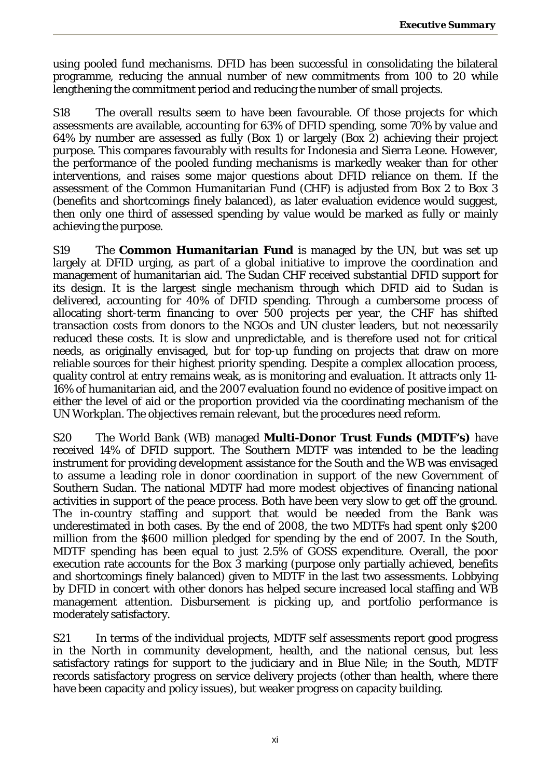using pooled fund mechanisms. DFID has been successful in consolidating the bilateral programme, reducing the annual number of new commitments from 100 to 20 while lengthening the commitment period and reducing the number of small projects.

S18 The overall results seem to have been favourable. Of those projects for which assessments are available, accounting for 63% of DFID spending, some 70% by value and 64% by number are assessed as fully (Box 1) or largely (Box 2) achieving their project purpose. This compares favourably with results for Indonesia and Sierra Leone. However, the performance of the pooled funding mechanisms is markedly weaker than for other interventions, and raises some major questions about DFID reliance on them. If the assessment of the Common Humanitarian Fund (CHF) is adjusted from Box 2 to Box 3 (benefits and shortcomings finely balanced), as later evaluation evidence would suggest, then only one third of assessed spending by value would be marked as fully or mainly achieving the purpose.

S19 The **Common Humanitarian Fund** is managed by the UN, but was set up largely at DFID urging, as part of a global initiative to improve the coordination and management of humanitarian aid. The Sudan CHF received substantial DFID support for its design. It is the largest single mechanism through which DFID aid to Sudan is delivered, accounting for 40% of DFID spending. Through a cumbersome process of allocating short-term financing to over 500 projects per year, the CHF has shifted transaction costs from donors to the NGOs and UN cluster leaders, but not necessarily reduced these costs. It is slow and unpredictable, and is therefore used not for critical needs, as originally envisaged, but for top-up funding on projects that draw on more reliable sources for their highest priority spending. Despite a complex allocation process, quality control at entry remains weak, as is monitoring and evaluation. It attracts only 11- 16% of humanitarian aid, and the 2007 evaluation found no evidence of positive impact on either the level of aid or the proportion provided via the coordinating mechanism of the UN Workplan. The objectives remain relevant, but the procedures need reform.

S20 The World Bank (WB) managed **Multi-Donor Trust Funds (MDTF's)** have received 14% of DFID support. The Southern MDTF was intended to be the leading instrument for providing development assistance for the South and the WB was envisaged to assume a leading role in donor coordination in support of the new Government of Southern Sudan. The national MDTF had more modest objectives of financing national activities in support of the peace process. Both have been very slow to get off the ground. The in-country staffing and support that would be needed from the Bank was underestimated in both cases. By the end of 2008, the two MDTFs had spent only \$200 million from the \$600 million pledged for spending by the end of 2007. In the South, MDTF spending has been equal to just 2.5% of GOSS expenditure. Overall, the poor execution rate accounts for the Box 3 marking (purpose only partially achieved, benefits and shortcomings finely balanced) given to MDTF in the last two assessments. Lobbying by DFID in concert with other donors has helped secure increased local staffing and WB management attention. Disbursement is picking up, and portfolio performance is moderately satisfactory.

S21 In terms of the individual projects, MDTF self assessments report good progress in the North in community development, health, and the national census, but less satisfactory ratings for support to the judiciary and in Blue Nile; in the South, MDTF records satisfactory progress on service delivery projects (other than health, where there have been capacity and policy issues), but weaker progress on capacity building.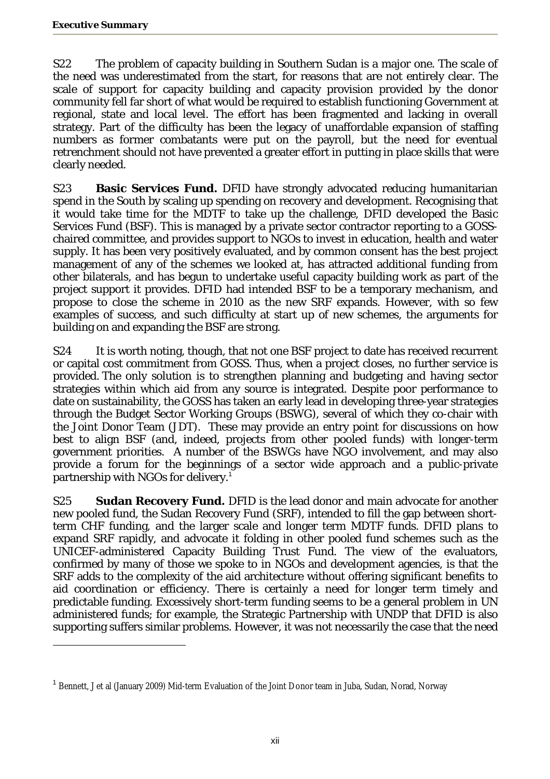$\overline{a}$ 

S22 The problem of capacity building in Southern Sudan is a major one. The scale of the need was underestimated from the start, for reasons that are not entirely clear. The scale of support for capacity building and capacity provision provided by the donor community fell far short of what would be required to establish functioning Government at regional, state and local level. The effort has been fragmented and lacking in overall strategy. Part of the difficulty has been the legacy of unaffordable expansion of staffing numbers as former combatants were put on the payroll, but the need for eventual retrenchment should not have prevented a greater effort in putting in place skills that were clearly needed.

S23 **Basic Services Fund.** DFID have strongly advocated reducing humanitarian spend in the South by scaling up spending on recovery and development. Recognising that it would take time for the MDTF to take up the challenge, DFID developed the Basic Services Fund (BSF). This is managed by a private sector contractor reporting to a GOSSchaired committee, and provides support to NGOs to invest in education, health and water supply. It has been very positively evaluated, and by common consent has the best project management of any of the schemes we looked at, has attracted additional funding from other bilaterals, and has begun to undertake useful capacity building work as part of the project support it provides. DFID had intended BSF to be a temporary mechanism, and propose to close the scheme in 2010 as the new SRF expands. However, with so few examples of success, and such difficulty at start up of new schemes, the arguments for building on and expanding the BSF are strong.

S24 It is worth noting, though, that not one BSF project to date has received recurrent or capital cost commitment from GOSS. Thus, when a project closes, no further service is provided. The only solution is to strengthen planning and budgeting and having sector strategies within which aid from any source is integrated. Despite poor performance to date on sustainability, the GOSS has taken an early lead in developing three-year strategies through the Budget Sector Working Groups (BSWG), several of which they co-chair with the Joint Donor Team (JDT). These may provide an entry point for discussions on how best to align BSF (and, indeed, projects from other pooled funds) with longer-term government priorities. A number of the BSWGs have NGO involvement, and may also provide a forum for the beginnings of a sector wide approach and a public-private partnership with NGOs for delivery. $^1$ 

S25 **Sudan Recovery Fund.** DFID is the lead donor and main advocate for another new pooled fund, the Sudan Recovery Fund (SRF), intended to fill the gap between shortterm CHF funding, and the larger scale and longer term MDTF funds. DFID plans to expand SRF rapidly, and advocate it folding in other pooled fund schemes such as the UNICEF-administered Capacity Building Trust Fund. The view of the evaluators, confirmed by many of those we spoke to in NGOs and development agencies, is that the SRF adds to the complexity of the aid architecture without offering significant benefits to aid coordination or efficiency. There is certainly a need for longer term timely and predictable funding. Excessively short-term funding seems to be a general problem in UN administered funds; for example, the Strategic Partnership with UNDP that DFID is also supporting suffers similar problems. However, it was not necessarily the case that the need

<sup>&</sup>lt;sup>1</sup> Bennett, J et al (January 2009) Mid-term Evaluation of the Joint Donor team in Juba, Sudan, Norad, Norway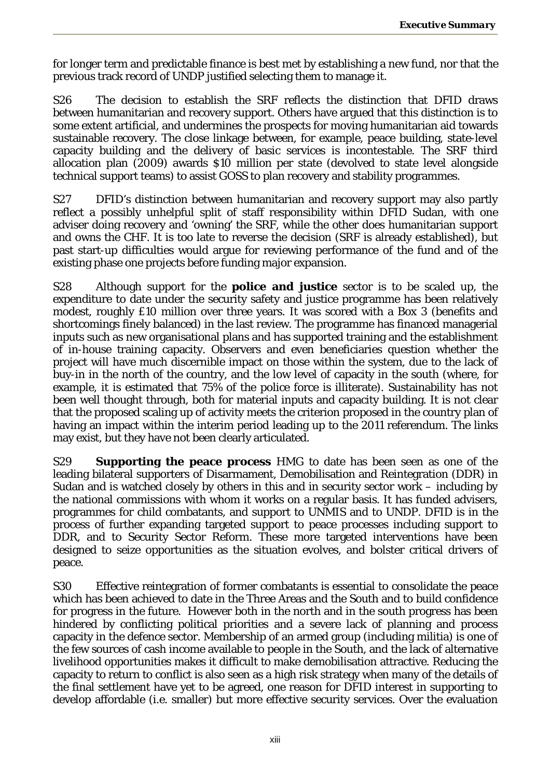for longer term and predictable finance is best met by establishing a new fund, nor that the previous track record of UNDP justified selecting them to manage it.

S26 The decision to establish the SRF reflects the distinction that DFID draws between humanitarian and recovery support. Others have argued that this distinction is to some extent artificial, and undermines the prospects for moving humanitarian aid towards sustainable recovery. The close linkage between, for example, peace building, state-level capacity building and the delivery of basic services is incontestable. The SRF third allocation plan (2009) awards \$10 million per state (devolved to state level alongside technical support teams) to assist GOSS to plan recovery and stability programmes.

S27 DFID's distinction between humanitarian and recovery support may also partly reflect a possibly unhelpful split of staff responsibility within DFID Sudan, with one adviser doing recovery and 'owning' the SRF, while the other does humanitarian support and owns the CHF. It is too late to reverse the decision (SRF is already established), but past start-up difficulties would argue for reviewing performance of the fund and of the existing phase one projects before funding major expansion.

S28 Although support for the **police and justice** sector is to be scaled up, the expenditure to date under the security safety and justice programme has been relatively modest, roughly £10 million over three years. It was scored with a Box 3 (benefits and shortcomings finely balanced) in the last review. The programme has financed managerial inputs such as new organisational plans and has supported training and the establishment of in-house training capacity. Observers and even beneficiaries question whether the project will have much discernible impact on those within the system, due to the lack of buy-in in the north of the country, and the low level of capacity in the south (where, for example, it is estimated that 75% of the police force is illiterate). Sustainability has not been well thought through, both for material inputs and capacity building. It is not clear that the proposed scaling up of activity meets the criterion proposed in the country plan of having an impact within the interim period leading up to the 2011 referendum. The links may exist, but they have not been clearly articulated.

S29 **Supporting the peace process** HMG to date has been seen as one of the leading bilateral supporters of Disarmament, Demobilisation and Reintegration (DDR) in Sudan and is watched closely by others in this and in security sector work – including by the national commissions with whom it works on a regular basis. It has funded advisers, programmes for child combatants, and support to UNMIS and to UNDP. DFID is in the process of further expanding targeted support to peace processes including support to DDR, and to Security Sector Reform. These more targeted interventions have been designed to seize opportunities as the situation evolves, and bolster critical drivers of peace.

S30 Effective reintegration of former combatants is essential to consolidate the peace which has been achieved to date in the Three Areas and the South and to build confidence for progress in the future. However both in the north and in the south progress has been hindered by conflicting political priorities and a severe lack of planning and process capacity in the defence sector. Membership of an armed group (including militia) is one of the few sources of cash income available to people in the South, and the lack of alternative livelihood opportunities makes it difficult to make demobilisation attractive. Reducing the capacity to return to conflict is also seen as a high risk strategy when many of the details of the final settlement have yet to be agreed, one reason for DFID interest in supporting to develop affordable (i.e. smaller) but more effective security services. Over the evaluation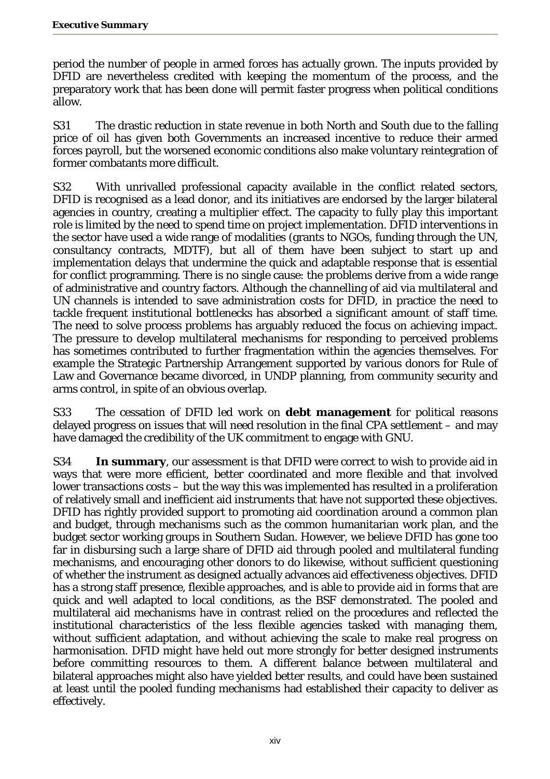period the number of people in armed forces has actually grown. The inputs provided by DFID are nevertheless credited with keeping the momentum of the process, and the preparatory work that has been done will permit faster progress when political conditions allow.

S31 The drastic reduction in state revenue in both North and South due to the falling price of oil has given both Governments an increased incentive to reduce their armed forces payroll, but the worsened economic conditions also make voluntary reintegration of former combatants more difficult.

S32 With unrivalled professional capacity available in the conflict related sectors, DFID is recognised as a lead donor, and its initiatives are endorsed by the larger bilateral agencies in country, creating a multiplier effect. The capacity to fully play this important role is limited by the need to spend time on project implementation. DFID interventions in the sector have used a wide range of modalities (grants to NGOs, funding through the UN, consultancy contracts, MDTF), but all of them have been subject to start up and implementation delays that undermine the quick and adaptable response that is essential for conflict programming. There is no single cause: the problems derive from a wide range of administrative and country factors. Although the channelling of aid via multilateral and UN channels is intended to save administration costs for DFID, in practice the need to tackle frequent institutional bottlenecks has absorbed a significant amount of staff time. The need to solve process problems has arguably reduced the focus on achieving impact. The pressure to develop multilateral mechanisms for responding to perceived problems has sometimes contributed to further fragmentation within the agencies themselves. For example the Strategic Partnership Arrangement supported by various donors for Rule of Law and Governance became divorced, in UNDP planning, from community security and arms control, in spite of an obvious overlap.

S33 The cessation of DFID led work on **debt management** for political reasons delayed progress on issues that will need resolution in the final CPA settlement – and may have damaged the credibility of the UK commitment to engage with GNU.

S34 **In summary**, our assessment is that DFID were correct to wish to provide aid in ways that were more efficient, better coordinated and more flexible and that involved lower transactions costs – but the way this was implemented has resulted in a proliferation of relatively small and inefficient aid instruments that have not supported these objectives. DFID has rightly provided support to promoting aid coordination around a common plan and budget, through mechanisms such as the common humanitarian work plan, and the budget sector working groups in Southern Sudan. However, we believe DFID has gone too far in disbursing such a large share of DFID aid through pooled and multilateral funding mechanisms, and encouraging other donors to do likewise, without sufficient questioning of whether the instrument as designed actually advances aid effectiveness objectives. DFID has a strong staff presence, flexible approaches, and is able to provide aid in forms that are quick and well adapted to local conditions, as the BSF demonstrated. The pooled and multilateral aid mechanisms have in contrast relied on the procedures and reflected the institutional characteristics of the less flexible agencies tasked with managing them, without sufficient adaptation, and without achieving the scale to make real progress on harmonisation. DFID might have held out more strongly for better designed instruments before committing resources to them. A different balance between multilateral and bilateral approaches might also have yielded better results, and could have been sustained at least until the pooled funding mechanisms had established their capacity to deliver as effectively.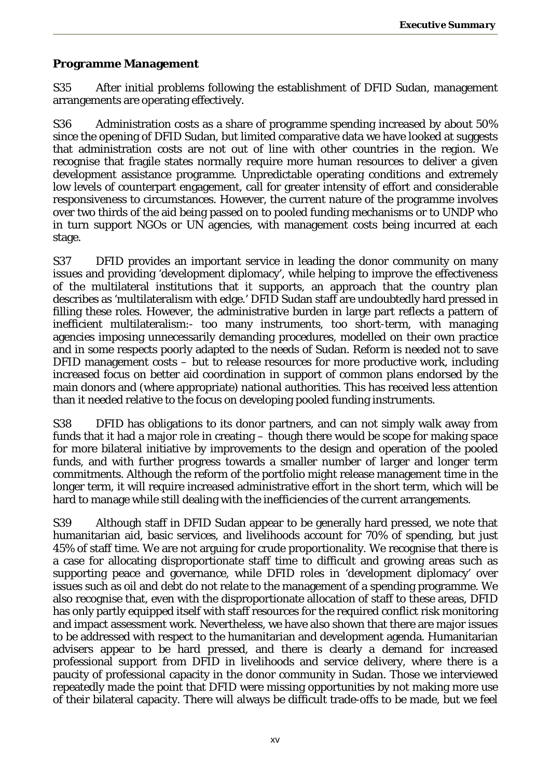#### **Programme Management**

S35 After initial problems following the establishment of DFID Sudan, management arrangements are operating effectively.

S36 Administration costs as a share of programme spending increased by about 50% since the opening of DFID Sudan, but limited comparative data we have looked at suggests that administration costs are not out of line with other countries in the region. We recognise that fragile states normally require more human resources to deliver a given development assistance programme. Unpredictable operating conditions and extremely low levels of counterpart engagement, call for greater intensity of effort and considerable responsiveness to circumstances. However, the current nature of the programme involves over two thirds of the aid being passed on to pooled funding mechanisms or to UNDP who in turn support NGOs or UN agencies, with management costs being incurred at each stage.

S37 DFID provides an important service in leading the donor community on many issues and providing 'development diplomacy', while helping to improve the effectiveness of the multilateral institutions that it supports, an approach that the country plan describes as 'multilateralism with edge.' DFID Sudan staff are undoubtedly hard pressed in filling these roles. However, the administrative burden in large part reflects a pattern of inefficient multilateralism:- too many instruments, too short-term, with managing agencies imposing unnecessarily demanding procedures, modelled on their own practice and in some respects poorly adapted to the needs of Sudan. Reform is needed not to save DFID management costs – but to release resources for more productive work, including increased focus on better aid coordination in support of common plans endorsed by the main donors and (where appropriate) national authorities. This has received less attention than it needed relative to the focus on developing pooled funding instruments.

S38 DFID has obligations to its donor partners, and can not simply walk away from funds that it had a major role in creating – though there would be scope for making space for more bilateral initiative by improvements to the design and operation of the pooled funds, and with further progress towards a smaller number of larger and longer term commitments. Although the reform of the portfolio might release management time in the longer term, it will require increased administrative effort in the short term, which will be hard to manage while still dealing with the inefficiencies of the current arrangements.

S39 Although staff in DFID Sudan appear to be generally hard pressed, we note that humanitarian aid, basic services, and livelihoods account for 70% of spending, but just 45% of staff time. We are not arguing for crude proportionality. We recognise that there is a case for allocating disproportionate staff time to difficult and growing areas such as supporting peace and governance, while DFID roles in 'development diplomacy' over issues such as oil and debt do not relate to the management of a spending programme. We also recognise that, even with the disproportionate allocation of staff to these areas, DFID has only partly equipped itself with staff resources for the required conflict risk monitoring and impact assessment work. Nevertheless, we have also shown that there are major issues to be addressed with respect to the humanitarian and development agenda. Humanitarian advisers appear to be hard pressed, and there is clearly a demand for increased professional support from DFID in livelihoods and service delivery, where there is a paucity of professional capacity in the donor community in Sudan. Those we interviewed repeatedly made the point that DFID were missing opportunities by not making more use of their bilateral capacity. There will always be difficult trade-offs to be made, but we feel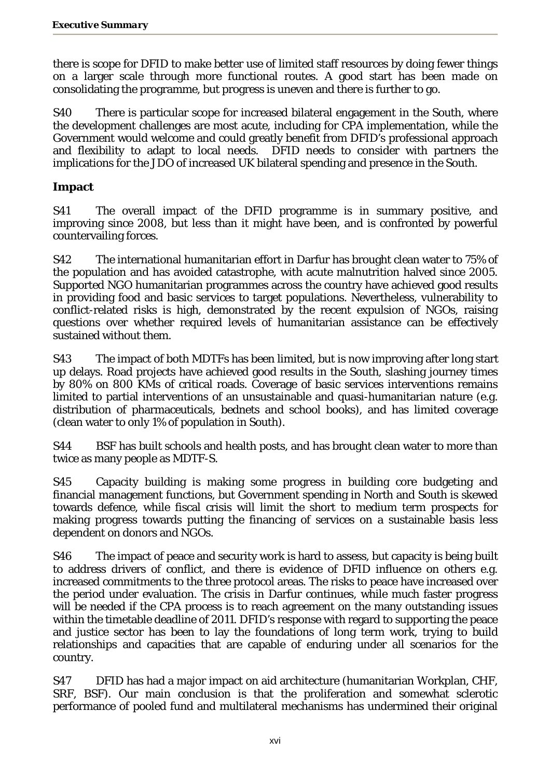there is scope for DFID to make better use of limited staff resources by doing fewer things on a larger scale through more functional routes. A good start has been made on consolidating the programme, but progress is uneven and there is further to go.

S40 There is particular scope for increased bilateral engagement in the South, where the development challenges are most acute, including for CPA implementation, while the Government would welcome and could greatly benefit from DFID's professional approach and flexibility to adapt to local needs. DFID needs to consider with partners the implications for the JDO of increased UK bilateral spending and presence in the South.

#### **Impact**

S41 The overall impact of the DFID programme is in summary positive, and improving since 2008, but less than it might have been, and is confronted by powerful countervailing forces.

S42 The international humanitarian effort in Darfur has brought clean water to 75% of the population and has avoided catastrophe, with acute malnutrition halved since 2005. Supported NGO humanitarian programmes across the country have achieved good results in providing food and basic services to target populations. Nevertheless, vulnerability to conflict-related risks is high, demonstrated by the recent expulsion of NGOs, raising questions over whether required levels of humanitarian assistance can be effectively sustained without them.

S43 The impact of both MDTFs has been limited, but is now improving after long start up delays. Road projects have achieved good results in the South, slashing journey times by 80% on 800 KMs of critical roads. Coverage of basic services interventions remains limited to partial interventions of an unsustainable and quasi-humanitarian nature (e.g. distribution of pharmaceuticals, bednets and school books), and has limited coverage (clean water to only 1% of population in South).

S44 BSF has built schools and health posts, and has brought clean water to more than twice as many people as MDTF-S.

S45 Capacity building is making some progress in building core budgeting and financial management functions, but Government spending in North and South is skewed towards defence, while fiscal crisis will limit the short to medium term prospects for making progress towards putting the financing of services on a sustainable basis less dependent on donors and NGOs.

S46 The impact of peace and security work is hard to assess, but capacity is being built to address drivers of conflict, and there is evidence of DFID influence on others e.g. increased commitments to the three protocol areas. The risks to peace have increased over the period under evaluation. The crisis in Darfur continues, while much faster progress will be needed if the CPA process is to reach agreement on the many outstanding issues within the timetable deadline of 2011. DFID's response with regard to supporting the peace and justice sector has been to lay the foundations of long term work, trying to build relationships and capacities that are capable of enduring under all scenarios for the country.

S47 DFID has had a major impact on aid architecture (humanitarian Workplan, CHF, SRF, BSF). Our main conclusion is that the proliferation and somewhat sclerotic performance of pooled fund and multilateral mechanisms has undermined their original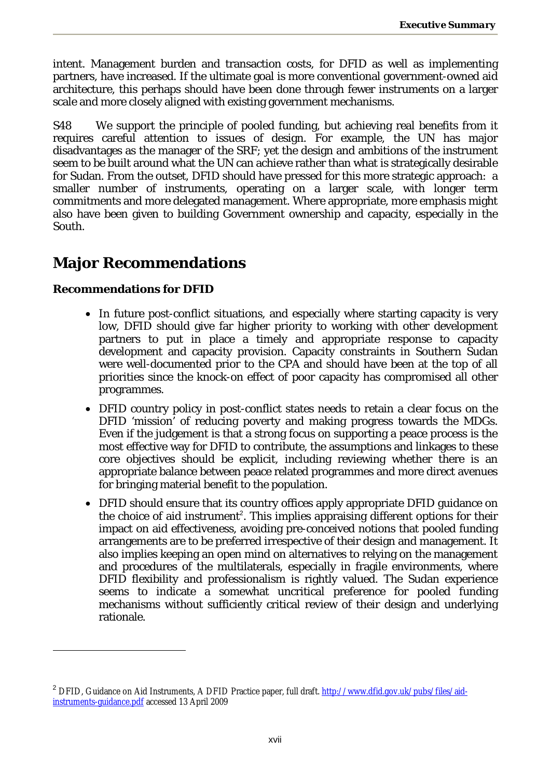intent. Management burden and transaction costs, for DFID as well as implementing partners, have increased. If the ultimate goal is more conventional government-owned aid architecture, this perhaps should have been done through fewer instruments on a larger scale and more closely aligned with existing government mechanisms.

S48 We support the principle of pooled funding, but achieving real benefits from it requires careful attention to issues of design. For example, the UN has major disadvantages as the manager of the SRF; yet the design and ambitions of the instrument seem to be built around what the UN can achieve rather than what is strategically desirable for Sudan. From the outset, DFID should have pressed for this more strategic approach: a smaller number of instruments, operating on a larger scale, with longer term commitments and more delegated management. Where appropriate, more emphasis might also have been given to building Government ownership and capacity, especially in the South.

## **Major Recommendations**

#### **Recommendations for DFID**

- In future post-conflict situations, and especially where starting capacity is very low, DFID should give far higher priority to working with other development partners to put in place a timely and appropriate response to capacity development and capacity provision. Capacity constraints in Southern Sudan were well-documented prior to the CPA and should have been at the top of all priorities since the knock-on effect of poor capacity has compromised all other programmes.
- DFID country policy in post-conflict states needs to retain a clear focus on the DFID 'mission' of reducing poverty and making progress towards the MDGs. Even if the judgement is that a strong focus on supporting a peace process is the most effective way for DFID to contribute, the assumptions and linkages to these core objectives should be explicit, including reviewing whether there is an appropriate balance between peace related programmes and more direct avenues for bringing material benefit to the population.
- DFID should ensure that its country offices apply appropriate DFID quidance on the choice of aid instrument<sup>2</sup>. This implies appraising different options for their impact on aid effectiveness, avoiding pre-conceived notions that pooled funding arrangements are to be preferred irrespective of their design and management. It also implies keeping an open mind on alternatives to relying on the management and procedures of the multilaterals, especially in fragile environments, where DFID flexibility and professionalism is rightly valued. The Sudan experience seems to indicate a somewhat uncritical preference for pooled funding mechanisms without sufficiently critical review of their design and underlying rationale.

<sup>&</sup>lt;sup>2</sup> DFID, Guidance on Aid Instruments, A DFID Practice paper, full draft. http://www.dfid.gov.uk/pubs/files/aidinstruments-guidance.pdf accessed 13 April 2009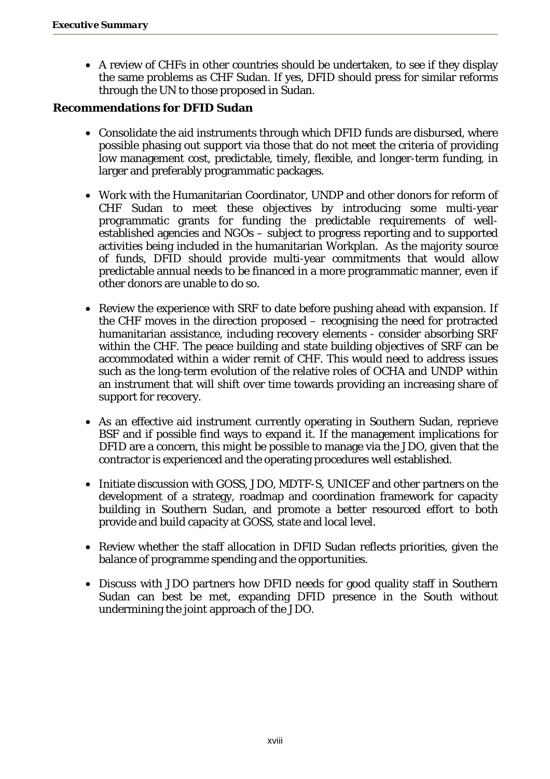• A review of CHFs in other countries should be undertaken, to see if they display the same problems as CHF Sudan. If yes, DFID should press for similar reforms through the UN to those proposed in Sudan.

#### **Recommendations for DFID Sudan**

- Consolidate the aid instruments through which DFID funds are disbursed, where possible phasing out support via those that do not meet the criteria of providing low management cost, predictable, timely, flexible, and longer-term funding, in larger and preferably programmatic packages.
- Work with the Humanitarian Coordinator, UNDP and other donors for reform of CHF Sudan to meet these objectives by introducing some multi-year programmatic grants for funding the predictable requirements of wellestablished agencies and NGOs – subject to progress reporting and to supported activities being included in the humanitarian Workplan. As the majority source of funds, DFID should provide multi-year commitments that would allow predictable annual needs to be financed in a more programmatic manner, even if other donors are unable to do so.
- Review the experience with SRF to date before pushing ahead with expansion. If the CHF moves in the direction proposed – recognising the need for protracted humanitarian assistance, including recovery elements - consider absorbing SRF within the CHF. The peace building and state building objectives of SRF can be accommodated within a wider remit of CHF. This would need to address issues such as the long-term evolution of the relative roles of OCHA and UNDP within an instrument that will shift over time towards providing an increasing share of support for recovery.
- As an effective aid instrument currently operating in Southern Sudan, reprieve BSF and if possible find ways to expand it. If the management implications for DFID are a concern, this might be possible to manage via the JDO, given that the contractor is experienced and the operating procedures well established.
- Initiate discussion with GOSS, JDO, MDTF-S, UNICEF and other partners on the development of a strategy, roadmap and coordination framework for capacity building in Southern Sudan, and promote a better resourced effort to both provide and build capacity at GOSS, state and local level.
- Review whether the staff allocation in DFID Sudan reflects priorities, given the balance of programme spending and the opportunities.
- Discuss with JDO partners how DFID needs for good quality staff in Southern Sudan can best be met, expanding DFID presence in the South without undermining the joint approach of the JDO.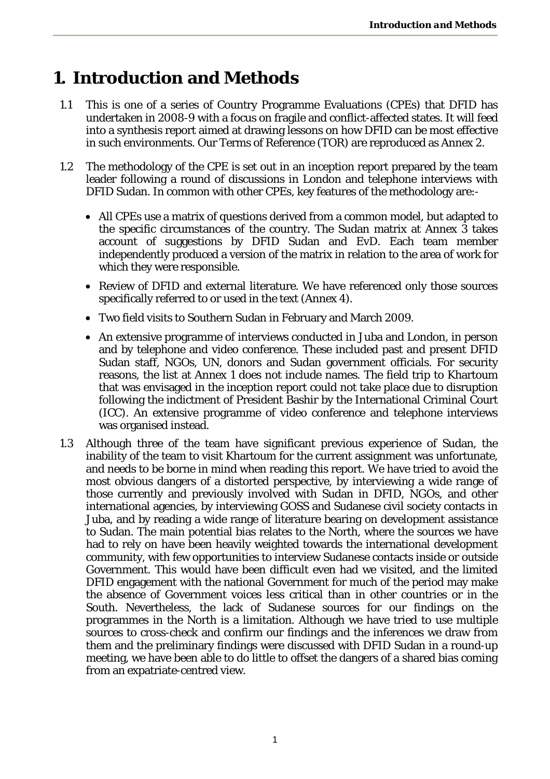# **1. Introduction and Methods**

- 1.1 This is one of a series of Country Programme Evaluations (CPEs) that DFID has undertaken in 2008-9 with a focus on fragile and conflict-affected states. It will feed into a synthesis report aimed at drawing lessons on how DFID can be most effective in such environments. Our Terms of Reference (TOR) are reproduced as Annex 2.
- 1.2 The methodology of the CPE is set out in an inception report prepared by the team leader following a round of discussions in London and telephone interviews with DFID Sudan. In common with other CPEs, key features of the methodology are:-
	- All CPEs use a matrix of questions derived from a common model, but adapted to the specific circumstances of the country. The Sudan matrix at Annex 3 takes account of suggestions by DFID Sudan and EvD. Each team member independently produced a version of the matrix in relation to the area of work for which they were responsible.
	- Review of DFID and external literature. We have referenced only those sources specifically referred to or used in the text (Annex 4).
	- Two field visits to Southern Sudan in February and March 2009.
	- An extensive programme of interviews conducted in Juba and London, in person and by telephone and video conference. These included past and present DFID Sudan staff, NGOs, UN, donors and Sudan government officials. For security reasons, the list at Annex 1 does not include names. The field trip to Khartoum that was envisaged in the inception report could not take place due to disruption following the indictment of President Bashir by the International Criminal Court (ICC). An extensive programme of video conference and telephone interviews was organised instead.
- 1.3 Although three of the team have significant previous experience of Sudan, the inability of the team to visit Khartoum for the current assignment was unfortunate, and needs to be borne in mind when reading this report. We have tried to avoid the most obvious dangers of a distorted perspective, by interviewing a wide range of those currently and previously involved with Sudan in DFID, NGOs, and other international agencies, by interviewing GOSS and Sudanese civil society contacts in Juba, and by reading a wide range of literature bearing on development assistance to Sudan. The main potential bias relates to the North, where the sources we have had to rely on have been heavily weighted towards the international development community, with few opportunities to interview Sudanese contacts inside or outside Government. This would have been difficult even had we visited, and the limited DFID engagement with the national Government for much of the period may make the absence of Government voices less critical than in other countries or in the South. Nevertheless, the lack of Sudanese sources for our findings on the programmes in the North is a limitation. Although we have tried to use multiple sources to cross-check and confirm our findings and the inferences we draw from them and the preliminary findings were discussed with DFID Sudan in a round-up meeting, we have been able to do little to offset the dangers of a shared bias coming from an expatriate-centred view.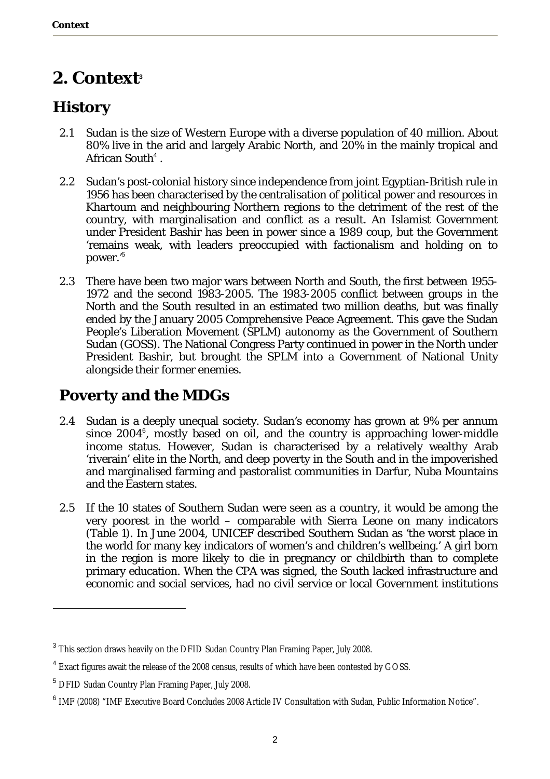# **2. Context<sup>3</sup>**

# **History**

- 2.1 Sudan is the size of Western Europe with a diverse population of 40 million. About 80% live in the arid and largely Arabic North, and 20% in the mainly tropical and African South<sup>4</sup>.
- 2.2 Sudan's post-colonial history since independence from joint Egyptian-British rule in 1956 has been characterised by the centralisation of political power and resources in Khartoum and neighbouring Northern regions to the detriment of the rest of the country, with marginalisation and conflict as a result. An Islamist Government under President Bashir has been in power since a 1989 coup, but the Government 'remains weak, with leaders preoccupied with factionalism and holding on to power.'<sup>5</sup>
- 2.3 There have been two major wars between North and South, the first between 1955- 1972 and the second 1983-2005. The 1983-2005 conflict between groups in the North and the South resulted in an estimated two million deaths, but was finally ended by the January 2005 Comprehensive Peace Agreement. This gave the Sudan People's Liberation Movement (SPLM) autonomy as the Government of Southern Sudan (GOSS). The National Congress Party continued in power in the North under President Bashir, but brought the SPLM into a Government of National Unity alongside their former enemies.

## **Poverty and the MDGs**

- 2.4 Sudan is a deeply unequal society. Sudan's economy has grown at 9% per annum since 2004<sup>6</sup>, mostly based on oil, and the country is approaching lower-middle income status. However, Sudan is characterised by a relatively wealthy Arab 'riverain' elite in the North, and deep poverty in the South and in the impoverished and marginalised farming and pastoralist communities in Darfur, Nuba Mountains and the Eastern states.
- 2.5 If the 10 states of Southern Sudan were seen as a country, it would be among the very poorest in the world – comparable with Sierra Leone on many indicators (Table 1). In June 2004, UNICEF described Southern Sudan as 'the worst place in the world for many key indicators of women's and children's wellbeing.' A girl born in the region is more likely to die in pregnancy or childbirth than to complete primary education. When the CPA was signed, the South lacked infrastructure and economic and social services, had no civil service or local Government institutions

 $^3$  This section draws heavily on the DFID Sudan Country Plan Framing Paper, July 2008.

<sup>&</sup>lt;sup>4</sup> Exact figures await the release of the 2008 census, results of which have been contested by GOSS.

<sup>&</sup>lt;sup>5</sup> DFID Sudan Country Plan Framing Paper, July 2008.

<sup>&</sup>lt;sup>6</sup> IMF (2008) "IMF Executive Board Concludes 2008 Article IV Consultation with Sudan, Public Information Notice".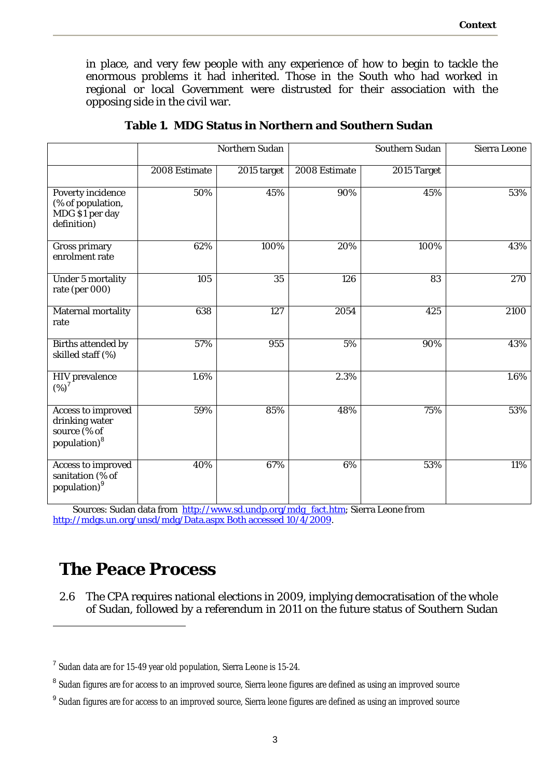in place, and very few people with any experience of how to begin to tackle the enormous problems it had inherited. Those in the South who had worked in regional or local Government were distrusted for their association with the opposing side in the civil war.

|                                                                                  | Northern Sudan |                 |               | Sierra Leone    |                  |
|----------------------------------------------------------------------------------|----------------|-----------------|---------------|-----------------|------------------|
|                                                                                  | 2008 Estimate  | 2015 target     | 2008 Estimate | 2015 Target     |                  |
| Poverty incidence<br>(% of population,<br>MDG \$1 per day<br>definition)         | 50%            | 45%             | 90%           | 45%             | 53%              |
| Gross primary<br>enrolment rate                                                  | 62%            | 100%            | 20%           | 100%            | 43%              |
| Under 5 mortality<br>rate (per 000)                                              | 105            | $\overline{35}$ | 126           | $\overline{83}$ | $\overline{270}$ |
| Maternal mortality<br>rate                                                       | 638            | 127             | 2054          | 425             | 2100             |
| Births attended by<br>skilled staff (%)                                          | 57%            | 955             | 5%            | 90%             | 43%              |
| HIV prevalence<br>$(\%)^{7}$                                                     | 1.6%           |                 | 2.3%          |                 | 1.6%             |
| Access to improved<br>drinking water<br>source (% of<br>population) <sup>8</sup> | 59%            | 85%             | 48%           | 75%             | 53%              |
| Access to improved<br>sanitation (% of<br>population) <sup>9</sup>               | 40%            | 67%             | 6%            | 53%             | 11%              |

**Table 1. MDG Status in Northern and Southern Sudan** 

Sources: Sudan data from http://www.sd.undp.org/mdg\_fact.htm; Sierra Leone from http://mdgs.un.org/unsd/mdg/Data.aspx Both accessed 10/4/2009.

# **The Peace Process**

 $\overline{a}$ 

2.6 The CPA requires national elections in 2009, implying democratisation of the whole of Sudan, followed by a referendum in 2011 on the future status of Southern Sudan

<sup>&</sup>lt;sup>7</sup> Sudan data are for 15-49 year old population, Sierra Leone is 15-24.

<sup>&</sup>lt;sup>8</sup> Sudan figures are for access to an improved source, Sierra leone figures are defined as using an improved source

<sup>&</sup>lt;sup>9</sup> Sudan figures are for access to an improved source, Sierra leone figures are defined as using an improved source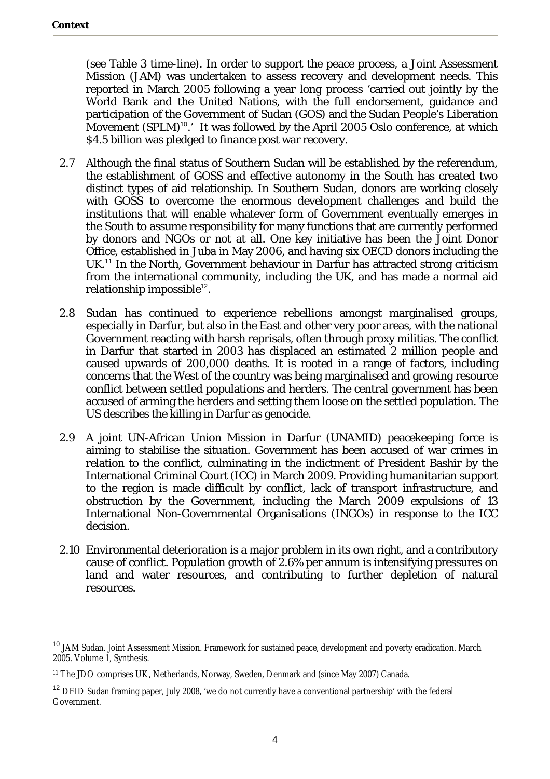$\overline{a}$ 

(see Table 3 time-line). In order to support the peace process, a Joint Assessment Mission (JAM) was undertaken to assess recovery and development needs. This reported in March 2005 following a year long process 'carried out jointly by the World Bank and the United Nations, with the full endorsement, guidance and participation of the Government of Sudan (GOS) and the Sudan People's Liberation Movement (SPLM)<sup>10</sup>.' It was followed by the April 2005 Oslo conference, at which \$4.5 billion was pledged to finance post war recovery.

- 2.7 Although the final status of Southern Sudan will be established by the referendum, the establishment of GOSS and effective autonomy in the South has created two distinct types of aid relationship. In Southern Sudan, donors are working closely with GOSS to overcome the enormous development challenges and build the institutions that will enable whatever form of Government eventually emerges in the South to assume responsibility for many functions that are currently performed by donors and NGOs or not at all. One key initiative has been the Joint Donor Office, established in Juba in May 2006, and having six OECD donors including the UK.<sup>11</sup> In the North, Government behaviour in Darfur has attracted strong criticism from the international community, including the UK, and has made a normal aid relationship impossible<sup>12</sup>.
- 2.8 Sudan has continued to experience rebellions amongst marginalised groups, especially in Darfur, but also in the East and other very poor areas, with the national Government reacting with harsh reprisals, often through proxy militias. The conflict in Darfur that started in 2003 has displaced an estimated 2 million people and caused upwards of 200,000 deaths. It is rooted in a range of factors, including concerns that the West of the country was being marginalised and growing resource conflict between settled populations and herders. The central government has been accused of arming the herders and setting them loose on the settled population. The US describes the killing in Darfur as genocide.
- 2.9 A joint UN-African Union Mission in Darfur (UNAMID) peacekeeping force is aiming to stabilise the situation. Government has been accused of war crimes in relation to the conflict, culminating in the indictment of President Bashir by the International Criminal Court (ICC) in March 2009. Providing humanitarian support to the region is made difficult by conflict, lack of transport infrastructure, and obstruction by the Government, including the March 2009 expulsions of 13 International Non-Governmental Organisations (INGOs) in response to the ICC decision.
- 2.10 Environmental deterioration is a major problem in its own right, and a contributory cause of conflict. Population growth of 2.6% per annum is intensifying pressures on land and water resources, and contributing to further depletion of natural resources.

<sup>&</sup>lt;sup>10</sup> JAM Sudan. Joint Assessment Mission. Framework for sustained peace, development and poverty eradication. March 2005. Volume 1, Synthesis.

<sup>11</sup> The JDO comprises UK, Netherlands, Norway, Sweden, Denmark and (since May 2007) Canada.

<sup>&</sup>lt;sup>12</sup> DFID Sudan framing paper, July 2008, 'we do not currently have a conventional partnership' with the federal Government.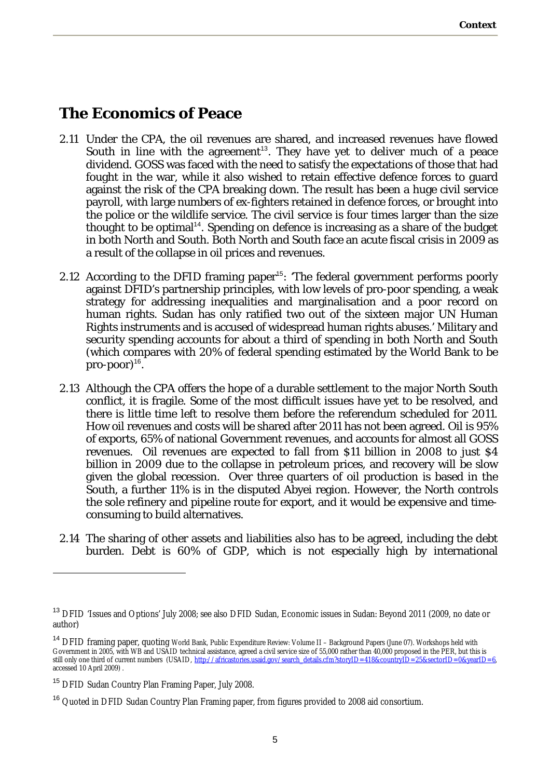## **The Economics of Peace**

- 2.11 Under the CPA, the oil revenues are shared, and increased revenues have flowed South in line with the agreement<sup>13</sup>. They have yet to deliver much of a peace dividend. GOSS was faced with the need to satisfy the expectations of those that had fought in the war, while it also wished to retain effective defence forces to guard against the risk of the CPA breaking down. The result has been a huge civil service payroll, with large numbers of ex-fighters retained in defence forces, or brought into the police or the wildlife service. The civil service is four times larger than the size thought to be optimal<sup>14</sup>. Spending on defence is increasing as a share of the budget in both North and South. Both North and South face an acute fiscal crisis in 2009 as a result of the collapse in oil prices and revenues.
- 2.12 According to the DFID framing paper<sup>15</sup>: 'The federal government performs poorly against DFID's partnership principles, with low levels of pro-poor spending, a weak strategy for addressing inequalities and marginalisation and a poor record on human rights. Sudan has only ratified two out of the sixteen major UN Human Rights instruments and is accused of widespread human rights abuses.' Military and security spending accounts for about a third of spending in both North and South (which compares with 20% of federal spending estimated by the World Bank to be pro-poor)<sup>16</sup>.
- 2.13 Although the CPA offers the hope of a durable settlement to the major North South conflict, it is fragile. Some of the most difficult issues have yet to be resolved, and there is little time left to resolve them before the referendum scheduled for 2011. How oil revenues and costs will be shared after 2011 has not been agreed. Oil is 95% of exports, 65% of national Government revenues, and accounts for almost all GOSS revenues. Oil revenues are expected to fall from \$11 billion in 2008 to just \$4 billion in 2009 due to the collapse in petroleum prices, and recovery will be slow given the global recession. Over three quarters of oil production is based in the South, a further 11% is in the disputed Abyei region. However, the North controls the sole refinery and pipeline route for export, and it would be expensive and timeconsuming to build alternatives.
- 2.14 The sharing of other assets and liabilities also has to be agreed, including the debt burden. Debt is 60% of GDP, which is not especially high by international

<sup>&</sup>lt;sup>13</sup> DFID 'Issues and Options' July 2008; see also DFID Sudan, Economic issues in Sudan: Beyond 2011 (2009, no date or author)

<sup>&</sup>lt;sup>14</sup> DFID framing paper, quoting World Bank, Public Expenditure Review: Volume II – Background Papers (June 07). Workshops held with Government in 2005, with WB and USAID technical assistance, agreed a civil service size of 55,000 rather than 40,000 proposed in the PER, but this is still only one third of current numbers (USAID, http://africastories.usaid.gov/search\_details.cfm?storyID=418&countryID=25&sectorID=0&yearID=6, accessed 10 April 2009) .

<sup>&</sup>lt;sup>15</sup> DFID Sudan Country Plan Framing Paper, July 2008.

<sup>&</sup>lt;sup>16</sup> Quoted in DFID Sudan Country Plan Framing paper, from figures provided to 2008 aid consortium.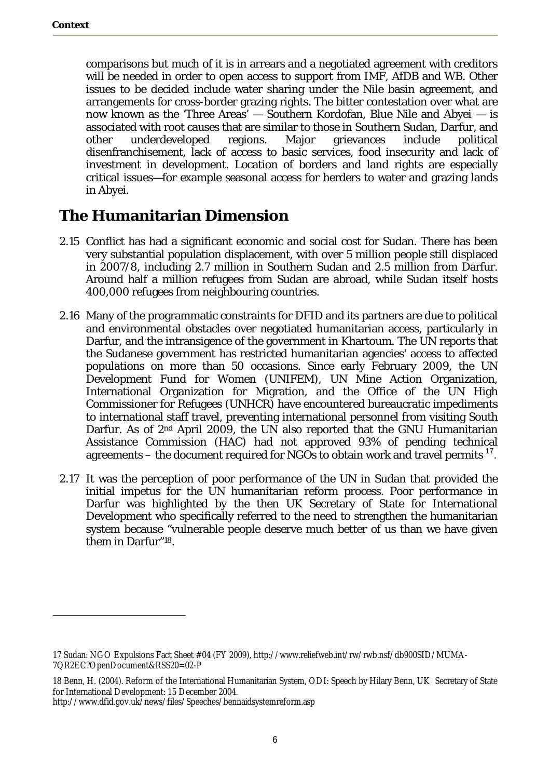$\overline{a}$ 

comparisons but much of it is in arrears and a negotiated agreement with creditors will be needed in order to open access to support from IMF, AfDB and WB. Other issues to be decided include water sharing under the Nile basin agreement, and arrangements for cross-border grazing rights. The bitter contestation over what are now known as the 'Three Areas' — Southern Kordofan, Blue Nile and Abyei — is associated with root causes that are similar to those in Southern Sudan, Darfur, and other underdeveloped regions. Major grievances include political disenfranchisement, lack of access to basic services, food insecurity and lack of investment in development. Location of borders and land rights are especially critical issues—for example seasonal access for herders to water and grazing lands in Abyei.

## **The Humanitarian Dimension**

- 2.15 Conflict has had a significant economic and social cost for Sudan. There has been very substantial population displacement, with over 5 million people still displaced in 2007/8, including 2.7 million in Southern Sudan and 2.5 million from Darfur. Around half a million refugees from Sudan are abroad, while Sudan itself hosts 400,000 refugees from neighbouring countries.
- 2.16 Many of the programmatic constraints for DFID and its partners are due to political and environmental obstacles over negotiated humanitarian access, particularly in Darfur, and the intransigence of the government in Khartoum. The UN reports that the Sudanese government has restricted humanitarian agencies' access to affected populations on more than 50 occasions. Since early February 2009, the UN Development Fund for Women (UNIFEM), UN Mine Action Organization, International Organization for Migration, and the Office of the UN High Commissioner for Refugees (UNHCR) have encountered bureaucratic impediments to international staff travel, preventing international personnel from visiting South Darfur. As of 2<sup>nd</sup> April 2009, the UN also reported that the GNU Humanitarian Assistance Commission (HAC) had not approved 93% of pending technical agreements – the document required for NGOs to obtain work and travel permits  $17$ .
- 2.17 It was the perception of poor performance of the UN in Sudan that provided the initial impetus for the UN humanitarian reform process. Poor performance in Darfur was highlighted by the then UK Secretary of State for International Development who specifically referred to the need to strengthen the humanitarian system because "vulnerable people deserve much better of us than we have given them in Darfur"18.

<sup>17</sup> Sudan: NGO Expulsions Fact Sheet #04 (FY 2009), http://www.reliefweb.int/rw/rwb.nsf/db900SID/MUMA-7QR2EC?OpenDocument&RSS20=02-P

<sup>18</sup> Benn, H. (2004). Reform of the International Humanitarian System, ODI: Speech by Hilary Benn, UK Secretary of State for International Development: 15 December 2004.

http://www.dfid.gov.uk/news/files/Speeches/bennaidsystemreform.asp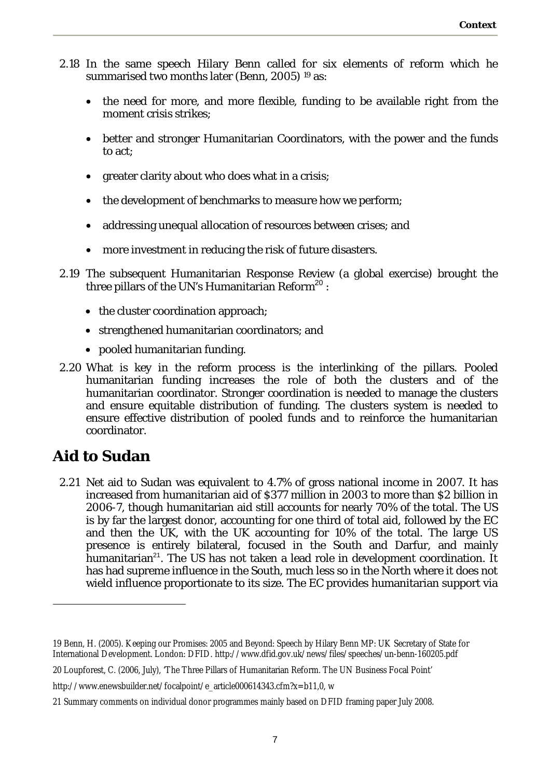- 2.18 In the same speech Hilary Benn called for six elements of reform which he summarised two months later (Benn, 2005) 19 as:
	- the need for more, and more flexible, funding to be available right from the moment crisis strikes;
	- better and stronger Humanitarian Coordinators, with the power and the funds to act;
	- greater clarity about who does what in a crisis;
	- the development of benchmarks to measure how we perform;
	- addressing unequal allocation of resources between crises; and
	- more investment in reducing the risk of future disasters.
- 2.19 The subsequent Humanitarian Response Review (a global exercise) brought the three pillars of the UN's Humanitarian Reform<sup>20</sup>:
	- the cluster coordination approach;
	- strengthened humanitarian coordinators; and
	- pooled humanitarian funding.
- 2.20 What is key in the reform process is the interlinking of the pillars. Pooled humanitarian funding increases the role of both the clusters and of the humanitarian coordinator. Stronger coordination is needed to manage the clusters and ensure equitable distribution of funding. The clusters system is needed to ensure effective distribution of pooled funds and to reinforce the humanitarian coordinator.

## **Aid to Sudan**

 $\overline{a}$ 

2.21 Net aid to Sudan was equivalent to 4.7% of gross national income in 2007. It has increased from humanitarian aid of \$377 million in 2003 to more than \$2 billion in 2006-7, though humanitarian aid still accounts for nearly 70% of the total. The US is by far the largest donor, accounting for one third of total aid, followed by the EC and then the UK, with the UK accounting for 10% of the total. The large US presence is entirely bilateral, focused in the South and Darfur, and mainly humanitarian<sup>21</sup>. The US has not taken a lead role in development coordination. It has had supreme influence in the South, much less so in the North where it does not wield influence proportionate to its size. The EC provides humanitarian support via

<sup>19</sup> Benn, H. (2005). Keeping our Promises: 2005 and Beyond: Speech by Hilary Benn MP: UK Secretary of State for International Development. London: DFID. http://www.dfid.gov.uk/news/files/speeches/un-benn-160205.pdf

<sup>20</sup> Loupforest, C. (2006, July), 'The Three Pillars of Humanitarian Reform. The UN Business Focal Point'

http://www.enewsbuilder.net/focalpoint/e\_article000614343.cfm?x=b11,0, w

<sup>21</sup> Summary comments on individual donor programmes mainly based on DFID framing paper July 2008.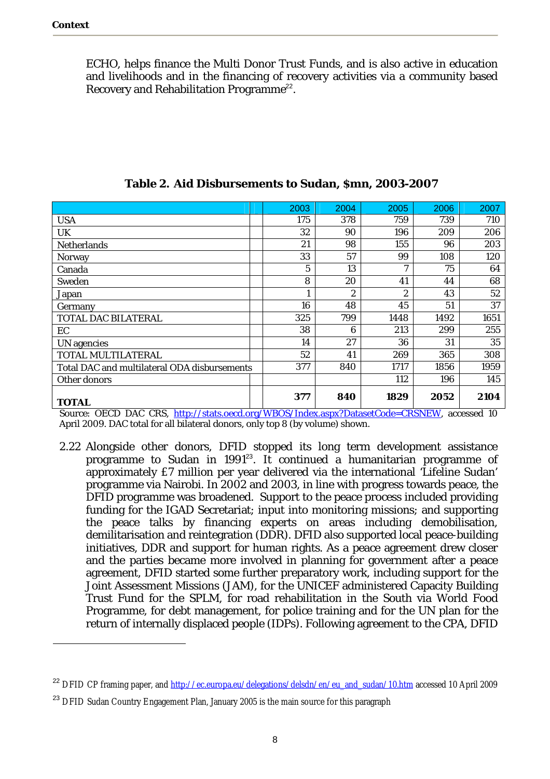$\overline{a}$ 

ECHO, helps finance the Multi Donor Trust Funds, and is also active in education and livelihoods and in the financing of recovery activities via a community based Recovery and Rehabilitation Programme<sup>22</sup>.

|                                              | 2003 | 2004           | 2005 | 2006 | 2007 |
|----------------------------------------------|------|----------------|------|------|------|
| <b>USA</b>                                   | 175  | 378            | 759  | 739  | 710  |
| UK                                           | 32   | 90             | 196  | 209  | 206  |
| Netherlands                                  | 21   | 98             | 155  | 96   | 203  |
| Norway                                       | 33   | 57             | 99   | 108  | 120  |
| Canada                                       | 5    | 13             | 7    | 75   | 64   |
| Sweden                                       | 8    | 20             | 41   | 44   | 68   |
| Japan                                        | 1    | $\mathfrak{D}$ | 2    | 43   | 52   |
| Germany                                      | 16   | 48             | 45   | 51   | 37   |
| TOTAL DAC BILATERAL                          | 325  | 799            | 1448 | 1492 | 1651 |
| EC                                           | 38   | 6              | 213  | 299  | 255  |
| UN agencies                                  | 14   | 27             | 36   | 31   | 35   |
| <b>TOTAL MULTILATERAL</b>                    | 52   | 41             | 269  | 365  | 308  |
| Total DAC and multilateral ODA disbursements | 377  | 840            | 1717 | 1856 | 1959 |
| Other donors                                 |      |                | 112  | 196  | 145  |
| <b>TOTAL</b>                                 | 377  | 840            | 1829 | 2052 | 2104 |

**Table 2. Aid Disbursements to Sudan, \$mn, 2003-2007** 

Source: OECD DAC CRS, http://stats.oecd.org/WBOS/Index.aspx?DatasetCode=CRSNEW, accessed 10 April 2009. DAC total for all bilateral donors, only top 8 (by volume) shown.

2.22 Alongside other donors, DFID stopped its long term development assistance programme to Sudan in 1991<sup>23</sup>. It continued a humanitarian programme of approximately £7 million per year delivered via the international 'Lifeline Sudan' programme via Nairobi. In 2002 and 2003, in line with progress towards peace, the DFID programme was broadened. Support to the peace process included providing funding for the IGAD Secretariat; input into monitoring missions; and supporting the peace talks by financing experts on areas including demobilisation, demilitarisation and reintegration (DDR). DFID also supported local peace-building initiatives, DDR and support for human rights. As a peace agreement drew closer and the parties became more involved in planning for government after a peace agreement, DFID started some further preparatory work, including support for the Joint Assessment Missions (JAM), for the UNICEF administered Capacity Building Trust Fund for the SPLM, for road rehabilitation in the South via World Food Programme, for debt management, for police training and for the UN plan for the return of internally displaced people (IDPs). Following agreement to the CPA, DFID

<sup>&</sup>lt;sup>22</sup> DFID CP framing paper, and http://ec.europa.eu/delegations/delsdn/en/eu\_and\_sudan/10.htm accessed 10 April 2009

<sup>&</sup>lt;sup>23</sup> DFID Sudan Country Engagement Plan, January 2005 is the main source for this paragraph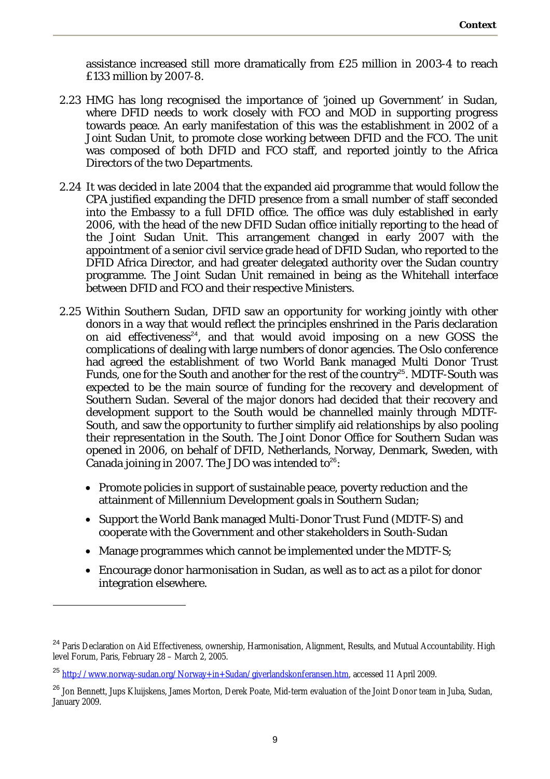assistance increased still more dramatically from £25 million in 2003-4 to reach £133 million by 2007-8.

- 2.23 HMG has long recognised the importance of 'joined up Government' in Sudan, where DFID needs to work closely with FCO and MOD in supporting progress towards peace. An early manifestation of this was the establishment in 2002 of a Joint Sudan Unit, to promote close working between DFID and the FCO. The unit was composed of both DFID and FCO staff, and reported jointly to the Africa Directors of the two Departments.
- 2.24 It was decided in late 2004 that the expanded aid programme that would follow the CPA justified expanding the DFID presence from a small number of staff seconded into the Embassy to a full DFID office. The office was duly established in early 2006, with the head of the new DFID Sudan office initially reporting to the head of the Joint Sudan Unit. This arrangement changed in early 2007 with the appointment of a senior civil service grade head of DFID Sudan, who reported to the DFID Africa Director, and had greater delegated authority over the Sudan country programme. The Joint Sudan Unit remained in being as the Whitehall interface between DFID and FCO and their respective Ministers.
- 2.25 Within Southern Sudan, DFID saw an opportunity for working jointly with other donors in a way that would reflect the principles enshrined in the Paris declaration on aid effectiveness<sup>24</sup>, and that would avoid imposing on a new GOSS the complications of dealing with large numbers of donor agencies. The Oslo conference had agreed the establishment of two World Bank managed Multi Donor Trust Funds, one for the South and another for the rest of the country<sup>25</sup>. MDTF-South was expected to be the main source of funding for the recovery and development of Southern Sudan. Several of the major donors had decided that their recovery and development support to the South would be channelled mainly through MDTF-South, and saw the opportunity to further simplify aid relationships by also pooling their representation in the South. The Joint Donor Office for Southern Sudan was opened in 2006, on behalf of DFID, Netherlands, Norway, Denmark, Sweden, with Canada joining in 2007. The JDO was intended to $26$ :
	- Promote policies in support of sustainable peace, poverty reduction and the attainment of Millennium Development goals in Southern Sudan;
	- Support the World Bank managed Multi-Donor Trust Fund (MDTF-S) and cooperate with the Government and other stakeholders in South-Sudan
	- Manage programmes which cannot be implemented under the MDTF-S;
	- Encourage donor harmonisation in Sudan, as well as to act as a pilot for donor integration elsewhere.

<sup>&</sup>lt;sup>24</sup> Paris Declaration on Aid Effectiveness, ownership, Harmonisation, Alignment, Results, and Mutual Accountability. High level Forum, Paris, February 28 – March 2, 2005.

<sup>25</sup> http://www.norway-sudan.org/Norway+in+Sudan/giverlandskonferansen.htm, accessed 11 April 2009.

<sup>&</sup>lt;sup>26</sup> Jon Bennett, Jups Kluijskens, James Morton, Derek Poate, Mid-term evaluation of the Joint Donor team in Juba, Sudan, January 2009.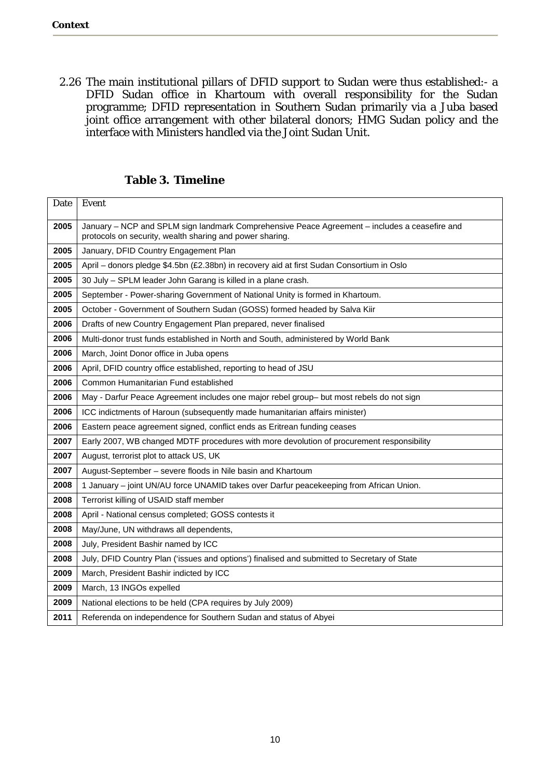2.26 The main institutional pillars of DFID support to Sudan were thus established:- a DFID Sudan office in Khartoum with overall responsibility for the Sudan programme; DFID representation in Southern Sudan primarily via a Juba based joint office arrangement with other bilateral donors; HMG Sudan policy and the interface with Ministers handled via the Joint Sudan Unit.

| Date | Event                                                                                                                                                     |
|------|-----------------------------------------------------------------------------------------------------------------------------------------------------------|
| 2005 | January - NCP and SPLM sign landmark Comprehensive Peace Agreement - includes a ceasefire and<br>protocols on security, wealth sharing and power sharing. |
| 2005 | January, DFID Country Engagement Plan                                                                                                                     |
| 2005 | April - donors pledge \$4.5bn (£2.38bn) in recovery aid at first Sudan Consortium in Oslo                                                                 |
| 2005 | 30 July - SPLM leader John Garang is killed in a plane crash.                                                                                             |
| 2005 | September - Power-sharing Government of National Unity is formed in Khartoum.                                                                             |
| 2005 | October - Government of Southern Sudan (GOSS) formed headed by Salva Kiir                                                                                 |
| 2006 | Drafts of new Country Engagement Plan prepared, never finalised                                                                                           |
| 2006 | Multi-donor trust funds established in North and South, administered by World Bank                                                                        |
| 2006 | March, Joint Donor office in Juba opens                                                                                                                   |
| 2006 | April, DFID country office established, reporting to head of JSU                                                                                          |
| 2006 | Common Humanitarian Fund established                                                                                                                      |
| 2006 | May - Darfur Peace Agreement includes one major rebel group- but most rebels do not sign                                                                  |
| 2006 | ICC indictments of Haroun (subsequently made humanitarian affairs minister)                                                                               |
| 2006 | Eastern peace agreement signed, conflict ends as Eritrean funding ceases                                                                                  |
| 2007 | Early 2007, WB changed MDTF procedures with more devolution of procurement responsibility                                                                 |
| 2007 | August, terrorist plot to attack US, UK                                                                                                                   |
| 2007 | August-September - severe floods in Nile basin and Khartoum                                                                                               |
| 2008 | 1 January - joint UN/AU force UNAMID takes over Darfur peacekeeping from African Union.                                                                   |
| 2008 | Terrorist killing of USAID staff member                                                                                                                   |
| 2008 | April - National census completed; GOSS contests it                                                                                                       |
| 2008 | May/June, UN withdraws all dependents,                                                                                                                    |
| 2008 | July, President Bashir named by ICC                                                                                                                       |
| 2008 | July, DFID Country Plan ('issues and options') finalised and submitted to Secretary of State                                                              |
| 2009 | March, President Bashir indicted by ICC                                                                                                                   |
| 2009 | March, 13 INGOs expelled                                                                                                                                  |
| 2009 | National elections to be held (CPA requires by July 2009)                                                                                                 |
| 2011 | Referenda on independence for Southern Sudan and status of Abyei                                                                                          |
|      |                                                                                                                                                           |

**Table 3. Timeline**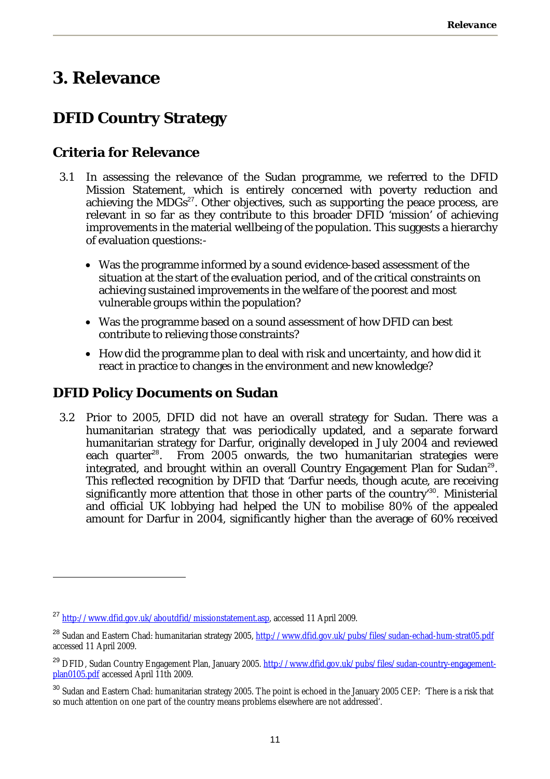# **3. Relevance**

## **DFID Country Strategy**

#### **Criteria for Relevance**

- 3.1 In assessing the relevance of the Sudan programme, we referred to the DFID Mission Statement, which is entirely concerned with poverty reduction and achieving the MDGs<sup>27</sup>. Other objectives, such as supporting the peace process, are relevant in so far as they contribute to this broader DFID 'mission' of achieving improvements in the material wellbeing of the population. This suggests a hierarchy of evaluation questions:-
	- Was the programme informed by a sound evidence-based assessment of the situation at the start of the evaluation period, and of the critical constraints on achieving sustained improvements in the welfare of the poorest and most vulnerable groups within the population?
	- Was the programme based on a sound assessment of how DFID can best contribute to relieving those constraints?
	- How did the programme plan to deal with risk and uncertainty, and how did it react in practice to changes in the environment and new knowledge?

#### **DFID Policy Documents on Sudan**

 $\overline{a}$ 

3.2 Prior to 2005, DFID did not have an overall strategy for Sudan. There was a humanitarian strategy that was periodically updated, and a separate forward humanitarian strategy for Darfur, originally developed in July 2004 and reviewed each quarter<sup>28</sup>. From 2005 onwards, the two humanitarian strategies were integrated, and brought within an overall Country Engagement Plan for Sudan<sup>29</sup>. This reflected recognition by DFID that 'Darfur needs, though acute, are receiving significantly more attention that those in other parts of the country<sup>30</sup>. Ministerial and official UK lobbying had helped the UN to mobilise 80% of the appealed amount for Darfur in 2004, significantly higher than the average of 60% received

<sup>27</sup> http://www.dfid.gov.uk/aboutdfid/missionstatement.asp, accessed 11 April 2009.

<sup>&</sup>lt;sup>28</sup> Sudan and Eastern Chad: humanitarian strategy 2005, http://www.dfid.gov.uk/pubs/files/sudan-echad-hum-strat05.pdf accessed 11 April 2009.

<sup>&</sup>lt;sup>29</sup> DFID, Sudan Country Engagement Plan, January 2005. http://www.dfid.gov.uk/pubs/files/sudan-country-engagementplan0105.pdf accessed April 11th 2009.

<sup>&</sup>lt;sup>30</sup> Sudan and Eastern Chad: humanitarian strategy 2005. The point is echoed in the January 2005 CEP: 'There is a risk that so much attention on one part of the country means problems elsewhere are not addressed'.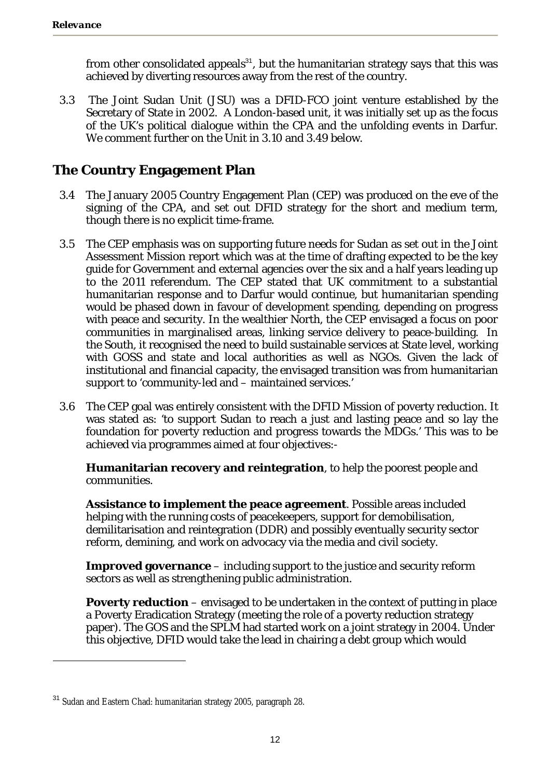from other consolidated appeals $31$ , but the humanitarian strategy says that this was achieved by diverting resources away from the rest of the country.

3.3 The Joint Sudan Unit (JSU) was a DFID-FCO joint venture established by the Secretary of State in 2002. A London-based unit, it was initially set up as the focus of the UK's political dialogue within the CPA and the unfolding events in Darfur. We comment further on the Unit in 3.10 and 3.49 below.

#### **The Country Engagement Plan**

- 3.4 The January 2005 Country Engagement Plan (CEP) was produced on the eve of the signing of the CPA, and set out DFID strategy for the short and medium term, though there is no explicit time-frame.
- 3.5 The CEP emphasis was on supporting future needs for Sudan as set out in the Joint Assessment Mission report which was at the time of drafting expected to be the key guide for Government and external agencies over the six and a half years leading up to the 2011 referendum. The CEP stated that UK commitment to a substantial humanitarian response and to Darfur would continue, but humanitarian spending would be phased down in favour of development spending, depending on progress with peace and security. In the wealthier North, the CEP envisaged a focus on poor communities in marginalised areas, linking service delivery to peace-building. In the South, it recognised the need to build sustainable services at State level, working with GOSS and state and local authorities as well as NGOs. Given the lack of institutional and financial capacity, the envisaged transition was from humanitarian support to 'community-led and – maintained services.'
- 3.6 The CEP goal was entirely consistent with the DFID Mission of poverty reduction. It was stated as: 'to support Sudan to reach a just and lasting peace and so lay the foundation for poverty reduction and progress towards the MDGs.' This was to be achieved via programmes aimed at four objectives:-

**Humanitarian recovery and reintegration**, to help the poorest people and communities.

**Assistance to implement the peace agreement**. Possible areas included helping with the running costs of peacekeepers, support for demobilisation, demilitarisation and reintegration (DDR) and possibly eventually security sector reform, demining, and work on advocacy via the media and civil society.

**Improved governance** – including support to the justice and security reform sectors as well as strengthening public administration.

**Poverty reduction** – envisaged to be undertaken in the context of putting in place a Poverty Eradication Strategy (meeting the role of a poverty reduction strategy paper). The GOS and the SPLM had started work on a joint strategy in 2004. Under this objective, DFID would take the lead in chairing a debt group which would

<sup>&</sup>lt;sup>31</sup> Sudan and Eastern Chad: humanitarian strategy 2005, paragraph 28.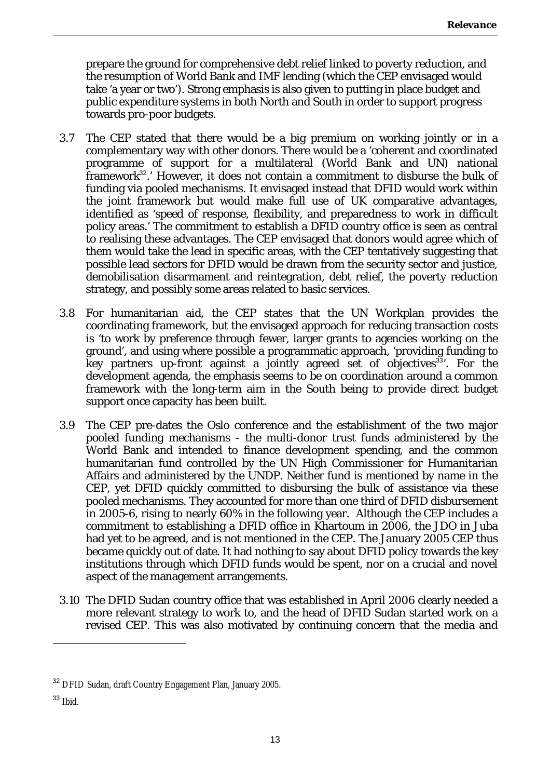prepare the ground for comprehensive debt relief linked to poverty reduction, and the resumption of World Bank and IMF lending (which the CEP envisaged would take 'a year or two'). Strong emphasis is also given to putting in place budget and public expenditure systems in both North and South in order to support progress towards pro-poor budgets.

- 3.7 The CEP stated that there would be a big premium on working jointly or in a complementary way with other donors. There would be a 'coherent and coordinated programme of support for a multilateral (World Bank and UN) national framework<sup>32</sup>.' However, it does not contain a commitment to disburse the bulk of funding via pooled mechanisms. It envisaged instead that DFID would work within the joint framework but would make full use of UK comparative advantages, identified as 'speed of response, flexibility, and preparedness to work in difficult policy areas.' The commitment to establish a DFID country office is seen as central to realising these advantages. The CEP envisaged that donors would agree which of them would take the lead in specific areas, with the CEP tentatively suggesting that possible lead sectors for DFID would be drawn from the security sector and justice, demobilisation disarmament and reintegration, debt relief, the poverty reduction strategy, and possibly some areas related to basic services.
- 3.8 For humanitarian aid, the CEP states that the UN Workplan provides the coordinating framework, but the envisaged approach for reducing transaction costs is 'to work by preference through fewer, larger grants to agencies working on the ground', and using where possible a programmatic approach, 'providing funding to key partners up-front against a jointly agreed set of objectives<sup>33</sup>'. For the development agenda, the emphasis seems to be on coordination around a common framework with the long-term aim in the South being to provide direct budget support once capacity has been built.
- 3.9 The CEP pre-dates the Oslo conference and the establishment of the two major pooled funding mechanisms - the multi-donor trust funds administered by the World Bank and intended to finance development spending, and the common humanitarian fund controlled by the UN High Commissioner for Humanitarian Affairs and administered by the UNDP. Neither fund is mentioned by name in the CEP, yet DFID quickly committed to disbursing the bulk of assistance via these pooled mechanisms. They accounted for more than one third of DFID disbursement in 2005-6, rising to nearly 60% in the following year. Although the CEP includes a commitment to establishing a DFID office in Khartoum in 2006, the JDO in Juba had yet to be agreed, and is not mentioned in the CEP. The January 2005 CEP thus became quickly out of date. It had nothing to say about DFID policy towards the key institutions through which DFID funds would be spent, nor on a crucial and novel aspect of the management arrangements.
- 3.10 The DFID Sudan country office that was established in April 2006 clearly needed a more relevant strategy to work to, and the head of DFID Sudan started work on a revised CEP. This was also motivated by continuing concern that the media and

<sup>33</sup> Ibid.

<sup>&</sup>lt;sup>32</sup> DFID Sudan, draft Country Engagement Plan, January 2005.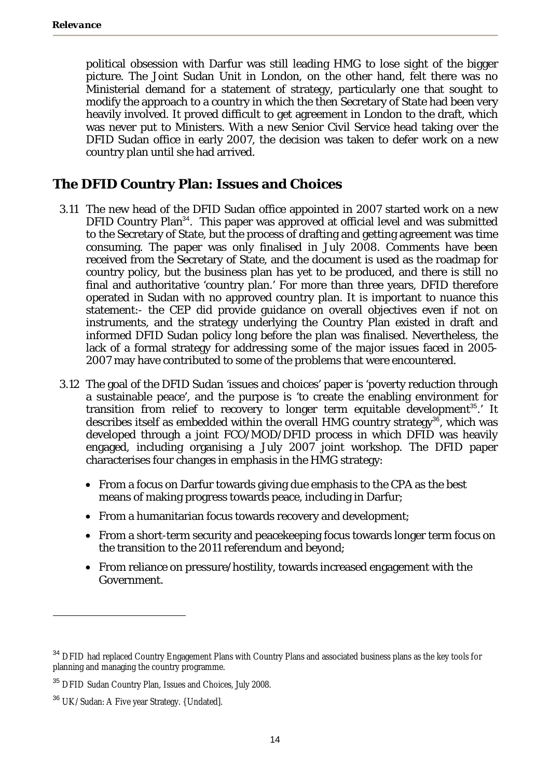political obsession with Darfur was still leading HMG to lose sight of the bigger picture. The Joint Sudan Unit in London, on the other hand, felt there was no Ministerial demand for a statement of strategy, particularly one that sought to modify the approach to a country in which the then Secretary of State had been very heavily involved. It proved difficult to get agreement in London to the draft, which was never put to Ministers. With a new Senior Civil Service head taking over the DFID Sudan office in early 2007, the decision was taken to defer work on a new country plan until she had arrived.

#### **The DFID Country Plan: Issues and Choices**

- 3.11 The new head of the DFID Sudan office appointed in 2007 started work on a new DFID Country Plan<sup>34</sup>. This paper was approved at official level and was submitted to the Secretary of State, but the process of drafting and getting agreement was time consuming. The paper was only finalised in July 2008. Comments have been received from the Secretary of State, and the document is used as the roadmap for country policy, but the business plan has yet to be produced, and there is still no final and authoritative 'country plan.' For more than three years, DFID therefore operated in Sudan with no approved country plan. It is important to nuance this statement:- the CEP did provide guidance on overall objectives even if not on instruments, and the strategy underlying the Country Plan existed in draft and informed DFID Sudan policy long before the plan was finalised. Nevertheless, the lack of a formal strategy for addressing some of the major issues faced in 2005- 2007 may have contributed to some of the problems that were encountered.
- 3.12 The goal of the DFID Sudan 'issues and choices' paper is 'poverty reduction through a sustainable peace', and the purpose is 'to create the enabling environment for transition from relief to recovery to longer term equitable development<sup>35</sup>.' It describes itself as embedded within the overall HMG country strategy<sup>36</sup>, which was developed through a joint FCO/MOD/DFID process in which DFID was heavily engaged, including organising a July 2007 joint workshop. The DFID paper characterises four changes in emphasis in the HMG strategy:
	- From a focus on Darfur towards giving due emphasis to the CPA as the best means of making progress towards peace, including in Darfur;
	- From a humanitarian focus towards recovery and development;
	- From a short-term security and peacekeeping focus towards longer term focus on the transition to the 2011 referendum and beyond;
	- From reliance on pressure/hostility, towards increased engagement with the Government.

<sup>&</sup>lt;sup>34</sup> DFID had replaced Country Engagement Plans with Country Plans and associated business plans as the key tools for planning and managing the country programme.

<sup>&</sup>lt;sup>35</sup> DFID Sudan Country Plan, Issues and Choices, July 2008.

<sup>&</sup>lt;sup>36</sup> UK/Sudan: A Five year Strategy. {Undated].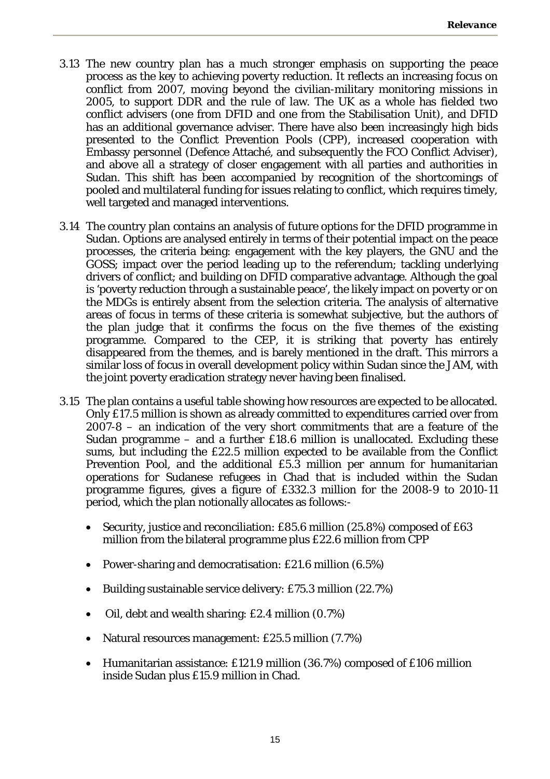- 3.13 The new country plan has a much stronger emphasis on supporting the peace process as the key to achieving poverty reduction. It reflects an increasing focus on conflict from 2007, moving beyond the civilian-military monitoring missions in 2005, to support DDR and the rule of law. The UK as a whole has fielded two conflict advisers (one from DFID and one from the Stabilisation Unit), and DFID has an additional governance adviser. There have also been increasingly high bids presented to the Conflict Prevention Pools (CPP), increased cooperation with Embassy personnel (Defence Attaché, and subsequently the FCO Conflict Adviser), and above all a strategy of closer engagement with all parties and authorities in Sudan. This shift has been accompanied by recognition of the shortcomings of pooled and multilateral funding for issues relating to conflict, which requires timely, well targeted and managed interventions.
- 3.14 The country plan contains an analysis of future options for the DFID programme in Sudan. Options are analysed entirely in terms of their potential impact on the peace processes, the criteria being: engagement with the key players, the GNU and the GOSS; impact over the period leading up to the referendum; tackling underlying drivers of conflict; and building on DFID comparative advantage. Although the goal is 'poverty reduction through a sustainable peace', the likely impact on poverty or on the MDGs is entirely absent from the selection criteria. The analysis of alternative areas of focus in terms of these criteria is somewhat subjective, but the authors of the plan judge that it confirms the focus on the five themes of the existing programme. Compared to the CEP, it is striking that poverty has entirely disappeared from the themes, and is barely mentioned in the draft. This mirrors a similar loss of focus in overall development policy within Sudan since the JAM, with the joint poverty eradication strategy never having been finalised.
- 3.15 The plan contains a useful table showing how resources are expected to be allocated. Only £17.5 million is shown as already committed to expenditures carried over from 2007-8 – an indication of the very short commitments that are a feature of the Sudan programme – and a further £18.6 million is unallocated. Excluding these sums, but including the £22.5 million expected to be available from the Conflict Prevention Pool, and the additional £5.3 million per annum for humanitarian operations for Sudanese refugees in Chad that is included within the Sudan programme figures, gives a figure of £332.3 million for the 2008-9 to 2010-11 period, which the plan notionally allocates as follows:-
	- Security, justice and reconciliation: £85.6 million (25.8%) composed of £63 million from the bilateral programme plus £22.6 million from CPP
	- Power-sharing and democratisation: £21.6 million (6.5%)
	- Building sustainable service delivery: £75.3 million (22.7%)
	- Oil, debt and wealth sharing: £2.4 million (0.7%)
	- Natural resources management: £25.5 million (7.7%)
	- Humanitarian assistance: £121.9 million (36.7%) composed of £106 million inside Sudan plus £15.9 million in Chad.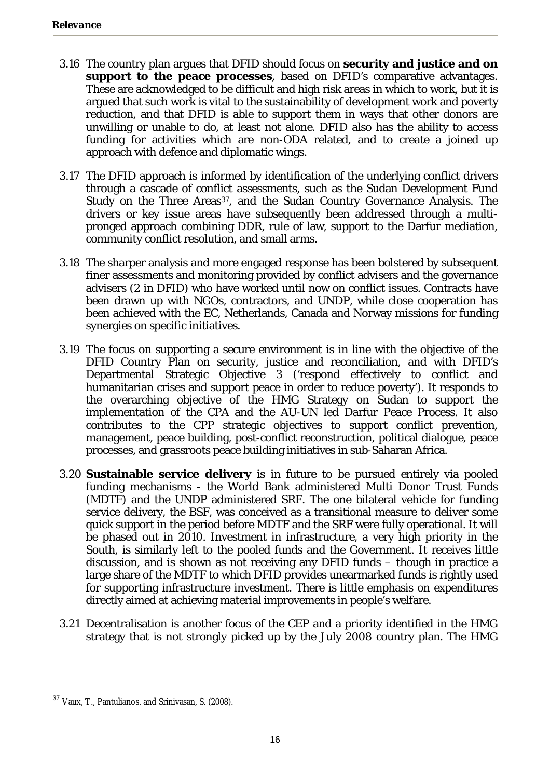- 3.16 The country plan argues that DFID should focus on **security and justice and on support to the peace processes**, based on DFID's comparative advantages. These are acknowledged to be difficult and high risk areas in which to work, but it is argued that such work is vital to the sustainability of development work and poverty reduction, and that DFID is able to support them in ways that other donors are unwilling or unable to do, at least not alone. DFID also has the ability to access funding for activities which are non-ODA related, and to create a joined up approach with defence and diplomatic wings.
- 3.17 The DFID approach is informed by identification of the underlying conflict drivers through a cascade of conflict assessments, such as the Sudan Development Fund Study on the Three Areas<sup>37</sup>, and the Sudan Country Governance Analysis. The drivers or key issue areas have subsequently been addressed through a multipronged approach combining DDR, rule of law, support to the Darfur mediation, community conflict resolution, and small arms.
- 3.18 The sharper analysis and more engaged response has been bolstered by subsequent finer assessments and monitoring provided by conflict advisers and the governance advisers (2 in DFID) who have worked until now on conflict issues. Contracts have been drawn up with NGOs, contractors, and UNDP, while close cooperation has been achieved with the EC, Netherlands, Canada and Norway missions for funding synergies on specific initiatives.
- 3.19 The focus on supporting a secure environment is in line with the objective of the DFID Country Plan on security, justice and reconciliation, and with DFID's Departmental Strategic Objective 3 ('respond effectively to conflict and humanitarian crises and support peace in order to reduce poverty'). It responds to the overarching objective of the HMG Strategy on Sudan to support the implementation of the CPA and the AU-UN led Darfur Peace Process. It also contributes to the CPP strategic objectives to support conflict prevention, management, peace building, post-conflict reconstruction, political dialogue, peace processes, and grassroots peace building initiatives in sub-Saharan Africa.
- 3.20 **Sustainable service delivery** is in future to be pursued entirely via pooled funding mechanisms - the World Bank administered Multi Donor Trust Funds (MDTF) and the UNDP administered SRF. The one bilateral vehicle for funding service delivery, the BSF, was conceived as a transitional measure to deliver some quick support in the period before MDTF and the SRF were fully operational. It will be phased out in 2010. Investment in infrastructure, a very high priority in the South, is similarly left to the pooled funds and the Government. It receives little discussion, and is shown as not receiving any DFID funds – though in practice a large share of the MDTF to which DFID provides unearmarked funds is rightly used for supporting infrastructure investment. There is little emphasis on expenditures directly aimed at achieving material improvements in people's welfare.
- 3.21 Decentralisation is another focus of the CEP and a priority identified in the HMG strategy that is not strongly picked up by the July 2008 country plan. The HMG

<sup>&</sup>lt;sup>37</sup> Vaux, T., Pantulianos. and Srinivasan, S. (2008).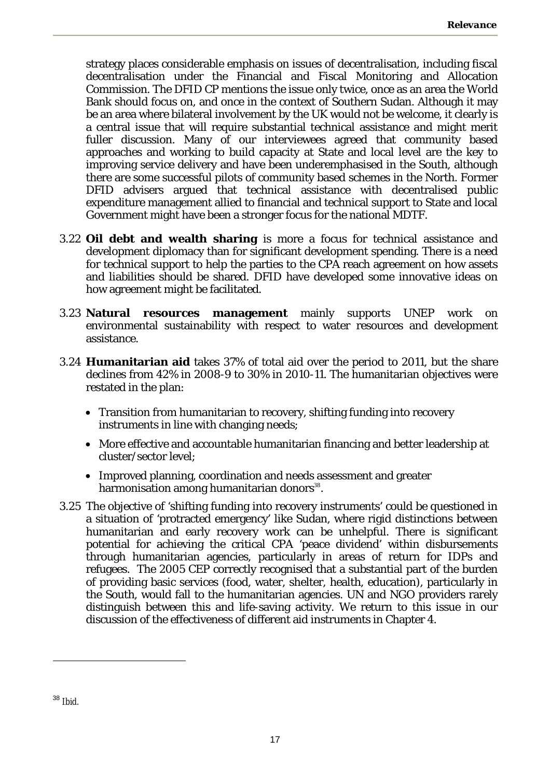strategy places considerable emphasis on issues of decentralisation, including fiscal decentralisation under the Financial and Fiscal Monitoring and Allocation Commission. The DFID CP mentions the issue only twice, once as an area the World Bank should focus on, and once in the context of Southern Sudan. Although it may be an area where bilateral involvement by the UK would not be welcome, it clearly is a central issue that will require substantial technical assistance and might merit fuller discussion. Many of our interviewees agreed that community based approaches and working to build capacity at State and local level are the key to improving service delivery and have been underemphasised in the South, although there are some successful pilots of community based schemes in the North. Former DFID advisers argued that technical assistance with decentralised public expenditure management allied to financial and technical support to State and local Government might have been a stronger focus for the national MDTF.

- 3.22 **Oil debt and wealth sharing** is more a focus for technical assistance and development diplomacy than for significant development spending. There is a need for technical support to help the parties to the CPA reach agreement on how assets and liabilities should be shared. DFID have developed some innovative ideas on how agreement might be facilitated.
- 3.23 **Natural resources management** mainly supports UNEP work on environmental sustainability with respect to water resources and development assistance.
- 3.24 **Humanitarian aid** takes 37% of total aid over the period to 2011, but the share declines from 42% in 2008-9 to 30% in 2010-11. The humanitarian objectives were restated in the plan:
	- Transition from humanitarian to recovery, shifting funding into recovery instruments in line with changing needs;
	- More effective and accountable humanitarian financing and better leadership at cluster/sector level;
	- Improved planning, coordination and needs assessment and greater harmonisation among humanitarian donors<sup>38</sup>.
- 3.25 The objective of 'shifting funding into recovery instruments' could be questioned in a situation of 'protracted emergency' like Sudan, where rigid distinctions between humanitarian and early recovery work can be unhelpful. There is significant potential for achieving the critical CPA 'peace dividend' within disbursements through humanitarian agencies, particularly in areas of return for IDPs and refugees. The 2005 CEP correctly recognised that a substantial part of the burden of providing basic services (food, water, shelter, health, education), particularly in the South, would fall to the humanitarian agencies. UN and NGO providers rarely distinguish between this and life-saving activity. We return to this issue in our discussion of the effectiveness of different aid instruments in Chapter 4.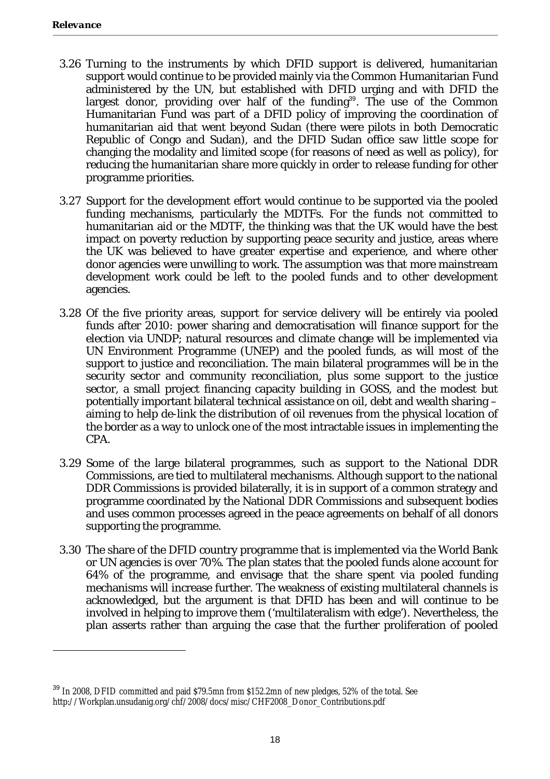- 3.26 Turning to the instruments by which DFID support is delivered, humanitarian support would continue to be provided mainly via the Common Humanitarian Fund administered by the UN, but established with DFID urging and with DFID the largest donor, providing over half of the funding<sup>39</sup>. The use of the Common Humanitarian Fund was part of a DFID policy of improving the coordination of humanitarian aid that went beyond Sudan (there were pilots in both Democratic Republic of Congo and Sudan), and the DFID Sudan office saw little scope for changing the modality and limited scope (for reasons of need as well as policy), for reducing the humanitarian share more quickly in order to release funding for other programme priorities.
- 3.27 Support for the development effort would continue to be supported via the pooled funding mechanisms, particularly the MDTFs. For the funds not committed to humanitarian aid or the MDTF, the thinking was that the UK would have the best impact on poverty reduction by supporting peace security and justice, areas where the UK was believed to have greater expertise and experience, and where other donor agencies were unwilling to work. The assumption was that more mainstream development work could be left to the pooled funds and to other development agencies.
- 3.28 Of the five priority areas, support for service delivery will be entirely via pooled funds after 2010: power sharing and democratisation will finance support for the election via UNDP; natural resources and climate change will be implemented via UN Environment Programme (UNEP) and the pooled funds, as will most of the support to justice and reconciliation. The main bilateral programmes will be in the security sector and community reconciliation, plus some support to the justice sector, a small project financing capacity building in GOSS, and the modest but potentially important bilateral technical assistance on oil, debt and wealth sharing – aiming to help de-link the distribution of oil revenues from the physical location of the border as a way to unlock one of the most intractable issues in implementing the CPA.
- 3.29 Some of the large bilateral programmes, such as support to the National DDR Commissions, are tied to multilateral mechanisms. Although support to the national DDR Commissions is provided bilaterally, it is in support of a common strategy and programme coordinated by the National DDR Commissions and subsequent bodies and uses common processes agreed in the peace agreements on behalf of all donors supporting the programme.
- 3.30 The share of the DFID country programme that is implemented via the World Bank or UN agencies is over 70%. The plan states that the pooled funds alone account for 64% of the programme, and envisage that the share spent via pooled funding mechanisms will increase further. The weakness of existing multilateral channels is acknowledged, but the argument is that DFID has been and will continue to be involved in helping to improve them ('multilateralism with edge'). Nevertheless, the plan asserts rather than arguing the case that the further proliferation of pooled

<sup>&</sup>lt;sup>39</sup> In 2008, DFID committed and paid \$79.5mn from \$152.2mn of new pledges, 52% of the total. See http://Workplan.unsudanig.org/chf/2008/docs/misc/CHF2008\_Donor\_Contributions.pdf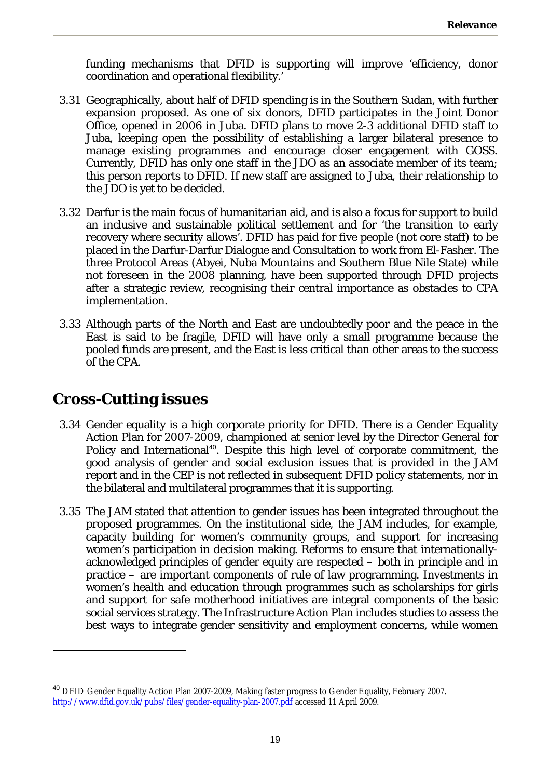funding mechanisms that DFID is supporting will improve 'efficiency, donor coordination and operational flexibility.'

- 3.31 Geographically, about half of DFID spending is in the Southern Sudan, with further expansion proposed. As one of six donors, DFID participates in the Joint Donor Office, opened in 2006 in Juba. DFID plans to move 2-3 additional DFID staff to Juba, keeping open the possibility of establishing a larger bilateral presence to manage existing programmes and encourage closer engagement with GOSS. Currently, DFID has only one staff in the JDO as an associate member of its team; this person reports to DFID. If new staff are assigned to Juba, their relationship to the JDO is yet to be decided.
- 3.32 Darfur is the main focus of humanitarian aid, and is also a focus for support to build an inclusive and sustainable political settlement and for 'the transition to early recovery where security allows'. DFID has paid for five people (not core staff) to be placed in the Darfur-Darfur Dialogue and Consultation to work from El-Fasher. The three Protocol Areas (Abyei, Nuba Mountains and Southern Blue Nile State) while not foreseen in the 2008 planning, have been supported through DFID projects after a strategic review, recognising their central importance as obstacles to CPA implementation.
- 3.33 Although parts of the North and East are undoubtedly poor and the peace in the East is said to be fragile, DFID will have only a small programme because the pooled funds are present, and the East is less critical than other areas to the success of the CPA.

# **Cross-Cutting issues**

- 3.34 Gender equality is a high corporate priority for DFID. There is a Gender Equality Action Plan for 2007-2009, championed at senior level by the Director General for Policy and International<sup>40</sup>. Despite this high level of corporate commitment, the good analysis of gender and social exclusion issues that is provided in the JAM report and in the CEP is not reflected in subsequent DFID policy statements, nor in the bilateral and multilateral programmes that it is supporting.
- 3.35 The JAM stated that attention to gender issues has been integrated throughout the proposed programmes. On the institutional side, the JAM includes, for example, capacity building for women's community groups, and support for increasing women's participation in decision making. Reforms to ensure that internationallyacknowledged principles of gender equity are respected – both in principle and in practice – are important components of rule of law programming. Investments in women's health and education through programmes such as scholarships for girls and support for safe motherhood initiatives are integral components of the basic social services strategy. The Infrastructure Action Plan includes studies to assess the best ways to integrate gender sensitivity and employment concerns, while women

<sup>40</sup> DFID Gender Equality Action Plan 2007-2009, Making faster progress to Gender Equality, February 2007. http://www.dfid.gov.uk/pubs/files/gender-equality-plan-2007.pdf accessed 11 April 2009.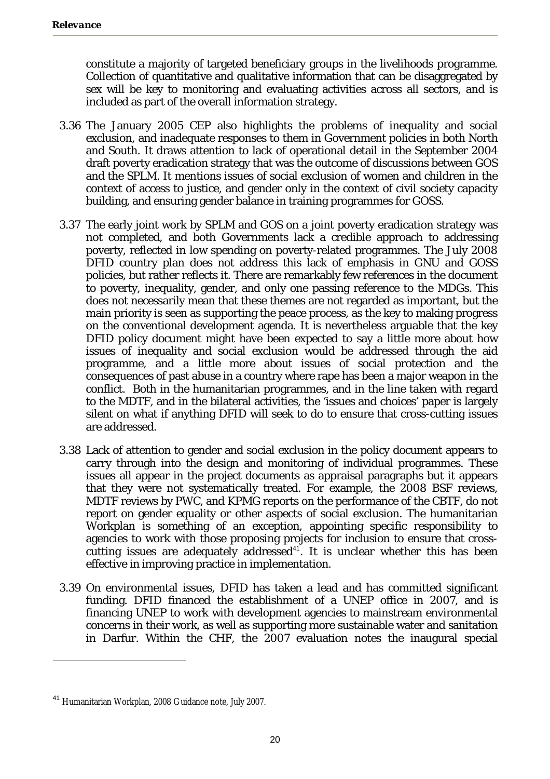constitute a majority of targeted beneficiary groups in the livelihoods programme. Collection of quantitative and qualitative information that can be disaggregated by sex will be key to monitoring and evaluating activities across all sectors, and is included as part of the overall information strategy.

- 3.36 The January 2005 CEP also highlights the problems of inequality and social exclusion, and inadequate responses to them in Government policies in both North and South. It draws attention to lack of operational detail in the September 2004 draft poverty eradication strategy that was the outcome of discussions between GOS and the SPLM. It mentions issues of social exclusion of women and children in the context of access to justice, and gender only in the context of civil society capacity building, and ensuring gender balance in training programmes for GOSS.
- 3.37 The early joint work by SPLM and GOS on a joint poverty eradication strategy was not completed, and both Governments lack a credible approach to addressing poverty, reflected in low spending on poverty-related programmes. The July 2008 DFID country plan does not address this lack of emphasis in GNU and GOSS policies, but rather reflects it. There are remarkably few references in the document to poverty, inequality, gender, and only one passing reference to the MDGs. This does not necessarily mean that these themes are not regarded as important, but the main priority is seen as supporting the peace process, as the key to making progress on the conventional development agenda. It is nevertheless arguable that the key DFID policy document might have been expected to say a little more about how issues of inequality and social exclusion would be addressed through the aid programme, and a little more about issues of social protection and the consequences of past abuse in a country where rape has been a major weapon in the conflict. Both in the humanitarian programmes, and in the line taken with regard to the MDTF, and in the bilateral activities, the 'issues and choices' paper is largely silent on what if anything DFID will seek to do to ensure that cross-cutting issues are addressed.
- 3.38 Lack of attention to gender and social exclusion in the policy document appears to carry through into the design and monitoring of individual programmes. These issues all appear in the project documents as appraisal paragraphs but it appears that they were not systematically treated. For example, the 2008 BSF reviews, MDTF reviews by PWC, and KPMG reports on the performance of the CBTF, do not report on gender equality or other aspects of social exclusion. The humanitarian Workplan is something of an exception, appointing specific responsibility to agencies to work with those proposing projects for inclusion to ensure that crosscutting issues are adequately addressed $41$ . It is unclear whether this has been effective in improving practice in implementation.
- 3.39 On environmental issues, DFID has taken a lead and has committed significant funding. DFID financed the establishment of a UNEP office in 2007, and is financing UNEP to work with development agencies to mainstream environmental concerns in their work, as well as supporting more sustainable water and sanitation in Darfur. Within the CHF, the 2007 evaluation notes the inaugural special

<sup>41</sup> Humanitarian Workplan, 2008 Guidance note, July 2007.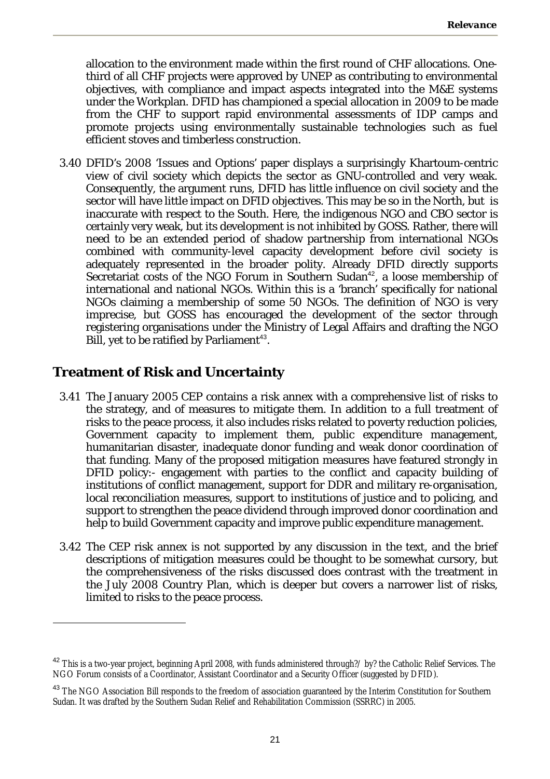allocation to the environment made within the first round of CHF allocations. Onethird of all CHF projects were approved by UNEP as contributing to environmental objectives, with compliance and impact aspects integrated into the M&E systems under the Workplan. DFID has championed a special allocation in 2009 to be made from the CHF to support rapid environmental assessments of IDP camps and promote projects using environmentally sustainable technologies such as fuel efficient stoves and timberless construction.

3.40 DFID's 2008 'Issues and Options' paper displays a surprisingly Khartoum-centric view of civil society which depicts the sector as GNU-controlled and very weak. Consequently, the argument runs, DFID has little influence on civil society and the sector will have little impact on DFID objectives. This may be so in the North, but is inaccurate with respect to the South. Here, the indigenous NGO and CBO sector is certainly very weak, but its development is not inhibited by GOSS. Rather, there will need to be an extended period of shadow partnership from international NGOs combined with community-level capacity development before civil society is adequately represented in the broader polity. Already DFID directly supports Secretariat costs of the NGO Forum in Southern Sudan<sup>42</sup>, a loose membership of international and national NGOs. Within this is a 'branch' specifically for national NGOs claiming a membership of some 50 NGOs. The definition of NGO is very imprecise, but GOSS has encouraged the development of the sector through registering organisations under the Ministry of Legal Affairs and drafting the NGO Bill, yet to be ratified by Parliament<sup>43</sup>.

## **Treatment of Risk and Uncertainty**

- 3.41 The January 2005 CEP contains a risk annex with a comprehensive list of risks to the strategy, and of measures to mitigate them. In addition to a full treatment of risks to the peace process, it also includes risks related to poverty reduction policies, Government capacity to implement them, public expenditure management, humanitarian disaster, inadequate donor funding and weak donor coordination of that funding. Many of the proposed mitigation measures have featured strongly in DFID policy:- engagement with parties to the conflict and capacity building of institutions of conflict management, support for DDR and military re-organisation, local reconciliation measures, support to institutions of justice and to policing, and support to strengthen the peace dividend through improved donor coordination and help to build Government capacity and improve public expenditure management.
- 3.42 The CEP risk annex is not supported by any discussion in the text, and the brief descriptions of mitigation measures could be thought to be somewhat cursory, but the comprehensiveness of the risks discussed does contrast with the treatment in the July 2008 Country Plan, which is deeper but covers a narrower list of risks, limited to risks to the peace process.

 $^{42}$  This is a two-year project, beginning April 2008, with funds administered through?/ by? the Catholic Relief Services. The NGO Forum consists of a Coordinator, Assistant Coordinator and a Security Officer (suggested by DFID).

<sup>&</sup>lt;sup>43</sup> The NGO Association Bill responds to the freedom of association guaranteed by the Interim Constitution for Southern Sudan. It was drafted by the Southern Sudan Relief and Rehabilitation Commission (SSRRC) in 2005.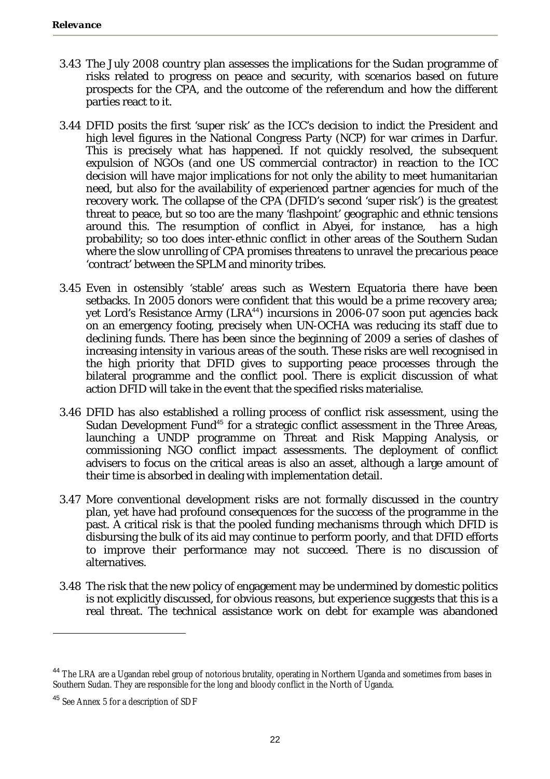- 3.43 The July 2008 country plan assesses the implications for the Sudan programme of risks related to progress on peace and security, with scenarios based on future prospects for the CPA, and the outcome of the referendum and how the different parties react to it.
- 3.44 DFID posits the first 'super risk' as the ICC's decision to indict the President and high level figures in the National Congress Party (NCP) for war crimes in Darfur. This is precisely what has happened. If not quickly resolved, the subsequent expulsion of NGOs (and one US commercial contractor) in reaction to the ICC decision will have major implications for not only the ability to meet humanitarian need, but also for the availability of experienced partner agencies for much of the recovery work. The collapse of the CPA (DFID's second 'super risk') is the greatest threat to peace, but so too are the many 'flashpoint' geographic and ethnic tensions around this. The resumption of conflict in Abyei, for instance, has a high probability; so too does inter-ethnic conflict in other areas of the Southern Sudan where the slow unrolling of CPA promises threatens to unravel the precarious peace 'contract' between the SPLM and minority tribes.
- 3.45 Even in ostensibly 'stable' areas such as Western Equatoria there have been setbacks. In 2005 donors were confident that this would be a prime recovery area; yet Lord's Resistance Army (LRA<sup>44</sup>) incursions in 2006-07 soon put agencies back on an emergency footing, precisely when UN-OCHA was reducing its staff due to declining funds. There has been since the beginning of 2009 a series of clashes of increasing intensity in various areas of the south. These risks are well recognised in the high priority that DFID gives to supporting peace processes through the bilateral programme and the conflict pool. There is explicit discussion of what action DFID will take in the event that the specified risks materialise.
- 3.46 DFID has also established a rolling process of conflict risk assessment, using the Sudan Development Fund<sup>45</sup> for a strategic conflict assessment in the Three Areas, launching a UNDP programme on Threat and Risk Mapping Analysis, or commissioning NGO conflict impact assessments. The deployment of conflict advisers to focus on the critical areas is also an asset, although a large amount of their time is absorbed in dealing with implementation detail.
- 3.47 More conventional development risks are not formally discussed in the country plan, yet have had profound consequences for the success of the programme in the past. A critical risk is that the pooled funding mechanisms through which DFID is disbursing the bulk of its aid may continue to perform poorly, and that DFID efforts to improve their performance may not succeed. There is no discussion of alternatives.
- 3.48 The risk that the new policy of engagement may be undermined by domestic politics is not explicitly discussed, for obvious reasons, but experience suggests that this is a real threat. The technical assistance work on debt for example was abandoned

<sup>&</sup>lt;sup>44</sup> The LRA are a Ugandan rebel group of notorious brutality, operating in Northern Uganda and sometimes from bases in Southern Sudan. They are responsible for the long and bloody conflict in the North of Uganda.

<sup>&</sup>lt;sup>45</sup> See Annex 5 for a description of SDF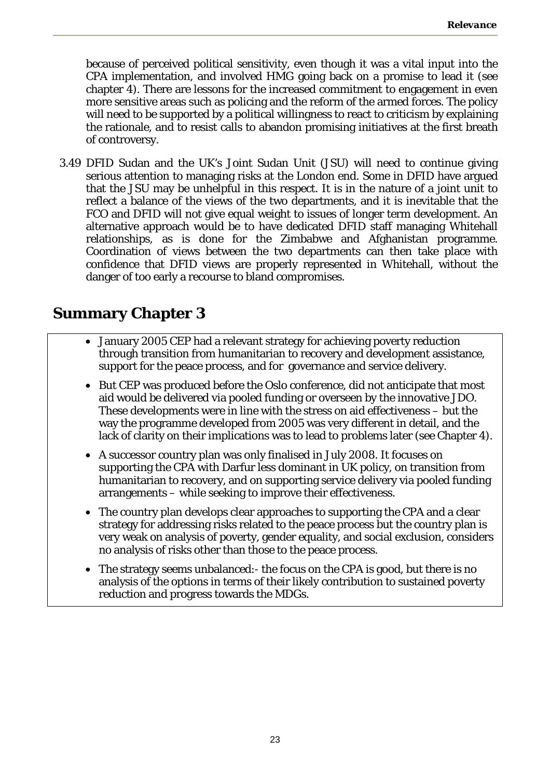because of perceived political sensitivity, even though it was a vital input into the CPA implementation, and involved HMG going back on a promise to lead it (see chapter 4). There are lessons for the increased commitment to engagement in even more sensitive areas such as policing and the reform of the armed forces. The policy will need to be supported by a political willingness to react to criticism by explaining the rationale, and to resist calls to abandon promising initiatives at the first breath of controversy.

3.49 DFID Sudan and the UK's Joint Sudan Unit (JSU) will need to continue giving serious attention to managing risks at the London end. Some in DFID have argued that the JSU may be unhelpful in this respect. It is in the nature of a joint unit to reflect a balance of the views of the two departments, and it is inevitable that the FCO and DFID will not give equal weight to issues of longer term development. An alternative approach would be to have dedicated DFID staff managing Whitehall relationships, as is done for the Zimbabwe and Afghanistan programme. Coordination of views between the two departments can then take place with confidence that DFID views are properly represented in Whitehall, without the danger of too early a recourse to bland compromises.

# **Summary Chapter 3**

- January 2005 CEP had a relevant strategy for achieving poverty reduction through transition from humanitarian to recovery and development assistance, support for the peace process, and for governance and service delivery.
- But CEP was produced before the Oslo conference, did not anticipate that most aid would be delivered via pooled funding or overseen by the innovative JDO. These developments were in line with the stress on aid effectiveness – but the way the programme developed from 2005 was very different in detail, and the lack of clarity on their implications was to lead to problems later (see Chapter 4).
- A successor country plan was only finalised in July 2008. It focuses on supporting the CPA with Darfur less dominant in UK policy, on transition from humanitarian to recovery, and on supporting service delivery via pooled funding arrangements – while seeking to improve their effectiveness.
- The country plan develops clear approaches to supporting the CPA and a clear strategy for addressing risks related to the peace process but the country plan is very weak on analysis of poverty, gender equality, and social exclusion, considers no analysis of risks other than those to the peace process.
- The strategy seems unbalanced: the focus on the CPA is good, but there is no analysis of the options in terms of their likely contribution to sustained poverty reduction and progress towards the MDGs.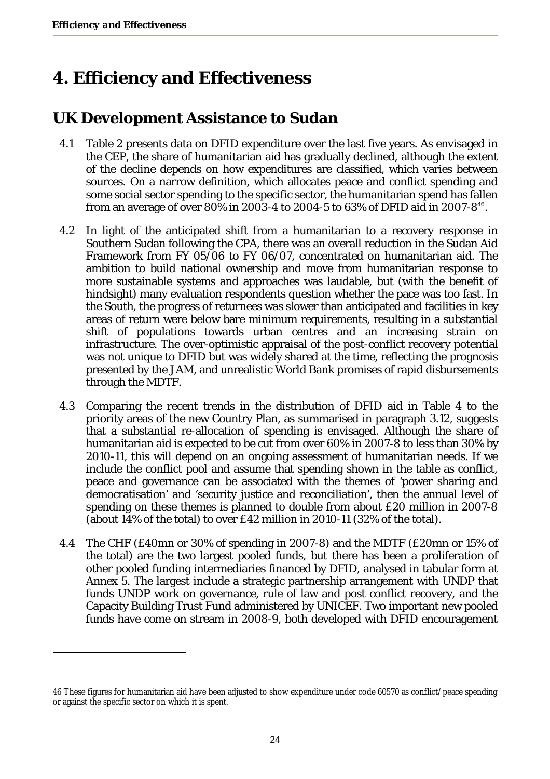# **4. Efficiency and Effectiveness**

# **UK Development Assistance to Sudan**

- 4.1 Table 2 presents data on DFID expenditure over the last five years. As envisaged in the CEP, the share of humanitarian aid has gradually declined, although the extent of the decline depends on how expenditures are classified, which varies between sources. On a narrow definition, which allocates peace and conflict spending and some social sector spending to the specific sector, the humanitarian spend has fallen from an average of over 80% in 2003-4 to 2004-5 to 63% of DFID aid in 2007-8<sup>46</sup>.
- 4.2 In light of the anticipated shift from a humanitarian to a recovery response in Southern Sudan following the CPA, there was an overall reduction in the Sudan Aid Framework from FY 05/06 to FY 06/07, concentrated on humanitarian aid. The ambition to build national ownership and move from humanitarian response to more sustainable systems and approaches was laudable, but (with the benefit of hindsight) many evaluation respondents question whether the pace was too fast. In the South, the progress of returnees was slower than anticipated and facilities in key areas of return were below bare minimum requirements, resulting in a substantial shift of populations towards urban centres and an increasing strain on infrastructure. The over-optimistic appraisal of the post-conflict recovery potential was not unique to DFID but was widely shared at the time, reflecting the prognosis presented by the JAM, and unrealistic World Bank promises of rapid disbursements through the MDTF.
- 4.3 Comparing the recent trends in the distribution of DFID aid in Table 4 to the priority areas of the new Country Plan, as summarised in paragraph 3.12, suggests that a substantial re-allocation of spending is envisaged. Although the share of humanitarian aid is expected to be cut from over 60% in 2007-8 to less than 30% by 2010-11, this will depend on an ongoing assessment of humanitarian needs. If we include the conflict pool and assume that spending shown in the table as conflict, peace and governance can be associated with the themes of 'power sharing and democratisation' and 'security justice and reconciliation', then the annual level of spending on these themes is planned to double from about £20 million in 2007-8 (about 14% of the total) to over £42 million in 2010-11 (32% of the total).
- 4.4 The CHF (£40mn or 30% of spending in 2007-8) and the MDTF (£20mn or 15% of the total) are the two largest pooled funds, but there has been a proliferation of other pooled funding intermediaries financed by DFID, analysed in tabular form at Annex 5. The largest include a strategic partnership arrangement with UNDP that funds UNDP work on governance, rule of law and post conflict recovery, and the Capacity Building Trust Fund administered by UNICEF. Two important new pooled funds have come on stream in 2008-9, both developed with DFID encouragement

<sup>46</sup> These figures for humanitarian aid have been adjusted to show expenditure under code 60570 as conflict/peace spending or against the specific sector on which it is spent.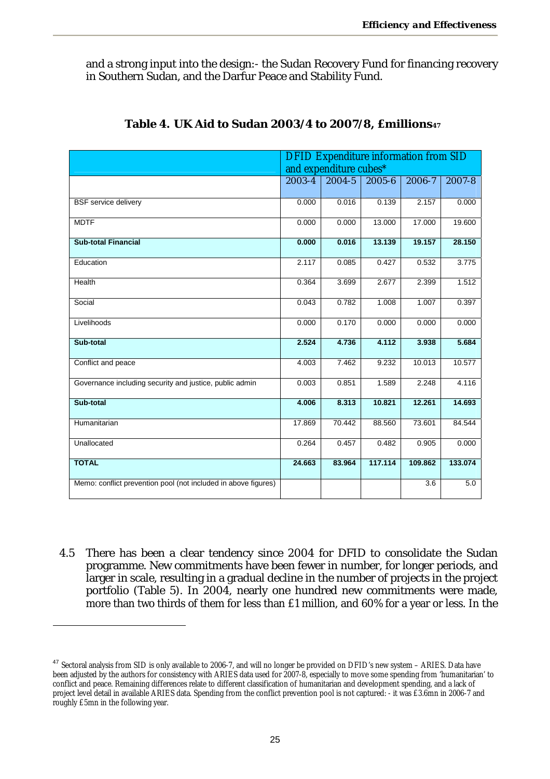and a strong input into the design:- the Sudan Recovery Fund for financing recovery in Southern Sudan, and the Darfur Peace and Stability Fund.

|                                                                | <b>DFID Expenditure information from SID</b><br>and expenditure cubes* |            |            |         |            |  |  |  |  |
|----------------------------------------------------------------|------------------------------------------------------------------------|------------|------------|---------|------------|--|--|--|--|
|                                                                | $2003 - 4$                                                             | $2004 - 5$ | $2005 - 6$ | 2006-7  | $2007 - 8$ |  |  |  |  |
| <b>BSF</b> service delivery                                    | 0.000                                                                  | 0.016      | 0.139      | 2.157   | 0.000      |  |  |  |  |
| <b>MDTF</b>                                                    | 0.000                                                                  | 0.000      | 13.000     | 17.000  | 19.600     |  |  |  |  |
| <b>Sub-total Financial</b>                                     | 0.000                                                                  | 0.016      | 13.139     | 19.157  | 28.150     |  |  |  |  |
| Education                                                      | 2.117                                                                  | 0.085      | 0.427      | 0.532   | 3.775      |  |  |  |  |
| Health                                                         | 0.364                                                                  | 3.699      | 2.677      | 2.399   | 1.512      |  |  |  |  |
| Social                                                         | 0.043                                                                  | 0.782      | 1.008      | 1.007   | 0.397      |  |  |  |  |
| Livelihoods                                                    | 0.000                                                                  | 0.170      | 0.000      | 0.000   | 0.000      |  |  |  |  |
| Sub-total                                                      | 2.524                                                                  | 4.736      | 4.112      | 3.938   | 5.684      |  |  |  |  |
| Conflict and peace                                             | 4.003                                                                  | 7.462      | 9.232      | 10.013  | 10.577     |  |  |  |  |
| Governance including security and justice, public admin        | 0.003                                                                  | 0.851      | 1.589      | 2.248   | 4.116      |  |  |  |  |
| Sub-total                                                      | 4.006                                                                  | 8.313      | 10.821     | 12.261  | 14.693     |  |  |  |  |
| Humanitarian                                                   | 17.869                                                                 | 70.442     | 88.560     | 73.601  | 84.544     |  |  |  |  |
| Unallocated                                                    | 0.264                                                                  | 0.457      | 0.482      | 0.905   | 0.000      |  |  |  |  |
| <b>TOTAL</b>                                                   | 24.663                                                                 | 83.964     | 117.114    | 109.862 | 133.074    |  |  |  |  |
| Memo: conflict prevention pool (not included in above figures) |                                                                        |            |            | 3.6     | 5.0        |  |  |  |  |

#### **Table 4. UK Aid to Sudan 2003/4 to 2007/8, £millions47**

4.5 There has been a clear tendency since 2004 for DFID to consolidate the Sudan programme. New commitments have been fewer in number, for longer periods, and larger in scale, resulting in a gradual decline in the number of projects in the project portfolio (Table 5). In 2004, nearly one hundred new commitments were made, more than two thirds of them for less than £1 million, and 60% for a year or less. In the

<sup>&</sup>lt;sup>47</sup> Sectoral analysis from SID is only available to 2006-7, and will no longer be provided on DFID's new system - ARIES. Data have been adjusted by the authors for consistency with ARIES data used for 2007-8, especially to move some spending from 'humanitarian' to conflict and peace. Remaining differences relate to different classification of humanitarian and development spending, and a lack of project level detail in available ARIES data. Spending from the conflict prevention pool is not captured: - it was £3.6mn in 2006-7 and roughly £5mn in the following year.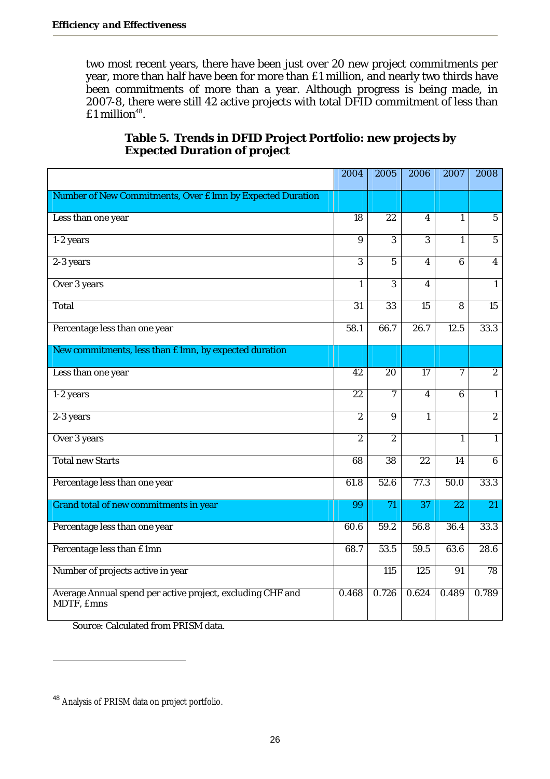two most recent years, there have been just over 20 new project commitments per year, more than half have been for more than £1 million, and nearly two thirds have been commitments of more than a year. Although progress is being made, in 2007-8, there were still 42 active projects with total DFID commitment of less than  $£1$  million<sup>48</sup>.

|                                                                          | 2004            | 2005             | 2006             | 2007            | 2008            |
|--------------------------------------------------------------------------|-----------------|------------------|------------------|-----------------|-----------------|
| Number of New Commitments, Over £1mn by Expected Duration                |                 |                  |                  |                 |                 |
| Less than one year                                                       | 18              | 22               | 4                | 1               | 5               |
| 1-2 years                                                                | $\overline{9}$  | $\overline{3}$   | $\overline{3}$   | 1               | $\overline{5}$  |
| 2-3 years                                                                | 3               | $\overline{5}$   | $\overline{4}$   | 6               | $\overline{4}$  |
| Over 3 years                                                             |                 | 3                | 4                |                 | 1               |
| Total                                                                    | $\overline{31}$ | $\overline{33}$  | $\overline{15}$  | $\overline{8}$  | $\overline{15}$ |
| Percentage less than one year                                            | 58.1            | 66.7             | 26.7             | 12.5            | 33.3            |
| New commitments, less than £1mn, by expected duration                    |                 |                  |                  |                 |                 |
| Less than one year                                                       | $\overline{42}$ | $\overline{20}$  | 17               | 7               | $\overline{2}$  |
| 1-2 years                                                                | $\overline{22}$ | $\overline{7}$   | 4                | 6               | $\mathbf{1}$    |
| 2-3 years                                                                | $\overline{2}$  | $\overline{9}$   | 1                |                 | $\overline{2}$  |
| Over 3 years                                                             | $\overline{2}$  | $\overline{2}$   |                  | $\mathbf{1}$    | $\mathbf{1}$    |
| <b>Total new Starts</b>                                                  | 68              | 38               | 22               | 14              | 6               |
| Percentage less than one year                                            | 61.8            | 52.6             | 77.3             | 50.0            | 33.3            |
| Grand total of new commitments in year                                   | 99              | 71               | $\overline{37}$  | $\overline{22}$ | $\overline{21}$ |
| Percentage less than one year                                            | 60.6            | 59.2             | 56.8             | 36.4            | 33.3            |
| Percentage less than £1mn                                                | 68.7            | 53.5             | 59.5             | 63.6            | 28.6            |
| Number of projects active in year                                        |                 | $\overline{115}$ | $\overline{125}$ | $\overline{91}$ | 78              |
| Average Annual spend per active project, excluding CHF and<br>MDTF, £mns | 0.468           | 0.726            | 0.624            | 0.489           | 0.789           |

### **Table 5. Trends in DFID Project Portfolio: new projects by Expected Duration of project**

Source: Calculated from PRISM data.

<sup>48</sup> Analysis of PRISM data on project portfolio.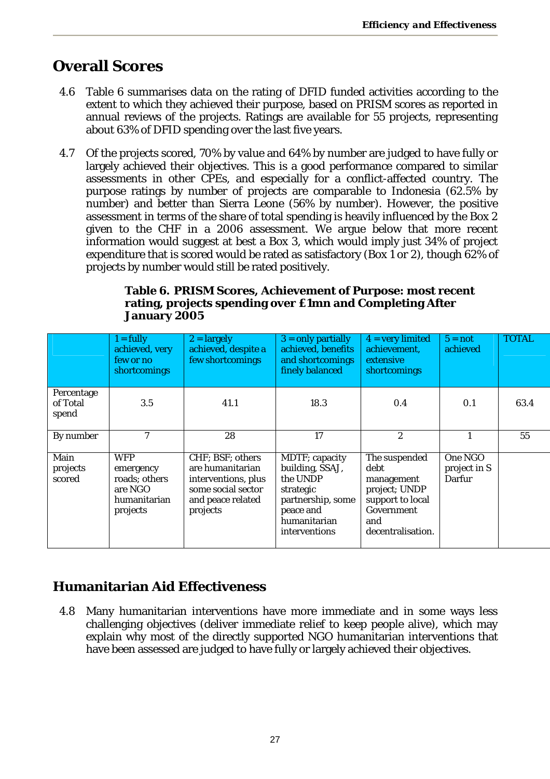# **Overall Scores**

- 4.6 Table 6 summarises data on the rating of DFID funded activities according to the extent to which they achieved their purpose, based on PRISM scores as reported in annual reviews of the projects. Ratings are available for 55 projects, representing about 63% of DFID spending over the last five years.
- 4.7 Of the projects scored, 70% by value and 64% by number are judged to have fully or largely achieved their objectives. This is a good performance compared to similar assessments in other CPEs, and especially for a conflict-affected country. The purpose ratings by number of projects are comparable to Indonesia (62.5% by number) and better than Sierra Leone (56% by number). However, the positive assessment in terms of the share of total spending is heavily influenced by the Box 2 given to the CHF in a 2006 assessment. We argue below that more recent information would suggest at best a Box 3, which would imply just 34% of project expenditure that is scored would be rated as satisfactory (Box 1 or 2), though 62% of projects by number would still be rated positively.

#### **Table 6. PRISM Scores, Achievement of Purpose: most recent rating, projects spending over £1mn and Completing After January 2005**

|                                 | $1 = fully$<br>achieved, very<br>few or no<br>shortcomings                      | $2 =$ largely<br>achieved, despite a<br>few shortcomings                                                           | $3 =$ only partially<br>achieved, benefits<br>and shortcomings<br>finely balanced                                                    | $4 = very limited$<br>achievement,<br>extensive<br>shortcomings                                                    | $5 = not$<br>achieved             | <b>TOTAL</b> |
|---------------------------------|---------------------------------------------------------------------------------|--------------------------------------------------------------------------------------------------------------------|--------------------------------------------------------------------------------------------------------------------------------------|--------------------------------------------------------------------------------------------------------------------|-----------------------------------|--------------|
| Percentage<br>of Total<br>spend | 3.5                                                                             | 41.1                                                                                                               | 18.3                                                                                                                                 | 0.4                                                                                                                | 0.1                               | 63.4         |
| By number                       |                                                                                 | 28                                                                                                                 | 17                                                                                                                                   | 2                                                                                                                  |                                   | 55           |
| Main<br>projects<br>scored      | <b>WFP</b><br>emergency<br>roads; others<br>are NGO<br>humanitarian<br>projects | CHF; BSF; others<br>are humanitarian<br>interventions, plus<br>some social sector<br>and peace related<br>projects | MDTF; capacity<br>building, SSAJ,<br>the UNDP<br>strategic<br>partnership, some<br>peace and<br>humanitarian<br><i>interventions</i> | The suspended<br>debt<br>management<br>project; UNDP<br>support to local<br>Government<br>and<br>decentralisation. | One NGO<br>project in S<br>Darfur |              |

# **Humanitarian Aid Effectiveness**

4.8 Many humanitarian interventions have more immediate and in some ways less challenging objectives (deliver immediate relief to keep people alive), which may explain why most of the directly supported NGO humanitarian interventions that have been assessed are judged to have fully or largely achieved their objectives.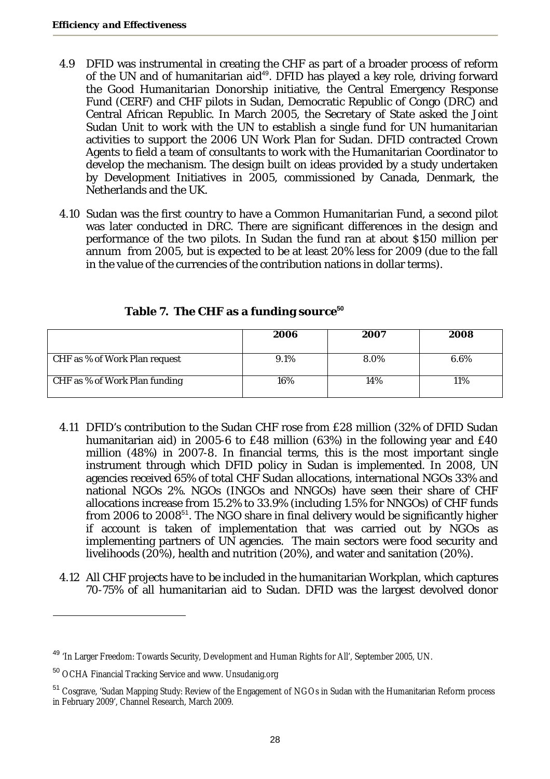- 4.9 DFID was instrumental in creating the CHF as part of a broader process of reform of the UN and of humanitarian aid<sup>49</sup>. DFID has played a key role, driving forward the Good Humanitarian Donorship initiative, the Central Emergency Response Fund (CERF) and CHF pilots in Sudan, Democratic Republic of Congo (DRC) and Central African Republic. In March 2005, the Secretary of State asked the Joint Sudan Unit to work with the UN to establish a single fund for UN humanitarian activities to support the 2006 UN Work Plan for Sudan. DFID contracted Crown Agents to field a team of consultants to work with the Humanitarian Coordinator to develop the mechanism. The design built on ideas provided by a study undertaken by Development Initiatives in 2005, commissioned by Canada, Denmark, the Netherlands and the UK.
- 4.10 Sudan was the first country to have a Common Humanitarian Fund, a second pilot was later conducted in DRC. There are significant differences in the design and performance of the two pilots. In Sudan the fund ran at about \$150 million per annum from 2005, but is expected to be at least 20% less for 2009 (due to the fall in the value of the currencies of the contribution nations in dollar terms).

|                               | 2006 | 2007 | <i><b>2008</b></i> |
|-------------------------------|------|------|--------------------|
| CHF as % of Work Plan request | 9.1% | 8.0% | 6.6%               |
| CHF as % of Work Plan funding | 16%  | 14%  | 11%                |

### **Table 7. The CHF as a funding source<sup>50</sup>**

- 4.11 DFID's contribution to the Sudan CHF rose from £28 million (32% of DFID Sudan humanitarian aid) in 2005-6 to £48 million (63%) in the following year and £40 million (48%) in 2007-8. In financial terms, this is the most important single instrument through which DFID policy in Sudan is implemented. In 2008, UN agencies received 65% of total CHF Sudan allocations, international NGOs 33% and national NGOs 2%. NGOs (INGOs and NNGOs) have seen their share of CHF allocations increase from 15.2% to 33.9% (including 1.5% for NNGOs) of CHF funds from 2006 to 2008<sup>51</sup>. The NGO share in final delivery would be significantly higher if account is taken of implementation that was carried out by NGOs as implementing partners of UN agencies. The main sectors were food security and livelihoods (20%), health and nutrition (20%), and water and sanitation (20%).
- 4.12 All CHF projects have to be included in the humanitarian Workplan, which captures 70-75% of all humanitarian aid to Sudan. DFID was the largest devolved donor

<sup>49</sup> 'In Larger Freedom: Towards Security, Development and Human Rights for All', September 2005, UN.

<sup>50</sup> OCHA Financial Tracking Service and www. Unsudanig.org

<sup>&</sup>lt;sup>51</sup> Cosgrave, 'Sudan Mapping Study: Review of the Engagement of NGOs in Sudan with the Humanitarian Reform process in February 2009', Channel Research, March 2009.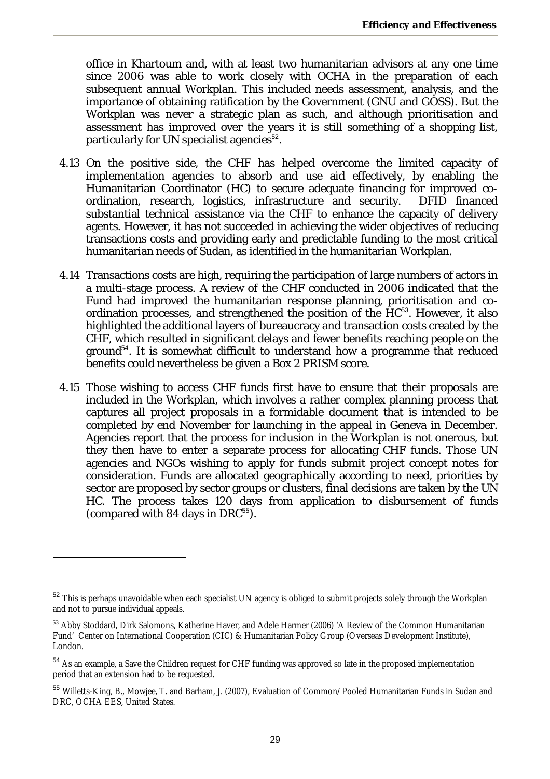office in Khartoum and, with at least two humanitarian advisors at any one time since 2006 was able to work closely with OCHA in the preparation of each subsequent annual Workplan. This included needs assessment, analysis, and the importance of obtaining ratification by the Government (GNU and GOSS). But the Workplan was never a strategic plan as such, and although prioritisation and assessment has improved over the years it is still something of a shopping list, particularly for UN specialist agencies<sup>52</sup>.

- 4.13 On the positive side, the CHF has helped overcome the limited capacity of implementation agencies to absorb and use aid effectively, by enabling the Humanitarian Coordinator (HC) to secure adequate financing for improved coordination, research, logistics, infrastructure and security. DFID financed substantial technical assistance via the CHF to enhance the capacity of delivery agents. However, it has not succeeded in achieving the wider objectives of reducing transactions costs and providing early and predictable funding to the most critical humanitarian needs of Sudan, as identified in the humanitarian Workplan.
- 4.14 Transactions costs are high, requiring the participation of large numbers of actors in a multi-stage process. A review of the CHF conducted in 2006 indicated that the Fund had improved the humanitarian response planning, prioritisation and coordination processes, and strengthened the position of the HC<sup>53</sup>. However, it also highlighted the additional layers of bureaucracy and transaction costs created by the CHF, which resulted in significant delays and fewer benefits reaching people on the ground<sup>54</sup>. It is somewhat difficult to understand how a programme that reduced benefits could nevertheless be given a Box 2 PRISM score.
- 4.15 Those wishing to access CHF funds first have to ensure that their proposals are included in the Workplan, which involves a rather complex planning process that captures all project proposals in a formidable document that is intended to be completed by end November for launching in the appeal in Geneva in December. Agencies report that the process for inclusion in the Workplan is not onerous, but they then have to enter a separate process for allocating CHF funds. Those UN agencies and NGOs wishing to apply for funds submit project concept notes for consideration. Funds are allocated geographically according to need, priorities by sector are proposed by sector groups or clusters, final decisions are taken by the UN HC. The process takes 120 days from application to disbursement of funds (compared with 84 days in DRC $55$ ).

<sup>&</sup>lt;sup>52</sup> This is perhaps unavoidable when each specialist UN agency is obliged to submit projects solely through the Workplan and not to pursue individual appeals.

<sup>&</sup>lt;sup>53</sup> Abby Stoddard, Dirk Salomons, Katherine Haver, and Adele Harmer (2006) 'A Review of the Common Humanitarian Fund' Center on International Cooperation (CIC) & Humanitarian Policy Group (Overseas Development Institute), London.

<sup>&</sup>lt;sup>54</sup> As an example, a Save the Children request for CHF funding was approved so late in the proposed implementation period that an extension had to be requested.

<sup>55</sup> Willetts-King, B., Mowjee, T. and Barham, J. (2007), Evaluation of Common/Pooled Humanitarian Funds in Sudan and DRC, OCHA EES, United States.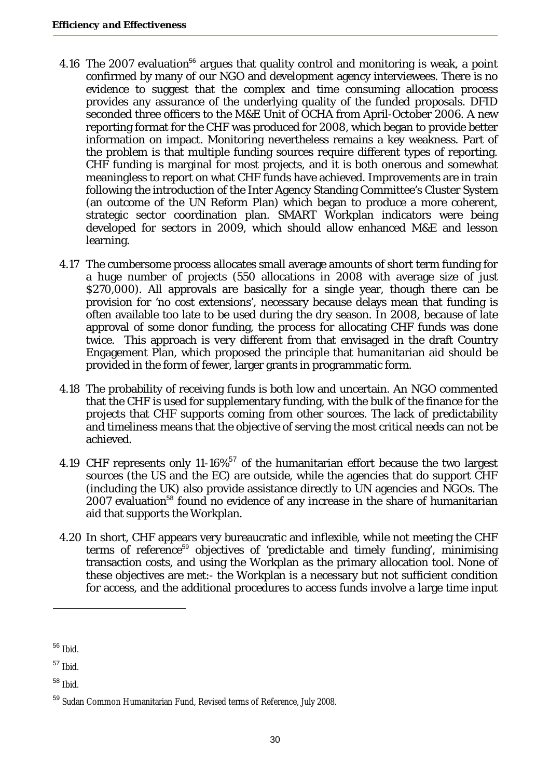- 4.16 The 2007 evaluation<sup>56</sup> argues that quality control and monitoring is weak, a point confirmed by many of our NGO and development agency interviewees. There is no evidence to suggest that the complex and time consuming allocation process provides any assurance of the underlying quality of the funded proposals. DFID seconded three officers to the M&E Unit of OCHA from April-October 2006. A new reporting format for the CHF was produced for 2008, which began to provide better information on impact. Monitoring nevertheless remains a key weakness. Part of the problem is that multiple funding sources require different types of reporting. CHF funding is marginal for most projects, and it is both onerous and somewhat meaningless to report on what CHF funds have achieved. Improvements are in train following the introduction of the Inter Agency Standing Committee's Cluster System (an outcome of the UN Reform Plan) which began to produce a more coherent, strategic sector coordination plan. SMART Workplan indicators were being developed for sectors in 2009, which should allow enhanced M&E and lesson learning.
- 4.17 The cumbersome process allocates small average amounts of short term funding for a huge number of projects (550 allocations in 2008 with average size of just \$270,000). All approvals are basically for a single year, though there can be provision for 'no cost extensions', necessary because delays mean that funding is often available too late to be used during the dry season. In 2008, because of late approval of some donor funding, the process for allocating CHF funds was done twice. This approach is very different from that envisaged in the draft Country Engagement Plan, which proposed the principle that humanitarian aid should be provided in the form of fewer, larger grants in programmatic form.
- 4.18 The probability of receiving funds is both low and uncertain. An NGO commented that the CHF is used for supplementary funding, with the bulk of the finance for the projects that CHF supports coming from other sources. The lack of predictability and timeliness means that the objective of serving the most critical needs can not be achieved.
- 4.19 CHF represents only 11-16%<sup>57</sup> of the humanitarian effort because the two largest sources (the US and the EC) are outside, while the agencies that do support CHF (including the UK) also provide assistance directly to UN agencies and NGOs. The 2007 evaluation<sup>58</sup> found no evidence of any increase in the share of humanitarian aid that supports the Workplan.
- 4.20 In short, CHF appears very bureaucratic and inflexible, while not meeting the CHF terms of reference<sup>59</sup> objectives of 'predictable and timely funding', minimising transaction costs, and using the Workplan as the primary allocation tool. None of these objectives are met:- the Workplan is a necessary but not sufficient condition for access, and the additional procedures to access funds involve a large time input

<sup>56</sup> Ibid.

<sup>57</sup> Ibid.

 $58$  Ibid.

<sup>59</sup> Sudan Common Humanitarian Fund, Revised terms of Reference, July 2008.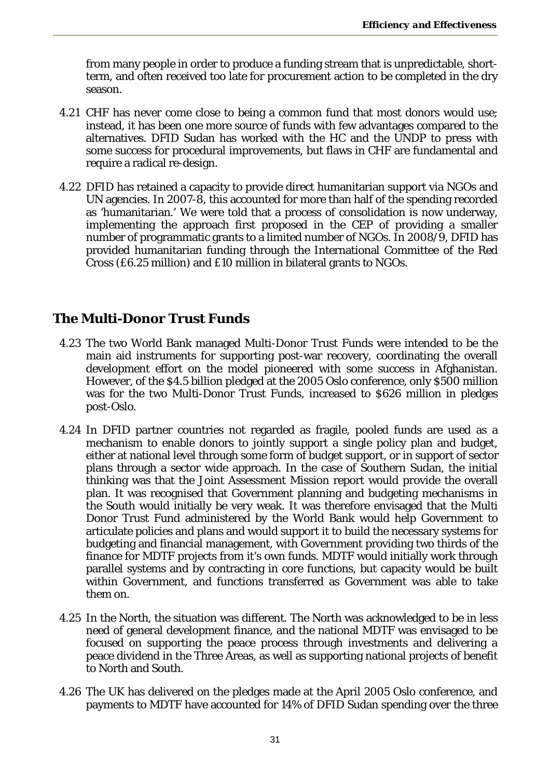from many people in order to produce a funding stream that is unpredictable, shortterm, and often received too late for procurement action to be completed in the dry season.

- 4.21 CHF has never come close to being a common fund that most donors would use; instead, it has been one more source of funds with few advantages compared to the alternatives. DFID Sudan has worked with the HC and the UNDP to press with some success for procedural improvements, but flaws in CHF are fundamental and require a radical re-design.
- 4.22 DFID has retained a capacity to provide direct humanitarian support via NGOs and UN agencies. In 2007-8, this accounted for more than half of the spending recorded as 'humanitarian.' We were told that a process of consolidation is now underway, implementing the approach first proposed in the CEP of providing a smaller number of programmatic grants to a limited number of NGOs. In 2008/9, DFID has provided humanitarian funding through the International Committee of the Red Cross (£6.25 million) and £10 million in bilateral grants to NGOs.

## **The Multi-Donor Trust Funds**

- 4.23 The two World Bank managed Multi-Donor Trust Funds were intended to be the main aid instruments for supporting post-war recovery, coordinating the overall development effort on the model pioneered with some success in Afghanistan. However, of the \$4.5 billion pledged at the 2005 Oslo conference, only \$500 million was for the two Multi-Donor Trust Funds, increased to \$626 million in pledges post-Oslo.
- 4.24 In DFID partner countries not regarded as fragile, pooled funds are used as a mechanism to enable donors to jointly support a single policy plan and budget, either at national level through some form of budget support, or in support of sector plans through a sector wide approach. In the case of Southern Sudan, the initial thinking was that the Joint Assessment Mission report would provide the overall plan. It was recognised that Government planning and budgeting mechanisms in the South would initially be very weak. It was therefore envisaged that the Multi Donor Trust Fund administered by the World Bank would help Government to articulate policies and plans and would support it to build the necessary systems for budgeting and financial management, with Government providing two thirds of the finance for MDTF projects from it's own funds. MDTF would initially work through parallel systems and by contracting in core functions, but capacity would be built within Government, and functions transferred as Government was able to take them on.
- 4.25 In the North, the situation was different. The North was acknowledged to be in less need of general development finance, and the national MDTF was envisaged to be focused on supporting the peace process through investments and delivering a peace dividend in the Three Areas, as well as supporting national projects of benefit to North and South.
- 4.26 The UK has delivered on the pledges made at the April 2005 Oslo conference, and payments to MDTF have accounted for 14% of DFID Sudan spending over the three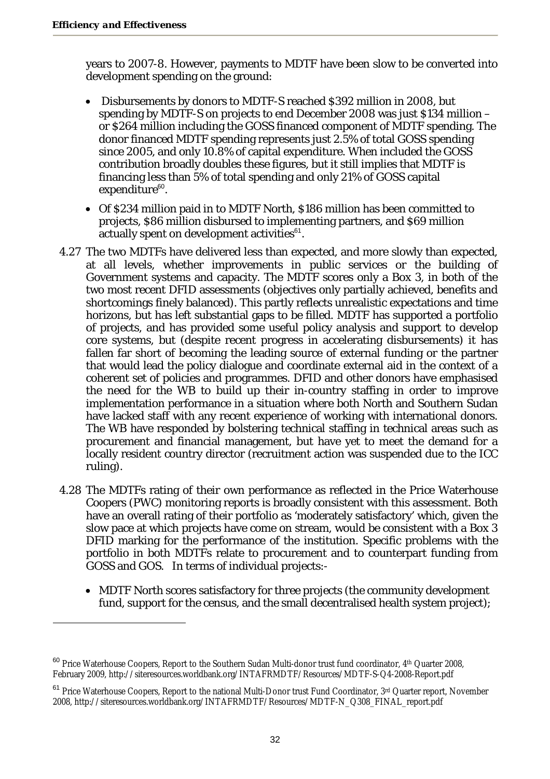years to 2007-8. However, payments to MDTF have been slow to be converted into development spending on the ground:

- Disbursements by donors to MDTF-S reached \$392 million in 2008, but spending by MDTF-S on projects to end December 2008 was just \$134 million – or \$264 million including the GOSS financed component of MDTF spending. The donor financed MDTF spending represents just 2.5% of total GOSS spending since 2005, and only 10.8% of capital expenditure. When included the GOSS contribution broadly doubles these figures, but it still implies that MDTF is financing less than 5% of total spending and only 21% of GOSS capital expenditure<sup>60</sup>.
- Of \$234 million paid in to MDTF North, \$186 million has been committed to projects, \$86 million disbursed to implementing partners, and \$69 million actually spent on development activities $61$ .
- 4.27 The two MDTFs have delivered less than expected, and more slowly than expected, at all levels, whether improvements in public services or the building of Government systems and capacity. The MDTF scores only a Box 3, in both of the two most recent DFID assessments (objectives only partially achieved, benefits and shortcomings finely balanced). This partly reflects unrealistic expectations and time horizons, but has left substantial gaps to be filled. MDTF has supported a portfolio of projects, and has provided some useful policy analysis and support to develop core systems, but (despite recent progress in accelerating disbursements) it has fallen far short of becoming the leading source of external funding or the partner that would lead the policy dialogue and coordinate external aid in the context of a coherent set of policies and programmes. DFID and other donors have emphasised the need for the WB to build up their in-country staffing in order to improve implementation performance in a situation where both North and Southern Sudan have lacked staff with any recent experience of working with international donors. The WB have responded by bolstering technical staffing in technical areas such as procurement and financial management, but have yet to meet the demand for a locally resident country director (recruitment action was suspended due to the ICC ruling).
- 4.28 The MDTFs rating of their own performance as reflected in the Price Waterhouse Coopers (PWC) monitoring reports is broadly consistent with this assessment. Both have an overall rating of their portfolio as 'moderately satisfactory' which, given the slow pace at which projects have come on stream, would be consistent with a Box 3 DFID marking for the performance of the institution. Specific problems with the portfolio in both MDTFs relate to procurement and to counterpart funding from GOSS and GOS. In terms of individual projects:-
	- MDTF North scores satisfactory for three projects (the community development fund, support for the census, and the small decentralised health system project);

 $60$  Price Waterhouse Coopers, Report to the Southern Sudan Multi-donor trust fund coordinator,  $4<sup>th</sup>$  Quarter 2008, February 2009, http://siteresources.worldbank.org/INTAFRMDTF/Resources/MDTF-S-Q4-2008-Report.pdf

<sup>&</sup>lt;sup>61</sup> Price Waterhouse Coopers, Report to the national Multi-Donor trust Fund Coordinator, 3<sup>rd</sup> Quarter report, November 2008, http://siteresources.worldbank.org/INTAFRMDTF/Resources/MDTF-N\_Q308\_FINAL\_report.pdf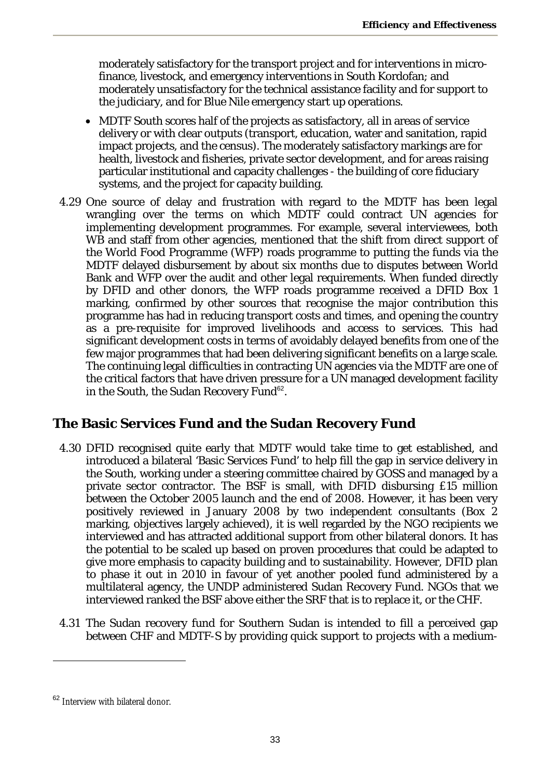moderately satisfactory for the transport project and for interventions in microfinance, livestock, and emergency interventions in South Kordofan; and moderately unsatisfactory for the technical assistance facility and for support to the judiciary, and for Blue Nile emergency start up operations.

- MDTF South scores half of the projects as satisfactory, all in areas of service delivery or with clear outputs (transport, education, water and sanitation, rapid impact projects, and the census). The moderately satisfactory markings are for health, livestock and fisheries, private sector development, and for areas raising particular institutional and capacity challenges - the building of core fiduciary systems, and the project for capacity building.
- 4.29 One source of delay and frustration with regard to the MDTF has been legal wrangling over the terms on which MDTF could contract UN agencies for implementing development programmes. For example, several interviewees, both WB and staff from other agencies, mentioned that the shift from direct support of the World Food Programme (WFP) roads programme to putting the funds via the MDTF delayed disbursement by about six months due to disputes between World Bank and WFP over the audit and other legal requirements. When funded directly by DFID and other donors, the WFP roads programme received a DFID Box 1 marking, confirmed by other sources that recognise the major contribution this programme has had in reducing transport costs and times, and opening the country as a pre-requisite for improved livelihoods and access to services. This had significant development costs in terms of avoidably delayed benefits from one of the few major programmes that had been delivering significant benefits on a large scale. The continuing legal difficulties in contracting UN agencies via the MDTF are one of the critical factors that have driven pressure for a UN managed development facility in the South, the Sudan Recovery Fund<sup>62</sup>.

### **The Basic Services Fund and the Sudan Recovery Fund**

- 4.30 DFID recognised quite early that MDTF would take time to get established, and introduced a bilateral 'Basic Services Fund' to help fill the gap in service delivery in the South, working under a steering committee chaired by GOSS and managed by a private sector contractor. The BSF is small, with DFID disbursing £15 million between the October 2005 launch and the end of 2008. However, it has been very positively reviewed in January 2008 by two independent consultants (Box 2 marking, objectives largely achieved), it is well regarded by the NGO recipients we interviewed and has attracted additional support from other bilateral donors. It has the potential to be scaled up based on proven procedures that could be adapted to give more emphasis to capacity building and to sustainability. However, DFID plan to phase it out in 2010 in favour of yet another pooled fund administered by a multilateral agency, the UNDP administered Sudan Recovery Fund. NGOs that we interviewed ranked the BSF above either the SRF that is to replace it, or the CHF.
- 4.31 The Sudan recovery fund for Southern Sudan is intended to fill a perceived gap between CHF and MDTF-S by providing quick support to projects with a medium-

<sup>&</sup>lt;sup>62</sup> Interview with bilateral donor.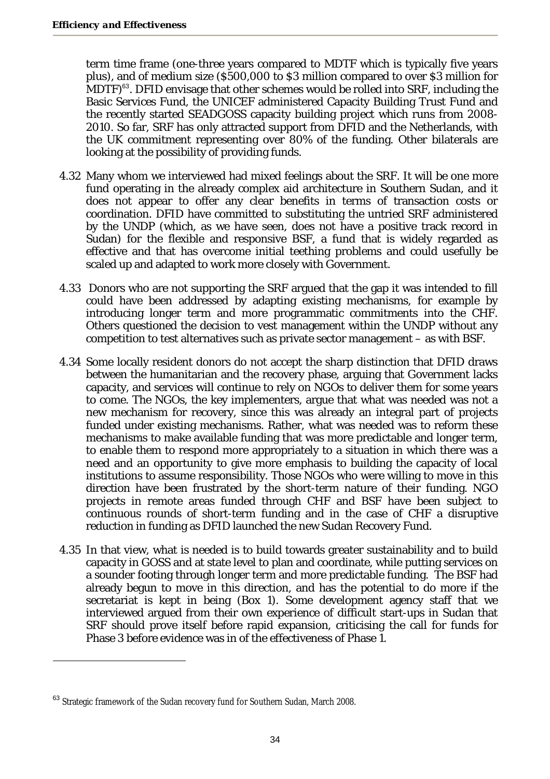term time frame (one-three years compared to MDTF which is typically five years plus), and of medium size (\$500,000 to \$3 million compared to over \$3 million for  $MDTF)$ <sup>63</sup>. DFID envisage that other schemes would be rolled into SRF, including the Basic Services Fund, the UNICEF administered Capacity Building Trust Fund and the recently started SEADGOSS capacity building project which runs from 2008- 2010. So far, SRF has only attracted support from DFID and the Netherlands, with the UK commitment representing over 80% of the funding. Other bilaterals are looking at the possibility of providing funds.

- 4.32 Many whom we interviewed had mixed feelings about the SRF. It will be one more fund operating in the already complex aid architecture in Southern Sudan, and it does not appear to offer any clear benefits in terms of transaction costs or coordination. DFID have committed to substituting the untried SRF administered by the UNDP (which, as we have seen, does not have a positive track record in Sudan) for the flexible and responsive BSF, a fund that is widely regarded as effective and that has overcome initial teething problems and could usefully be scaled up and adapted to work more closely with Government.
- 4.33 Donors who are not supporting the SRF argued that the gap it was intended to fill could have been addressed by adapting existing mechanisms, for example by introducing longer term and more programmatic commitments into the CHF. Others questioned the decision to vest management within the UNDP without any competition to test alternatives such as private sector management – as with BSF.
- 4.34 Some locally resident donors do not accept the sharp distinction that DFID draws between the humanitarian and the recovery phase, arguing that Government lacks capacity, and services will continue to rely on NGOs to deliver them for some years to come. The NGOs, the key implementers, argue that what was needed was not a new mechanism for recovery, since this was already an integral part of projects funded under existing mechanisms. Rather, what was needed was to reform these mechanisms to make available funding that was more predictable and longer term, to enable them to respond more appropriately to a situation in which there was a need and an opportunity to give more emphasis to building the capacity of local institutions to assume responsibility. Those NGOs who were willing to move in this direction have been frustrated by the short-term nature of their funding. NGO projects in remote areas funded through CHF and BSF have been subject to continuous rounds of short-term funding and in the case of CHF a disruptive reduction in funding as DFID launched the new Sudan Recovery Fund.
- 4.35 In that view, what is needed is to build towards greater sustainability and to build capacity in GOSS and at state level to plan and coordinate, while putting services on a sounder footing through longer term and more predictable funding. The BSF had already begun to move in this direction, and has the potential to do more if the secretariat is kept in being (Box 1). Some development agency staff that we interviewed argued from their own experience of difficult start-ups in Sudan that SRF should prove itself before rapid expansion, criticising the call for funds for Phase 3 before evidence was in of the effectiveness of Phase 1.

<sup>&</sup>lt;sup>63</sup> Strategic framework of the Sudan recovery fund for Southern Sudan, March 2008.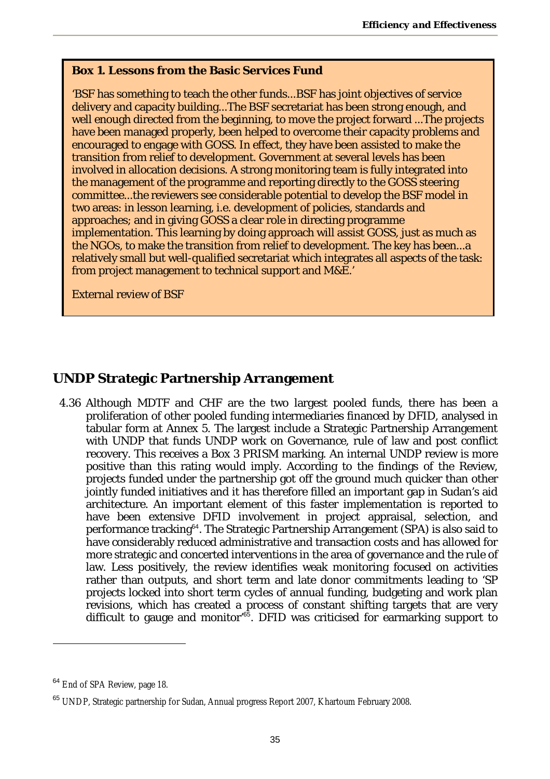#### **Box 1. Lessons from the Basic Services Fund**

'BSF has something to teach the other funds...BSF has joint objectives of service delivery and capacity building...The BSF secretariat has been strong enough, and well enough directed from the beginning, to move the project forward ...The projects have been managed properly, been helped to overcome their capacity problems and encouraged to engage with GOSS. In effect, they have been assisted to make the transition from relief to development. Government at several levels has been involved in allocation decisions. A strong monitoring team is fully integrated into the management of the programme and reporting directly to the GOSS steering committee...the reviewers see considerable potential to develop the BSF model in two areas: in lesson learning, i.e. development of policies, standards and approaches; and in giving GOSS a clear role in directing programme implementation. This learning by doing approach will assist GOSS, just as much as the NGOs, to make the transition from relief to development. The key has been...a relatively small but well-qualified secretariat which integrates all aspects of the task: from project management to technical support and M&E.'

External review of BSF

### **UNDP Strategic Partnership Arrangement**

4.36 Although MDTF and CHF are the two largest pooled funds, there has been a proliferation of other pooled funding intermediaries financed by DFID, analysed in tabular form at Annex 5. The largest include a Strategic Partnership Arrangement with UNDP that funds UNDP work on Governance, rule of law and post conflict recovery. This receives a Box 3 PRISM marking. An internal UNDP review is more positive than this rating would imply. According to the findings of the Review, projects funded under the partnership got off the ground much quicker than other jointly funded initiatives and it has therefore filled an important gap in Sudan's aid architecture. An important element of this faster implementation is reported to have been extensive DFID involvement in project appraisal, selection, and performance tracking<sup>64</sup>. The Strategic Partnership Arrangement (SPA) is also said to have considerably reduced administrative and transaction costs and has allowed for more strategic and concerted interventions in the area of governance and the rule of law. Less positively, the review identifies weak monitoring focused on activities rather than outputs, and short term and late donor commitments leading to 'SP projects locked into short term cycles of annual funding, budgeting and work plan revisions, which has created a process of constant shifting targets that are very difficult to gauge and monitor<sup>'65</sup>. DFID was criticised for earmarking support to

<sup>&</sup>lt;sup>64</sup> End of SPA Review, page 18.

<sup>&</sup>lt;sup>65</sup> UNDP, Strategic partnership for Sudan, Annual progress Report 2007, Khartoum February 2008.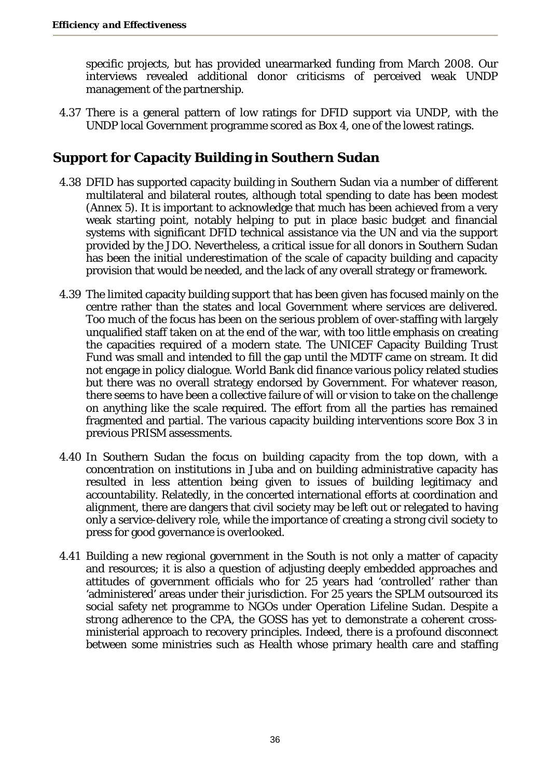specific projects, but has provided unearmarked funding from March 2008. Our interviews revealed additional donor criticisms of perceived weak UNDP management of the partnership.

4.37 There is a general pattern of low ratings for DFID support via UNDP, with the UNDP local Government programme scored as Box 4, one of the lowest ratings.

# **Support for Capacity Building in Southern Sudan**

- 4.38 DFID has supported capacity building in Southern Sudan via a number of different multilateral and bilateral routes, although total spending to date has been modest (Annex 5). It is important to acknowledge that much has been achieved from a very weak starting point, notably helping to put in place basic budget and financial systems with significant DFID technical assistance via the UN and via the support provided by the JDO. Nevertheless, a critical issue for all donors in Southern Sudan has been the initial underestimation of the scale of capacity building and capacity provision that would be needed, and the lack of any overall strategy or framework.
- 4.39 The limited capacity building support that has been given has focused mainly on the centre rather than the states and local Government where services are delivered. Too much of the focus has been on the serious problem of over-staffing with largely unqualified staff taken on at the end of the war, with too little emphasis on creating the capacities required of a modern state. The UNICEF Capacity Building Trust Fund was small and intended to fill the gap until the MDTF came on stream. It did not engage in policy dialogue. World Bank did finance various policy related studies but there was no overall strategy endorsed by Government. For whatever reason, there seems to have been a collective failure of will or vision to take on the challenge on anything like the scale required. The effort from all the parties has remained fragmented and partial. The various capacity building interventions score Box 3 in previous PRISM assessments.
- 4.40 In Southern Sudan the focus on building capacity from the top down, with a concentration on institutions in Juba and on building administrative capacity has resulted in less attention being given to issues of building legitimacy and accountability. Relatedly, in the concerted international efforts at coordination and alignment, there are dangers that civil society may be left out or relegated to having only a service-delivery role, while the importance of creating a strong civil society to press for good governance is overlooked.
- 4.41 Building a new regional government in the South is not only a matter of capacity and resources; it is also a question of adjusting deeply embedded approaches and attitudes of government officials who for 25 years had 'controlled' rather than 'administered' areas under their jurisdiction. For 25 years the SPLM outsourced its social safety net programme to NGOs under Operation Lifeline Sudan. Despite a strong adherence to the CPA, the GOSS has yet to demonstrate a coherent crossministerial approach to recovery principles. Indeed, there is a profound disconnect between some ministries such as Health whose primary health care and staffing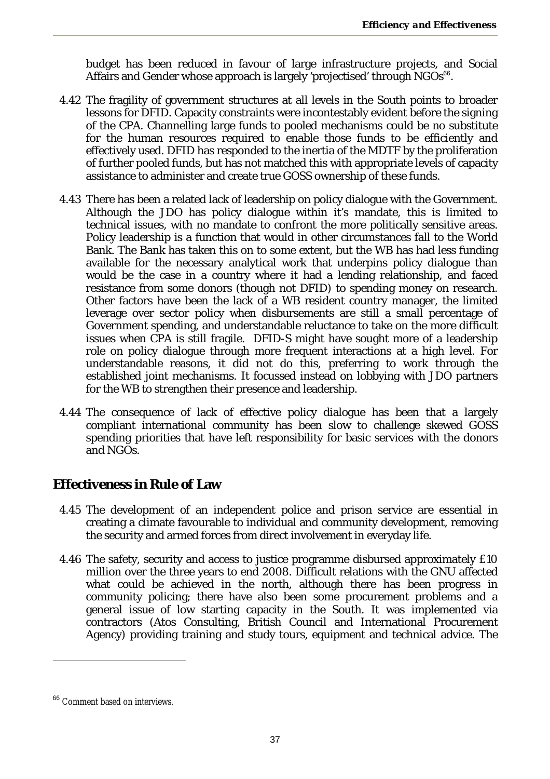budget has been reduced in favour of large infrastructure projects, and Social Affairs and Gender whose approach is largely 'projectised' through NGOs<sup>66</sup>.

- 4.42 The fragility of government structures at all levels in the South points to broader lessons for DFID. Capacity constraints were incontestably evident before the signing of the CPA. Channelling large funds to pooled mechanisms could be no substitute for the human resources required to enable those funds to be efficiently and effectively used. DFID has responded to the inertia of the MDTF by the proliferation of further pooled funds, but has not matched this with appropriate levels of capacity assistance to administer and create true GOSS ownership of these funds.
- 4.43 There has been a related lack of leadership on policy dialogue with the Government. Although the JDO has policy dialogue within it's mandate, this is limited to technical issues, with no mandate to confront the more politically sensitive areas. Policy leadership is a function that would in other circumstances fall to the World Bank. The Bank has taken this on to some extent, but the WB has had less funding available for the necessary analytical work that underpins policy dialogue than would be the case in a country where it had a lending relationship, and faced resistance from some donors (though not DFID) to spending money on research. Other factors have been the lack of a WB resident country manager, the limited leverage over sector policy when disbursements are still a small percentage of Government spending, and understandable reluctance to take on the more difficult issues when CPA is still fragile. DFID-S might have sought more of a leadership role on policy dialogue through more frequent interactions at a high level. For understandable reasons, it did not do this, preferring to work through the established joint mechanisms. It focussed instead on lobbying with JDO partners for the WB to strengthen their presence and leadership.
- 4.44 The consequence of lack of effective policy dialogue has been that a largely compliant international community has been slow to challenge skewed GOSS spending priorities that have left responsibility for basic services with the donors and NGOs.

### **Effectiveness in Rule of Law**

- 4.45 The development of an independent police and prison service are essential in creating a climate favourable to individual and community development, removing the security and armed forces from direct involvement in everyday life.
- 4.46 The safety, security and access to justice programme disbursed approximately £10 million over the three years to end 2008. Difficult relations with the GNU affected what could be achieved in the north, although there has been progress in community policing; there have also been some procurement problems and a general issue of low starting capacity in the South. It was implemented via contractors (Atos Consulting, British Council and International Procurement Agency) providing training and study tours, equipment and technical advice. The

<sup>&</sup>lt;sup>66</sup> Comment based on interviews.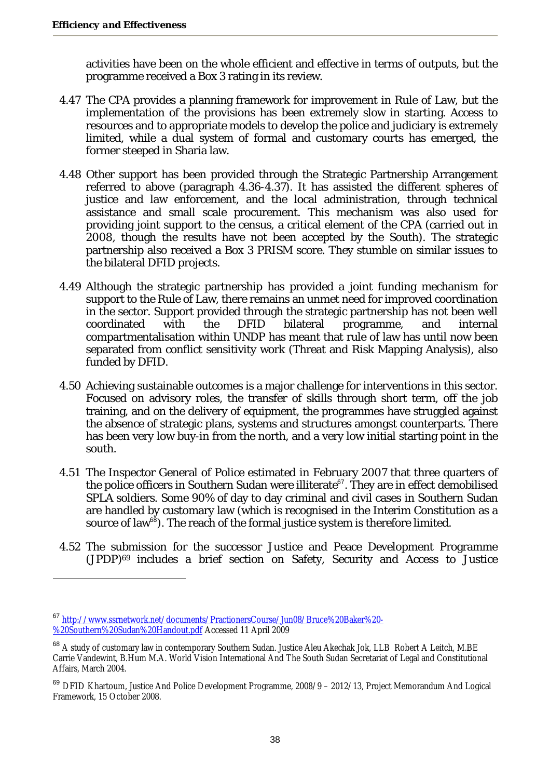activities have been on the whole efficient and effective in terms of outputs, but the programme received a Box 3 rating in its review.

- 4.47 The CPA provides a planning framework for improvement in Rule of Law, but the implementation of the provisions has been extremely slow in starting. Access to resources and to appropriate models to develop the police and judiciary is extremely limited, while a dual system of formal and customary courts has emerged, the former steeped in Sharia law.
- 4.48 Other support has been provided through the Strategic Partnership Arrangement referred to above (paragraph 4.36-4.37). It has assisted the different spheres of justice and law enforcement, and the local administration, through technical assistance and small scale procurement. This mechanism was also used for providing joint support to the census, a critical element of the CPA (carried out in 2008, though the results have not been accepted by the South). The strategic partnership also received a Box 3 PRISM score. They stumble on similar issues to the bilateral DFID projects.
- 4.49 Although the strategic partnership has provided a joint funding mechanism for support to the Rule of Law, there remains an unmet need for improved coordination in the sector. Support provided through the strategic partnership has not been well coordinated with the DFID bilateral programme, and internal compartmentalisation within UNDP has meant that rule of law has until now been separated from conflict sensitivity work (Threat and Risk Mapping Analysis), also funded by DFID.
- 4.50 Achieving sustainable outcomes is a major challenge for interventions in this sector. Focused on advisory roles, the transfer of skills through short term, off the job training, and on the delivery of equipment, the programmes have struggled against the absence of strategic plans, systems and structures amongst counterparts. There has been very low buy-in from the north, and a very low initial starting point in the south.
- 4.51 The Inspector General of Police estimated in February 2007 that three quarters of the police officers in Southern Sudan were illiterate<sup>67</sup>. They are in effect demobilised SPLA soldiers. Some 90% of day to day criminal and civil cases in Southern Sudan are handled by customary law (which is recognised in the Interim Constitution as a source of law<sup>68</sup>). The reach of the formal justice system is therefore limited.
- 4.52 The submission for the successor Justice and Peace Development Programme (JPDP)69 includes a brief section on Safety, Security and Access to Justice

<sup>67</sup> http://www.ssrnetwork.net/documents/PractionersCourse/Jun08/Bruce%20Baker%20- %20Southern%20Sudan%20Handout.pdf Accessed 11 April 2009

<sup>68</sup> A study of customary law in contemporary Southern Sudan. Justice Aleu Akechak Jok, LLB Robert A Leitch, M.BE Carrie Vandewint, B.Hum M.A. World Vision International And The South Sudan Secretariat of Legal and Constitutional Affairs, March 2004.

<sup>&</sup>lt;sup>69</sup> DFID Khartoum, Justice And Police Development Programme, 2008/9 - 2012/13, Project Memorandum And Logical Framework, 15 October 2008.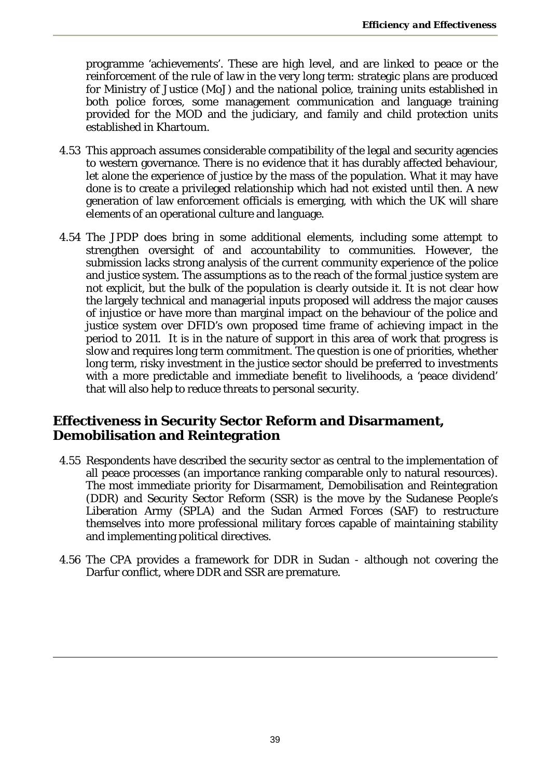programme 'achievements'. These are high level, and are linked to peace or the reinforcement of the rule of law in the very long term: strategic plans are produced for Ministry of Justice (MoJ) and the national police, training units established in both police forces, some management communication and language training provided for the MOD and the judiciary, and family and child protection units established in Khartoum.

- 4.53 This approach assumes considerable compatibility of the legal and security agencies to western governance. There is no evidence that it has durably affected behaviour, let alone the experience of justice by the mass of the population. What it may have done is to create a privileged relationship which had not existed until then. A new generation of law enforcement officials is emerging, with which the UK will share elements of an operational culture and language.
- 4.54 The JPDP does bring in some additional elements, including some attempt to strengthen oversight of and accountability to communities. However, the submission lacks strong analysis of the current community experience of the police and justice system. The assumptions as to the reach of the formal justice system are not explicit, but the bulk of the population is clearly outside it. It is not clear how the largely technical and managerial inputs proposed will address the major causes of injustice or have more than marginal impact on the behaviour of the police and justice system over DFID's own proposed time frame of achieving impact in the period to 2011. It is in the nature of support in this area of work that progress is slow and requires long term commitment. The question is one of priorities, whether long term, risky investment in the justice sector should be preferred to investments with a more predictable and immediate benefit to livelihoods, a 'peace dividend' that will also help to reduce threats to personal security.

### **Effectiveness in Security Sector Reform and Disarmament, Demobilisation and Reintegration**

- 4.55 Respondents have described the security sector as central to the implementation of all peace processes (an importance ranking comparable only to natural resources). The most immediate priority for Disarmament, Demobilisation and Reintegration (DDR) and Security Sector Reform (SSR) is the move by the Sudanese People's Liberation Army (SPLA) and the Sudan Armed Forces (SAF) to restructure themselves into more professional military forces capable of maintaining stability and implementing political directives.
- 4.56 The CPA provides a framework for DDR in Sudan although not covering the Darfur conflict, where DDR and SSR are premature.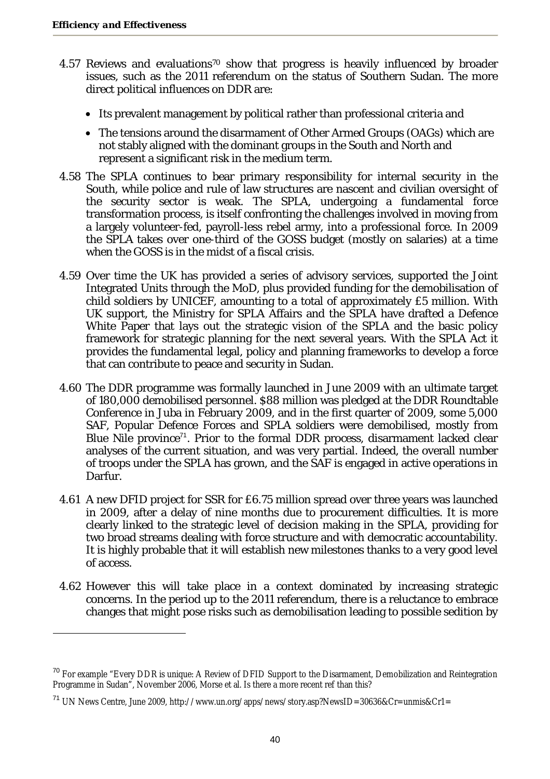- 4.57 Reviews and evaluations<sup>70</sup> show that progress is heavily influenced by broader issues, such as the 2011 referendum on the status of Southern Sudan. The more direct political influences on DDR are:
	- Its prevalent management by political rather than professional criteria and
	- The tensions around the disarmament of Other Armed Groups (OAGs) which are not stably aligned with the dominant groups in the South and North and represent a significant risk in the medium term.
- 4.58 The SPLA continues to bear primary responsibility for internal security in the South, while police and rule of law structures are nascent and civilian oversight of the security sector is weak. The SPLA, undergoing a fundamental force transformation process, is itself confronting the challenges involved in moving from a largely volunteer-fed, payroll-less rebel army, into a professional force. In 2009 the SPLA takes over one-third of the GOSS budget (mostly on salaries) at a time when the GOSS is in the midst of a fiscal crisis.
- 4.59 Over time the UK has provided a series of advisory services, supported the Joint Integrated Units through the MoD, plus provided funding for the demobilisation of child soldiers by UNICEF, amounting to a total of approximately £5 million. With UK support, the Ministry for SPLA Affairs and the SPLA have drafted a Defence White Paper that lays out the strategic vision of the SPLA and the basic policy framework for strategic planning for the next several years. With the SPLA Act it provides the fundamental legal, policy and planning frameworks to develop a force that can contribute to peace and security in Sudan.
- 4.60 The DDR programme was formally launched in June 2009 with an ultimate target of 180,000 demobilised personnel. \$88 million was pledged at the DDR Roundtable Conference in Juba in February 2009, and in the first quarter of 2009, some 5,000 SAF, Popular Defence Forces and SPLA soldiers were demobilised, mostly from Blue Nile province<sup>71</sup>. Prior to the formal DDR process, disarmament lacked clear analyses of the current situation, and was very partial. Indeed, the overall number of troops under the SPLA has grown, and the SAF is engaged in active operations in Darfur.
- 4.61 A new DFID project for SSR for £6.75 million spread over three years was launched in 2009, after a delay of nine months due to procurement difficulties. It is more clearly linked to the strategic level of decision making in the SPLA, providing for two broad streams dealing with force structure and with democratic accountability. It is highly probable that it will establish new milestones thanks to a very good level of access.
- 4.62 However this will take place in a context dominated by increasing strategic concerns. In the period up to the 2011 referendum, there is a reluctance to embrace changes that might pose risks such as demobilisation leading to possible sedition by

<sup>&</sup>lt;sup>70</sup> For example "Every DDR is unique: A Review of DFID Support to the Disarmament, Demobilization and Reintegration Programme in Sudan", November 2006, Morse et al. Is there a more recent ref than this?

<sup>&</sup>lt;sup>71</sup> UN News Centre, June 2009, http://www.un.org/apps/news/story.asp?NewsID=30636&Cr=unmis&Cr1=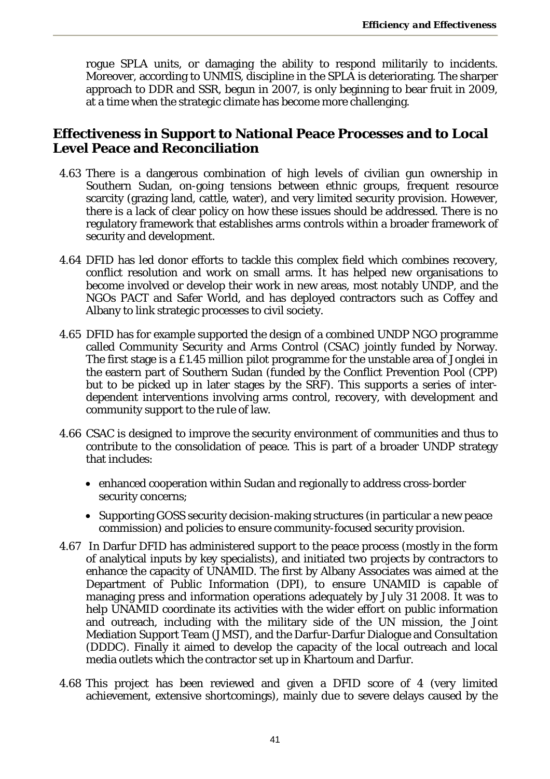rogue SPLA units, or damaging the ability to respond militarily to incidents. Moreover, according to UNMIS, discipline in the SPLA is deteriorating. The sharper approach to DDR and SSR, begun in 2007, is only beginning to bear fruit in 2009, at a time when the strategic climate has become more challenging.

### **Effectiveness in Support to National Peace Processes and to Local Level Peace and Reconciliation**

- 4.63 There is a dangerous combination of high levels of civilian gun ownership in Southern Sudan, on-going tensions between ethnic groups, frequent resource scarcity (grazing land, cattle, water), and very limited security provision. However, there is a lack of clear policy on how these issues should be addressed. There is no regulatory framework that establishes arms controls within a broader framework of security and development.
- 4.64 DFID has led donor efforts to tackle this complex field which combines recovery, conflict resolution and work on small arms. It has helped new organisations to become involved or develop their work in new areas, most notably UNDP, and the NGOs PACT and Safer World, and has deployed contractors such as Coffey and Albany to link strategic processes to civil society.
- 4.65 DFID has for example supported the design of a combined UNDP NGO programme called Community Security and Arms Control (CSAC) jointly funded by Norway. The first stage is a £1.45 million pilot programme for the unstable area of Jonglei in the eastern part of Southern Sudan (funded by the Conflict Prevention Pool (CPP) but to be picked up in later stages by the SRF). This supports a series of interdependent interventions involving arms control, recovery, with development and community support to the rule of law.
- 4.66 CSAC is designed to improve the security environment of communities and thus to contribute to the consolidation of peace. This is part of a broader UNDP strategy that includes:
	- enhanced cooperation within Sudan and regionally to address cross-border security concerns;
	- Supporting GOSS security decision-making structures (in particular a new peace commission) and policies to ensure community-focused security provision.
- 4.67 In Darfur DFID has administered support to the peace process (mostly in the form of analytical inputs by key specialists), and initiated two projects by contractors to enhance the capacity of UNAMID. The first by Albany Associates was aimed at the Department of Public Information (DPI), to ensure UNAMID is capable of managing press and information operations adequately by July 31 2008. It was to help UNAMID coordinate its activities with the wider effort on public information and outreach, including with the military side of the UN mission, the Joint Mediation Support Team (JMST), and the Darfur-Darfur Dialogue and Consultation (DDDC). Finally it aimed to develop the capacity of the local outreach and local media outlets which the contractor set up in Khartoum and Darfur.
- 4.68 This project has been reviewed and given a DFID score of 4 (very limited achievement, extensive shortcomings), mainly due to severe delays caused by the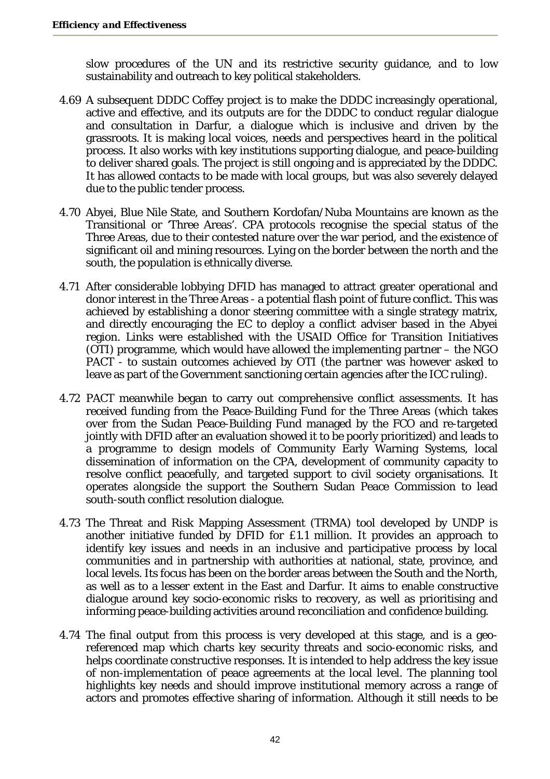slow procedures of the UN and its restrictive security guidance, and to low sustainability and outreach to key political stakeholders.

- 4.69 A subsequent DDDC Coffey project is to make the DDDC increasingly operational, active and effective, and its outputs are for the DDDC to conduct regular dialogue and consultation in Darfur, a dialogue which is inclusive and driven by the grassroots. It is making local voices, needs and perspectives heard in the political process. It also works with key institutions supporting dialogue, and peace-building to deliver shared goals. The project is still ongoing and is appreciated by the DDDC. It has allowed contacts to be made with local groups, but was also severely delayed due to the public tender process.
- 4.70 Abyei, Blue Nile State, and Southern Kordofan/Nuba Mountains are known as the Transitional or 'Three Areas'. CPA protocols recognise the special status of the Three Areas, due to their contested nature over the war period, and the existence of significant oil and mining resources. Lying on the border between the north and the south, the population is ethnically diverse.
- 4.71 After considerable lobbying DFID has managed to attract greater operational and donor interest in the Three Areas - a potential flash point of future conflict. This was achieved by establishing a donor steering committee with a single strategy matrix, and directly encouraging the EC to deploy a conflict adviser based in the Abyei region. Links were established with the USAID Office for Transition Initiatives (OTI) programme, which would have allowed the implementing partner – the NGO PACT - to sustain outcomes achieved by OTI (the partner was however asked to leave as part of the Government sanctioning certain agencies after the ICC ruling).
- 4.72 PACT meanwhile began to carry out comprehensive conflict assessments. It has received funding from the Peace-Building Fund for the Three Areas (which takes over from the Sudan Peace-Building Fund managed by the FCO and re-targeted jointly with DFID after an evaluation showed it to be poorly prioritized) and leads to a programme to design models of Community Early Warning Systems, local dissemination of information on the CPA, development of community capacity to resolve conflict peacefully, and targeted support to civil society organisations. It operates alongside the support the Southern Sudan Peace Commission to lead south-south conflict resolution dialogue.
- 4.73 The Threat and Risk Mapping Assessment (TRMA) tool developed by UNDP is another initiative funded by DFID for £1.1 million. It provides an approach to identify key issues and needs in an inclusive and participative process by local communities and in partnership with authorities at national, state, province, and local levels. Its focus has been on the border areas between the South and the North, as well as to a lesser extent in the East and Darfur. It aims to enable constructive dialogue around key socio-economic risks to recovery, as well as prioritising and informing peace-building activities around reconciliation and confidence building.
- 4.74 The final output from this process is very developed at this stage, and is a georeferenced map which charts key security threats and socio-economic risks, and helps coordinate constructive responses. It is intended to help address the key issue of non-implementation of peace agreements at the local level. The planning tool highlights key needs and should improve institutional memory across a range of actors and promotes effective sharing of information. Although it still needs to be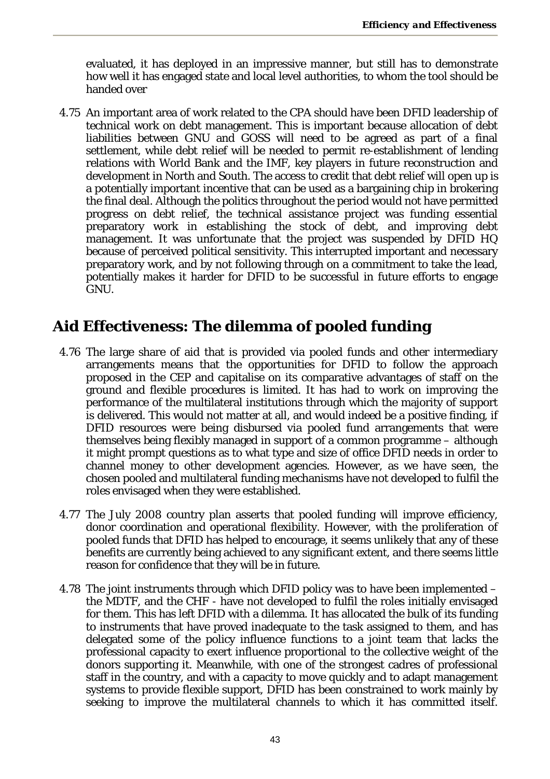evaluated, it has deployed in an impressive manner, but still has to demonstrate how well it has engaged state and local level authorities, to whom the tool should be handed over

4.75 An important area of work related to the CPA should have been DFID leadership of technical work on debt management. This is important because allocation of debt liabilities between GNU and GOSS will need to be agreed as part of a final settlement, while debt relief will be needed to permit re-establishment of lending relations with World Bank and the IMF, key players in future reconstruction and development in North and South. The access to credit that debt relief will open up is a potentially important incentive that can be used as a bargaining chip in brokering the final deal. Although the politics throughout the period would not have permitted progress on debt relief, the technical assistance project was funding essential preparatory work in establishing the stock of debt, and improving debt management. It was unfortunate that the project was suspended by DFID HQ because of perceived political sensitivity. This interrupted important and necessary preparatory work, and by not following through on a commitment to take the lead, potentially makes it harder for DFID to be successful in future efforts to engage GNU.

# **Aid Effectiveness: The dilemma of pooled funding**

- 4.76 The large share of aid that is provided via pooled funds and other intermediary arrangements means that the opportunities for DFID to follow the approach proposed in the CEP and capitalise on its comparative advantages of staff on the ground and flexible procedures is limited. It has had to work on improving the performance of the multilateral institutions through which the majority of support is delivered. This would not matter at all, and would indeed be a positive finding, if DFID resources were being disbursed via pooled fund arrangements that were themselves being flexibly managed in support of a common programme – although it might prompt questions as to what type and size of office DFID needs in order to channel money to other development agencies. However, as we have seen, the chosen pooled and multilateral funding mechanisms have not developed to fulfil the roles envisaged when they were established.
- 4.77 The July 2008 country plan asserts that pooled funding will improve efficiency, donor coordination and operational flexibility. However, with the proliferation of pooled funds that DFID has helped to encourage, it seems unlikely that any of these benefits are currently being achieved to any significant extent, and there seems little reason for confidence that they will be in future.
- 4.78 The joint instruments through which DFID policy was to have been implemented the MDTF, and the CHF - have not developed to fulfil the roles initially envisaged for them. This has left DFID with a dilemma. It has allocated the bulk of its funding to instruments that have proved inadequate to the task assigned to them, and has delegated some of the policy influence functions to a joint team that lacks the professional capacity to exert influence proportional to the collective weight of the donors supporting it. Meanwhile, with one of the strongest cadres of professional staff in the country, and with a capacity to move quickly and to adapt management systems to provide flexible support, DFID has been constrained to work mainly by seeking to improve the multilateral channels to which it has committed itself.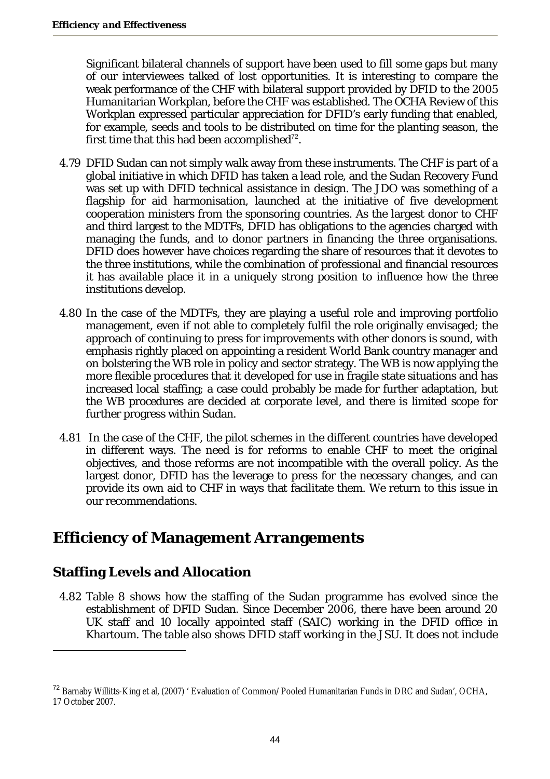Significant bilateral channels of support have been used to fill some gaps but many of our interviewees talked of lost opportunities. It is interesting to compare the weak performance of the CHF with bilateral support provided by DFID to the 2005 Humanitarian Workplan, before the CHF was established. The OCHA Review of this Workplan expressed particular appreciation for DFID's early funding that enabled, for example, seeds and tools to be distributed on time for the planting season, the first time that this had been accomplished $72$ .

- 4.79 DFID Sudan can not simply walk away from these instruments. The CHF is part of a global initiative in which DFID has taken a lead role, and the Sudan Recovery Fund was set up with DFID technical assistance in design. The JDO was something of a flagship for aid harmonisation, launched at the initiative of five development cooperation ministers from the sponsoring countries. As the largest donor to CHF and third largest to the MDTFs, DFID has obligations to the agencies charged with managing the funds, and to donor partners in financing the three organisations. DFID does however have choices regarding the share of resources that it devotes to the three institutions, while the combination of professional and financial resources it has available place it in a uniquely strong position to influence how the three institutions develop.
- 4.80 In the case of the MDTFs, they are playing a useful role and improving portfolio management, even if not able to completely fulfil the role originally envisaged; the approach of continuing to press for improvements with other donors is sound, with emphasis rightly placed on appointing a resident World Bank country manager and on bolstering the WB role in policy and sector strategy. The WB is now applying the more flexible procedures that it developed for use in fragile state situations and has increased local staffing; a case could probably be made for further adaptation, but the WB procedures are decided at corporate level, and there is limited scope for further progress within Sudan.
- 4.81 In the case of the CHF, the pilot schemes in the different countries have developed in different ways. The need is for reforms to enable CHF to meet the original objectives, and those reforms are not incompatible with the overall policy. As the largest donor, DFID has the leverage to press for the necessary changes, and can provide its own aid to CHF in ways that facilitate them. We return to this issue in our recommendations.

# **Efficiency of Management Arrangements**

# **Staffing Levels and Allocation**

 $\overline{a}$ 

4.82 Table 8 shows how the staffing of the Sudan programme has evolved since the establishment of DFID Sudan. Since December 2006, there have been around 20 UK staff and 10 locally appointed staff (SAIC) working in the DFID office in Khartoum. The table also shows DFID staff working in the JSU. It does not include

<sup>&</sup>lt;sup>72</sup> Barnaby Willitts-King et al, (2007) ' Evaluation of Common/Pooled Humanitarian Funds in DRC and Sudan', OCHA, 17 October 2007.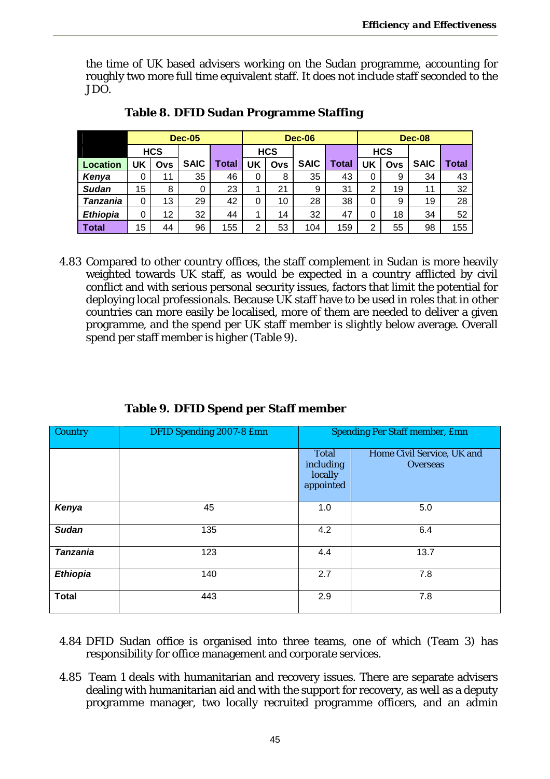the time of UK based advisers working on the Sudan programme, accounting for roughly two more full time equivalent staff. It does not include staff seconded to the JDO.

|                 | <b>Dec-05</b> |            |             |       |                | <b>Dec-06</b> |             |       |    | <b>Dec-08</b> |             |       |  |
|-----------------|---------------|------------|-------------|-------|----------------|---------------|-------------|-------|----|---------------|-------------|-------|--|
|                 |               | <b>HCS</b> |             |       | <b>HCS</b>     |               |             |       |    | <b>HCS</b>    |             |       |  |
| <b>Location</b> | UK            | Ovs        | <b>SAIC</b> | Total | UK             | Ovs           | <b>SAIC</b> | Total | UK | Ovs           | <b>SAIC</b> | Total |  |
| Kenya           | 0             | 11         | 35          | 46    | 0              | 8             | 35          | 43    | 0  | 9             | 34          | 43    |  |
| <b>Sudan</b>    | 15            | 8          | 0           | 23    | 4              | 21            | 9           | 31    | 2  | 19            | 11          | 32    |  |
| Tanzania        | 0             | 13         | 29          | 42    | 0              | 10            | 28          | 38    | 0  | 9             | 19          | 28    |  |
| <b>Ethiopia</b> | 0             | 12         | 32          | 44    | 1              | 14            | 32          | 47    | 0  | 18            | 34          | 52    |  |
| Total           | 15            | 44         | 96          | 155   | $\overline{2}$ | 53            | 104         | 159   | 2  | 55            | 98          | 155   |  |

| Table 8. DFID Sudan Programme Staffing |
|----------------------------------------|
|                                        |

4.83 Compared to other country offices, the staff complement in Sudan is more heavily weighted towards UK staff, as would be expected in a country afflicted by civil conflict and with serious personal security issues, factors that limit the potential for deploying local professionals. Because UK staff have to be used in roles that in other countries can more easily be localised, more of them are needed to deliver a given programme, and the spend per UK staff member is slightly below average. Overall spend per staff member is higher (Table 9).

| Country         | DFID Spending 2007-8 Emn |                                                   | Spending Per Staff member, Emn         |  |  |  |  |  |
|-----------------|--------------------------|---------------------------------------------------|----------------------------------------|--|--|--|--|--|
|                 |                          | <b>Total</b><br>including<br>locally<br>appointed | Home Civil Service, UK and<br>Overseas |  |  |  |  |  |
| Kenya           | 45                       | 1.0                                               | 5.0                                    |  |  |  |  |  |
| <b>Sudan</b>    | 135                      | 4.2                                               | 6.4                                    |  |  |  |  |  |
| <b>Tanzania</b> | 123                      | 4.4                                               | 13.7                                   |  |  |  |  |  |
| <b>Ethiopia</b> | 140                      | 2.7                                               | 7.8                                    |  |  |  |  |  |
| <b>Total</b>    | 443                      | 2.9                                               | 7.8                                    |  |  |  |  |  |

### **Table 9. DFID Spend per Staff member**

- 4.84 DFID Sudan office is organised into three teams, one of which (Team 3) has responsibility for office management and corporate services.
- 4.85 Team 1 deals with humanitarian and recovery issues. There are separate advisers dealing with humanitarian aid and with the support for recovery, as well as a deputy programme manager, two locally recruited programme officers, and an admin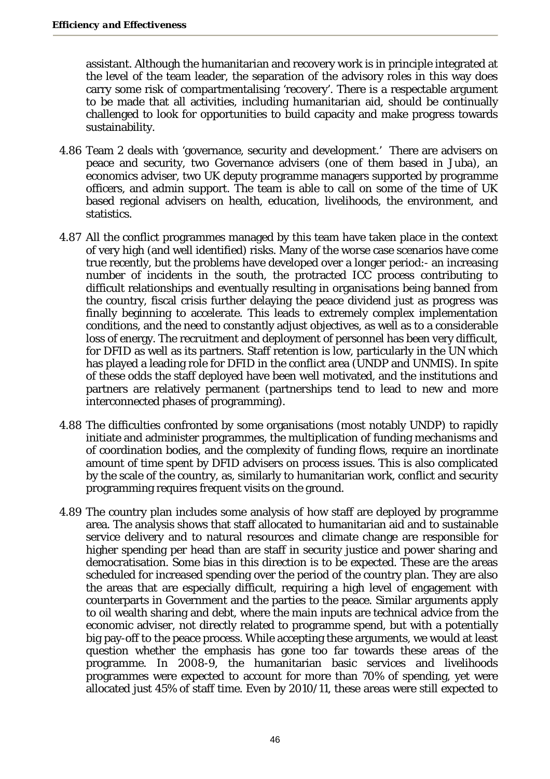assistant. Although the humanitarian and recovery work is in principle integrated at the level of the team leader, the separation of the advisory roles in this way does carry some risk of compartmentalising 'recovery'. There is a respectable argument to be made that all activities, including humanitarian aid, should be continually challenged to look for opportunities to build capacity and make progress towards sustainability.

- 4.86 Team 2 deals with 'governance, security and development.' There are advisers on peace and security, two Governance advisers (one of them based in Juba), an economics adviser, two UK deputy programme managers supported by programme officers, and admin support. The team is able to call on some of the time of UK based regional advisers on health, education, livelihoods, the environment, and statistics.
- 4.87 All the conflict programmes managed by this team have taken place in the context of very high (and well identified) risks. Many of the worse case scenarios have come true recently, but the problems have developed over a longer period:- an increasing number of incidents in the south, the protracted ICC process contributing to difficult relationships and eventually resulting in organisations being banned from the country, fiscal crisis further delaying the peace dividend just as progress was finally beginning to accelerate. This leads to extremely complex implementation conditions, and the need to constantly adjust objectives, as well as to a considerable loss of energy. The recruitment and deployment of personnel has been very difficult, for DFID as well as its partners. Staff retention is low, particularly in the UN which has played a leading role for DFID in the conflict area (UNDP and UNMIS). In spite of these odds the staff deployed have been well motivated, and the institutions and partners are relatively permanent (partnerships tend to lead to new and more interconnected phases of programming).
- 4.88 The difficulties confronted by some organisations (most notably UNDP) to rapidly initiate and administer programmes, the multiplication of funding mechanisms and of coordination bodies, and the complexity of funding flows, require an inordinate amount of time spent by DFID advisers on process issues. This is also complicated by the scale of the country, as, similarly to humanitarian work, conflict and security programming requires frequent visits on the ground.
- 4.89 The country plan includes some analysis of how staff are deployed by programme area. The analysis shows that staff allocated to humanitarian aid and to sustainable service delivery and to natural resources and climate change are responsible for higher spending per head than are staff in security justice and power sharing and democratisation. Some bias in this direction is to be expected. These are the areas scheduled for increased spending over the period of the country plan. They are also the areas that are especially difficult, requiring a high level of engagement with counterparts in Government and the parties to the peace. Similar arguments apply to oil wealth sharing and debt, where the main inputs are technical advice from the economic adviser, not directly related to programme spend, but with a potentially big pay-off to the peace process. While accepting these arguments, we would at least question whether the emphasis has gone too far towards these areas of the programme. In 2008-9, the humanitarian basic services and livelihoods programmes were expected to account for more than 70% of spending, yet were allocated just 45% of staff time. Even by 2010/11, these areas were still expected to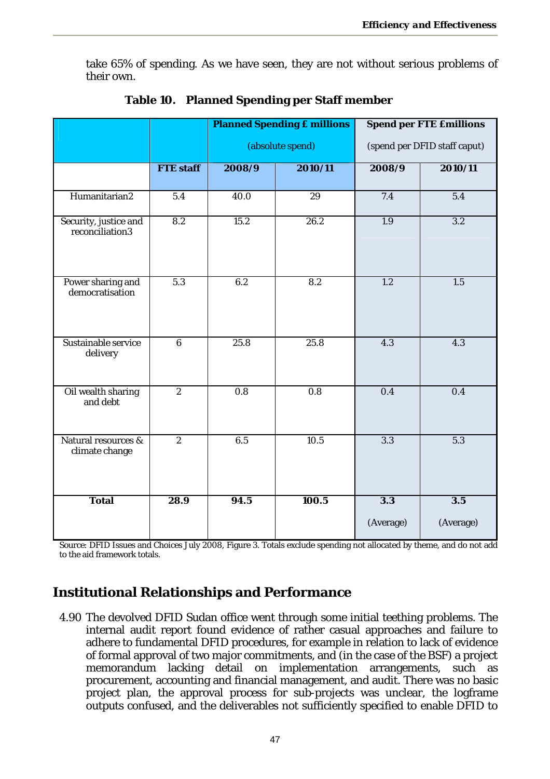take 65% of spending. As we have seen, they are not without serious problems of their own.

|                                          |                  |                  | <b>Planned Spending £ millions</b> |                  | <b>Spend per FTE £millions</b> |
|------------------------------------------|------------------|------------------|------------------------------------|------------------|--------------------------------|
|                                          |                  |                  | (absolute spend)                   |                  | (spend per DFID staff caput)   |
|                                          | <b>FTE</b> staff | 2008/9           | 2010/11                            | 2008/9           | 2010/11                        |
| Humanitarian2                            | 5.4              | 40.0             | $\overline{29}$                    | 7.4              | $\overline{5.4}$               |
| Security, justice and<br>reconciliation3 | 8.2              | 15.2             | 26.2                               | 1.9              | 3.2                            |
| Power sharing and<br>democratisation     | 5.3              | 6.2              | 8.2                                | 1.2              | 1.5                            |
| Sustainable service<br>delivery          | $\overline{6}$   | 25.8             | 25.8                               | 4.3              | 4.3                            |
| Oil wealth sharing<br>and debt           | $\overline{2}$   | $\overline{0.8}$ | $\overline{0.8}$                   | 0.4              | 0.4                            |
| Natural resources &<br>climate change    | $\overline{2}$   | 6.5              | 10.5                               | 3.3              | 5.3                            |
| <b>Total</b>                             | 28.9             | 94.5             | 100.5                              | 3.3<br>(Average) | 3.5<br>(Average)               |

**Table 10. Planned Spending per Staff member** 

Source: DFID Issues and Choices July 2008, Figure 3. Totals exclude spending not allocated by theme, and do not add to the aid framework totals.

# **Institutional Relationships and Performance**

4.90 The devolved DFID Sudan office went through some initial teething problems. The internal audit report found evidence of rather casual approaches and failure to adhere to fundamental DFID procedures, for example in relation to lack of evidence of formal approval of two major commitments, and (in the case of the BSF) a project memorandum lacking detail on implementation arrangements, such as procurement, accounting and financial management, and audit. There was no basic project plan, the approval process for sub-projects was unclear, the logframe outputs confused, and the deliverables not sufficiently specified to enable DFID to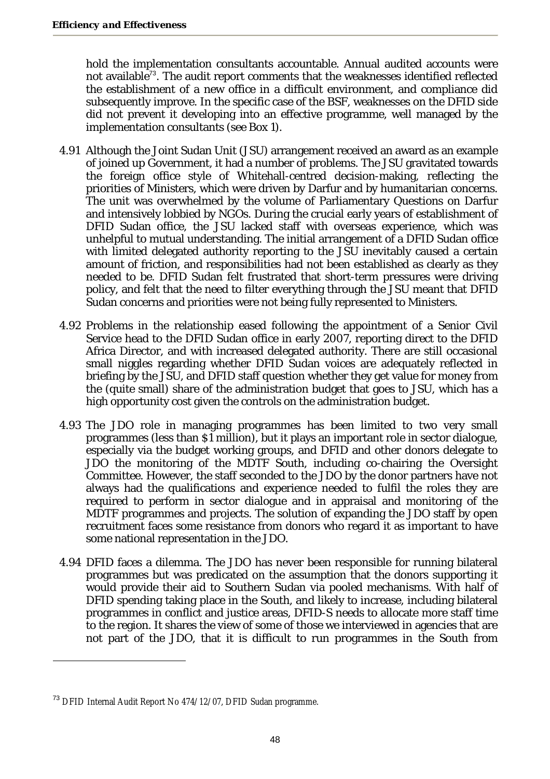hold the implementation consultants accountable. Annual audited accounts were not available<sup>73</sup>. The audit report comments that the weaknesses identified reflected the establishment of a new office in a difficult environment, and compliance did subsequently improve. In the specific case of the BSF, weaknesses on the DFID side did not prevent it developing into an effective programme, well managed by the implementation consultants (see Box 1).

- 4.91 Although the Joint Sudan Unit (JSU) arrangement received an award as an example of joined up Government, it had a number of problems. The JSU gravitated towards the foreign office style of Whitehall-centred decision-making, reflecting the priorities of Ministers, which were driven by Darfur and by humanitarian concerns. The unit was overwhelmed by the volume of Parliamentary Questions on Darfur and intensively lobbied by NGOs. During the crucial early years of establishment of DFID Sudan office, the JSU lacked staff with overseas experience, which was unhelpful to mutual understanding. The initial arrangement of a DFID Sudan office with limited delegated authority reporting to the JSU inevitably caused a certain amount of friction, and responsibilities had not been established as clearly as they needed to be. DFID Sudan felt frustrated that short-term pressures were driving policy, and felt that the need to filter everything through the JSU meant that DFID Sudan concerns and priorities were not being fully represented to Ministers.
- 4.92 Problems in the relationship eased following the appointment of a Senior Civil Service head to the DFID Sudan office in early 2007, reporting direct to the DFID Africa Director, and with increased delegated authority. There are still occasional small niggles regarding whether DFID Sudan voices are adequately reflected in briefing by the JSU, and DFID staff question whether they get value for money from the (quite small) share of the administration budget that goes to JSU, which has a high opportunity cost given the controls on the administration budget.
- 4.93 The JDO role in managing programmes has been limited to two very small programmes (less than \$1 million), but it plays an important role in sector dialogue, especially via the budget working groups, and DFID and other donors delegate to JDO the monitoring of the MDTF South, including co-chairing the Oversight Committee. However, the staff seconded to the JDO by the donor partners have not always had the qualifications and experience needed to fulfil the roles they are required to perform in sector dialogue and in appraisal and monitoring of the MDTF programmes and projects. The solution of expanding the JDO staff by open recruitment faces some resistance from donors who regard it as important to have some national representation in the JDO.
- 4.94 DFID faces a dilemma. The JDO has never been responsible for running bilateral programmes but was predicated on the assumption that the donors supporting it would provide their aid to Southern Sudan via pooled mechanisms. With half of DFID spending taking place in the South, and likely to increase, including bilateral programmes in conflict and justice areas, DFID-S needs to allocate more staff time to the region. It shares the view of some of those we interviewed in agencies that are not part of the JDO, that it is difficult to run programmes in the South from

<sup>&</sup>lt;sup>73</sup> DFID Internal Audit Report No 474/12/07, DFID Sudan programme.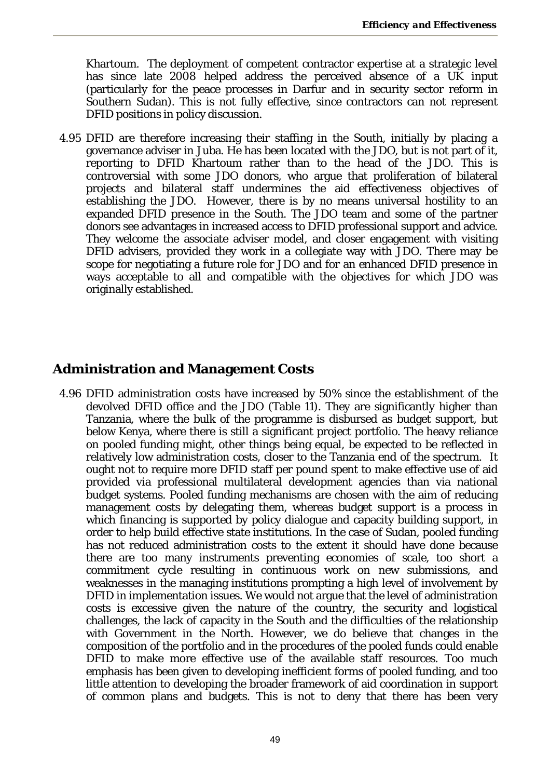Khartoum. The deployment of competent contractor expertise at a strategic level has since late 2008 helped address the perceived absence of a UK input (particularly for the peace processes in Darfur and in security sector reform in Southern Sudan). This is not fully effective, since contractors can not represent DFID positions in policy discussion.

4.95 DFID are therefore increasing their staffing in the South, initially by placing a governance adviser in Juba. He has been located with the JDO, but is not part of it, reporting to DFID Khartoum rather than to the head of the JDO. This is controversial with some JDO donors, who argue that proliferation of bilateral projects and bilateral staff undermines the aid effectiveness objectives of establishing the JDO. However, there is by no means universal hostility to an expanded DFID presence in the South. The JDO team and some of the partner donors see advantages in increased access to DFID professional support and advice. They welcome the associate adviser model, and closer engagement with visiting DFID advisers, provided they work in a collegiate way with JDO. There may be scope for negotiating a future role for JDO and for an enhanced DFID presence in ways acceptable to all and compatible with the objectives for which JDO was originally established.

## **Administration and Management Costs**

4.96 DFID administration costs have increased by 50% since the establishment of the devolved DFID office and the JDO (Table 11). They are significantly higher than Tanzania, where the bulk of the programme is disbursed as budget support, but below Kenya, where there is still a significant project portfolio. The heavy reliance on pooled funding might, other things being equal, be expected to be reflected in relatively low administration costs, closer to the Tanzania end of the spectrum. It ought not to require more DFID staff per pound spent to make effective use of aid provided via professional multilateral development agencies than via national budget systems. Pooled funding mechanisms are chosen with the aim of reducing management costs by delegating them, whereas budget support is a process in which financing is supported by policy dialogue and capacity building support, in order to help build effective state institutions. In the case of Sudan, pooled funding has not reduced administration costs to the extent it should have done because there are too many instruments preventing economies of scale, too short a commitment cycle resulting in continuous work on new submissions, and weaknesses in the managing institutions prompting a high level of involvement by DFID in implementation issues. We would not argue that the level of administration costs is excessive given the nature of the country, the security and logistical challenges, the lack of capacity in the South and the difficulties of the relationship with Government in the North. However, we do believe that changes in the composition of the portfolio and in the procedures of the pooled funds could enable DFID to make more effective use of the available staff resources. Too much emphasis has been given to developing inefficient forms of pooled funding, and too little attention to developing the broader framework of aid coordination in support of common plans and budgets. This is not to deny that there has been very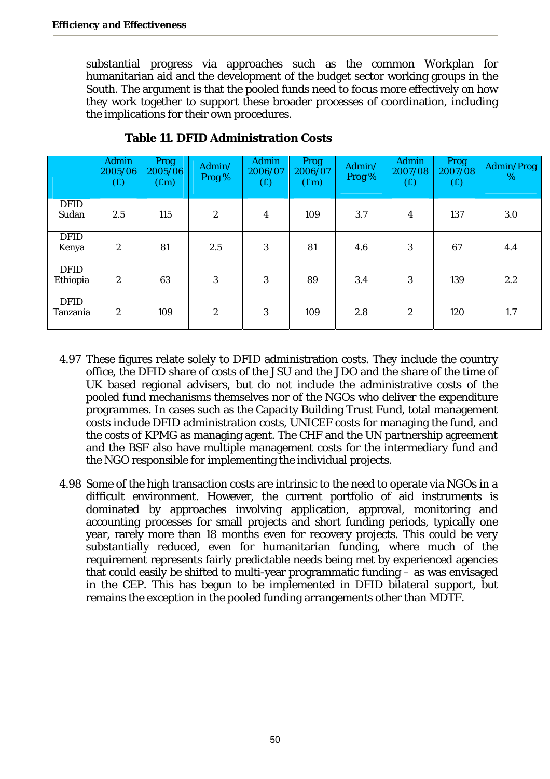substantial progress via approaches such as the common Workplan for humanitarian aid and the development of the budget sector working groups in the South. The argument is that the pooled funds need to focus more effectively on how they work together to support these broader processes of coordination, including the implications for their own procedures.

|                         | Admin<br>2005/06<br>(E) | <b>Prog</b><br>2005/06<br>(f.m) | Admin/<br>Prog % | Admin<br>2006/07<br>(f) | Prog<br>2006/07<br>(f.m) | Admin/<br>Prog % | Admin<br>2007/08<br>(E) | Prog<br>2007/08<br>(E) | Admin/Prog<br>% |
|-------------------------|-------------------------|---------------------------------|------------------|-------------------------|--------------------------|------------------|-------------------------|------------------------|-----------------|
| <b>DFID</b><br>Sudan    | 2.5                     | 115                             | 2                | 4                       | 109                      | 3.7              | 4                       | 137                    | 3.0             |
| <b>DFID</b><br>Kenya    | $\overline{2}$          | 81                              | 2.5              | 3                       | 81                       | 4.6              | 3                       | 67                     | 4.4             |
| <b>DFID</b><br>Ethiopia | $\overline{2}$          | 63                              | 3                | 3                       | 89                       | 3.4              | 3                       | 139                    | 2.2             |
| <b>DFID</b><br>Tanzania | 2                       | 109                             | $\overline{2}$   | 3                       | 109                      | 2.8              | $\overline{2}$          | 120                    | 1.7             |

**Table 11. DFID Administration Costs** 

- 4.97 These figures relate solely to DFID administration costs. They include the country office, the DFID share of costs of the JSU and the JDO and the share of the time of UK based regional advisers, but do not include the administrative costs of the pooled fund mechanisms themselves nor of the NGOs who deliver the expenditure programmes. In cases such as the Capacity Building Trust Fund, total management costs include DFID administration costs, UNICEF costs for managing the fund, and the costs of KPMG as managing agent. The CHF and the UN partnership agreement and the BSF also have multiple management costs for the intermediary fund and the NGO responsible for implementing the individual projects.
- 4.98 Some of the high transaction costs are intrinsic to the need to operate via NGOs in a difficult environment. However, the current portfolio of aid instruments is dominated by approaches involving application, approval, monitoring and accounting processes for small projects and short funding periods, typically one year, rarely more than 18 months even for recovery projects. This could be very substantially reduced, even for humanitarian funding, where much of the requirement represents fairly predictable needs being met by experienced agencies that could easily be shifted to multi-year programmatic funding – as was envisaged in the CEP. This has begun to be implemented in DFID bilateral support, but remains the exception in the pooled funding arrangements other than MDTF.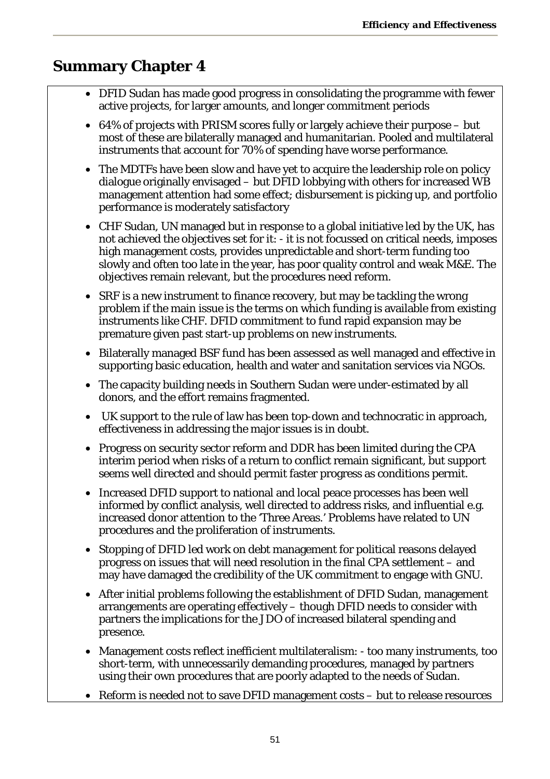# **Summary Chapter 4**

- DFID Sudan has made good progress in consolidating the programme with fewer active projects, for larger amounts, and longer commitment periods
- 64% of projects with PRISM scores fully or largely achieve their purpose but most of these are bilaterally managed and humanitarian. Pooled and multilateral instruments that account for 70% of spending have worse performance.
- The MDTFs have been slow and have yet to acquire the leadership role on policy dialogue originally envisaged – but DFID lobbying with others for increased WB management attention had some effect; disbursement is picking up, and portfolio performance is moderately satisfactory
- CHF Sudan, UN managed but in response to a global initiative led by the UK, has not achieved the objectives set for it: - it is not focussed on critical needs, imposes high management costs, provides unpredictable and short-term funding too slowly and often too late in the year, has poor quality control and weak M&E. The objectives remain relevant, but the procedures need reform.
- SRF is a new instrument to finance recovery, but may be tackling the wrong problem if the main issue is the terms on which funding is available from existing instruments like CHF. DFID commitment to fund rapid expansion may be premature given past start-up problems on new instruments.
- Bilaterally managed BSF fund has been assessed as well managed and effective in supporting basic education, health and water and sanitation services via NGOs.
- The capacity building needs in Southern Sudan were under-estimated by all donors, and the effort remains fragmented.
- UK support to the rule of law has been top-down and technocratic in approach, effectiveness in addressing the major issues is in doubt.
- Progress on security sector reform and DDR has been limited during the CPA interim period when risks of a return to conflict remain significant, but support seems well directed and should permit faster progress as conditions permit.
- Increased DFID support to national and local peace processes has been well informed by conflict analysis, well directed to address risks, and influential e.g. increased donor attention to the 'Three Areas.' Problems have related to UN procedures and the proliferation of instruments.
- Stopping of DFID led work on debt management for political reasons delayed progress on issues that will need resolution in the final CPA settlement – and may have damaged the credibility of the UK commitment to engage with GNU.
- After initial problems following the establishment of DFID Sudan, management arrangements are operating effectively – though DFID needs to consider with partners the implications for the JDO of increased bilateral spending and presence.
- Management costs reflect inefficient multilateralism: too many instruments, too short-term, with unnecessarily demanding procedures, managed by partners using their own procedures that are poorly adapted to the needs of Sudan.
- Reform is needed not to save DFID management costs but to release resources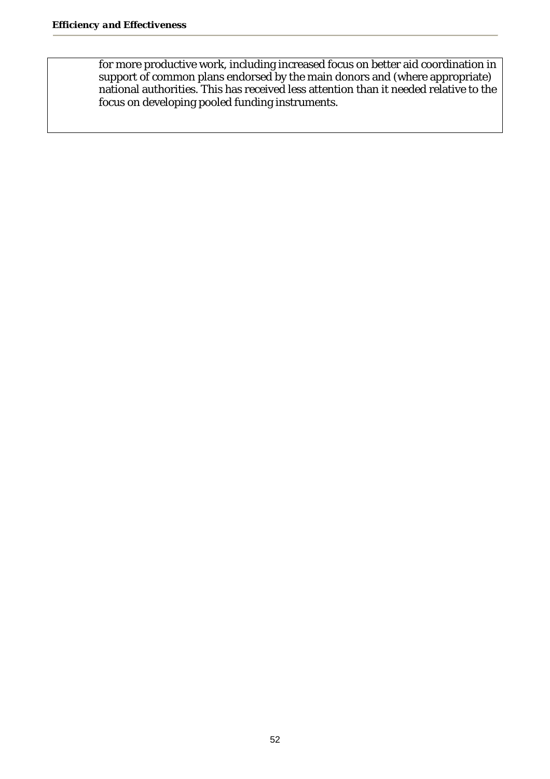for more productive work, including increased focus on better aid coordination in support of common plans endorsed by the main donors and (where appropriate) national authorities. This has received less attention than it needed relative to the focus on developing pooled funding instruments.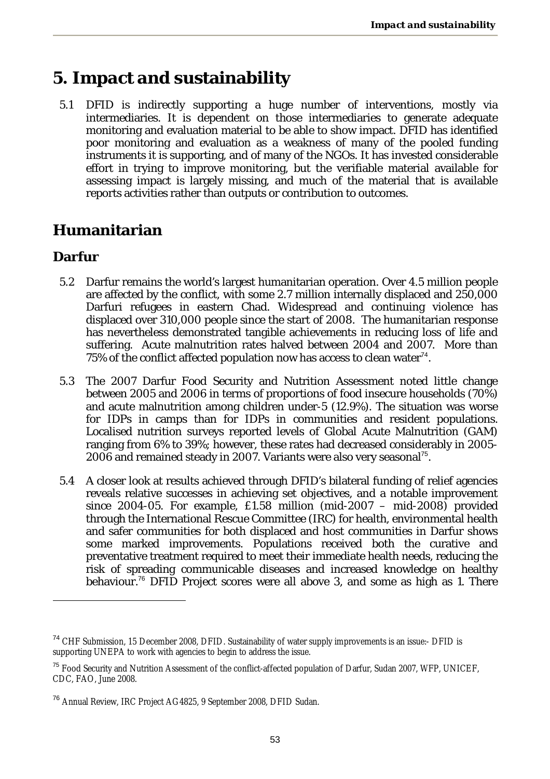# **5. Impact and sustainability**

5.1 DFID is indirectly supporting a huge number of interventions, mostly via intermediaries. It is dependent on those intermediaries to generate adequate monitoring and evaluation material to be able to show impact. DFID has identified poor monitoring and evaluation as a weakness of many of the pooled funding instruments it is supporting, and of many of the NGOs. It has invested considerable effort in trying to improve monitoring, but the verifiable material available for assessing impact is largely missing, and much of the material that is available reports activities rather than outputs or contribution to outcomes.

### **Humanitarian**

### **Darfur**

 $\overline{a}$ 

- 5.2 Darfur remains the world's largest humanitarian operation. Over 4.5 million people are affected by the conflict, with some 2.7 million internally displaced and 250,000 Darfuri refugees in eastern Chad. Widespread and continuing violence has displaced over 310,000 people since the start of 2008. The humanitarian response has nevertheless demonstrated tangible achievements in reducing loss of life and suffering. Acute malnutrition rates halved between 2004 and 2007. More than 75% of the conflict affected population now has access to clean water $74$ .
- 5.3 The 2007 Darfur Food Security and Nutrition Assessment noted little change between 2005 and 2006 in terms of proportions of food insecure households (70%) and acute malnutrition among children under-5 (12.9%). The situation was worse for IDPs in camps than for IDPs in communities and resident populations. Localised nutrition surveys reported levels of Global Acute Malnutrition (GAM) ranging from 6% to 39%; however, these rates had decreased considerably in 2005- 2006 and remained steady in 2007. Variants were also very seasonal<sup>75</sup>.
- 5.4 A closer look at results achieved through DFID's bilateral funding of relief agencies reveals relative successes in achieving set objectives, and a notable improvement since 2004-05. For example, £1.58 million (mid-2007 – mid-2008) provided through the International Rescue Committee (IRC) for health, environmental health and safer communities for both displaced and host communities in Darfur shows some marked improvements. Populations received both the curative and preventative treatment required to meet their immediate health needs, reducing the risk of spreading communicable diseases and increased knowledge on healthy behaviour.<sup>76</sup> DFID Project scores were all above 3, and some as high as 1. There

<sup>74</sup> CHF Submission, 15 December 2008, DFID. Sustainability of water supply improvements is an issue:- DFID is supporting UNEPA to work with agencies to begin to address the issue.

<sup>&</sup>lt;sup>75</sup> Food Security and Nutrition Assessment of the conflict-affected population of Darfur, Sudan 2007, WFP, UNICEF, CDC, FAO, June 2008.

<sup>&</sup>lt;sup>76</sup> Annual Review, IRC Project AG4825, 9 September 2008, DFID Sudan.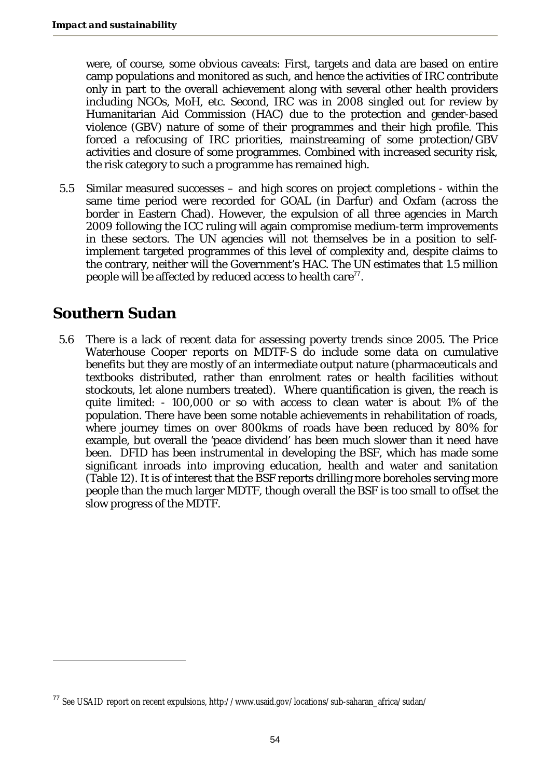were, of course, some obvious caveats: First, targets and data are based on entire camp populations and monitored as such, and hence the activities of IRC contribute only in part to the overall achievement along with several other health providers including NGOs, MoH, etc. Second, IRC was in 2008 singled out for review by Humanitarian Aid Commission (HAC) due to the protection and gender-based violence (GBV) nature of some of their programmes and their high profile. This forced a refocusing of IRC priorities, mainstreaming of some protection/GBV activities and closure of some programmes. Combined with increased security risk, the risk category to such a programme has remained high.

5.5 Similar measured successes – and high scores on project completions - within the same time period were recorded for GOAL (in Darfur) and Oxfam (across the border in Eastern Chad). However, the expulsion of all three agencies in March 2009 following the ICC ruling will again compromise medium-term improvements in these sectors. The UN agencies will not themselves be in a position to selfimplement targeted programmes of this level of complexity and, despite claims to the contrary, neither will the Government's HAC. The UN estimates that 1.5 million people will be affected by reduced access to health care $77$ .

### **Southern Sudan**

 $\overline{a}$ 

5.6 There is a lack of recent data for assessing poverty trends since 2005. The Price Waterhouse Cooper reports on MDTF-S do include some data on cumulative benefits but they are mostly of an intermediate output nature (pharmaceuticals and textbooks distributed, rather than enrolment rates or health facilities without stockouts, let alone numbers treated). Where quantification is given, the reach is quite limited: - 100,000 or so with access to clean water is about 1% of the population. There have been some notable achievements in rehabilitation of roads, where journey times on over 800kms of roads have been reduced by 80% for example, but overall the 'peace dividend' has been much slower than it need have been. DFID has been instrumental in developing the BSF, which has made some significant inroads into improving education, health and water and sanitation (Table 12). It is of interest that the BSF reports drilling more boreholes serving more people than the much larger MDTF, though overall the BSF is too small to offset the slow progress of the MDTF.

<sup>77</sup> See USAID report on recent expulsions, http://www.usaid.gov/locations/sub-saharan\_africa/sudan/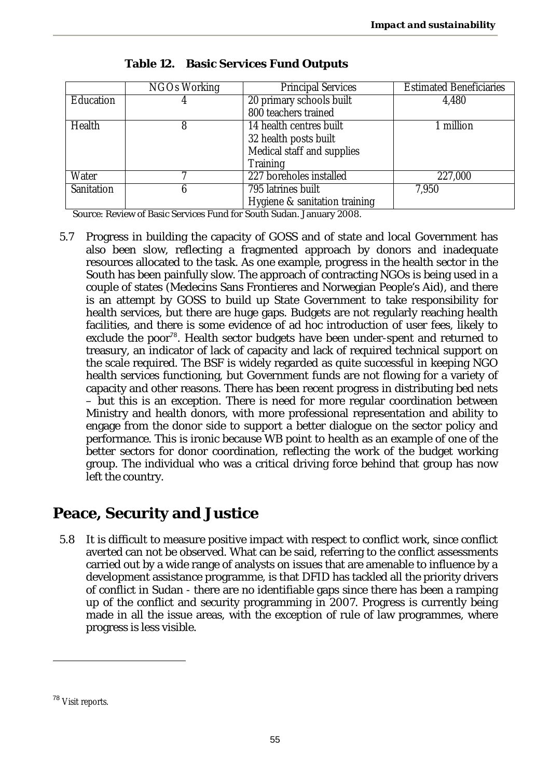|            | <b>NGOs Working</b> | <b>Principal Services</b>     | <b>Estimated Beneficiaries</b> |
|------------|---------------------|-------------------------------|--------------------------------|
| Education  |                     | 20 primary schools built      | 4,480                          |
|            |                     | 800 teachers trained          |                                |
| Health     |                     | 14 health centres built       | 1 million                      |
|            |                     | 32 health posts built         |                                |
|            |                     | Medical staff and supplies    |                                |
|            |                     | Training                      |                                |
| Water      |                     | 227 boreholes installed       | 227,000                        |
| Sanitation | h                   | 795 latrines built            | 7,950                          |
|            |                     | Hygiene & sanitation training |                                |

**Table 12. Basic Services Fund Outputs** 

Source: Review of Basic Services Fund for South Sudan. January 2008.

5.7 Progress in building the capacity of GOSS and of state and local Government has also been slow, reflecting a fragmented approach by donors and inadequate resources allocated to the task. As one example, progress in the health sector in the South has been painfully slow. The approach of contracting NGOs is being used in a couple of states (Medecins Sans Frontieres and Norwegian People's Aid), and there is an attempt by GOSS to build up State Government to take responsibility for health services, but there are huge gaps. Budgets are not regularly reaching health facilities, and there is some evidence of ad hoc introduction of user fees, likely to exclude the poor<sup>78</sup>. Health sector budgets have been under-spent and returned to treasury, an indicator of lack of capacity and lack of required technical support on the scale required. The BSF is widely regarded as quite successful in keeping NGO health services functioning, but Government funds are not flowing for a variety of capacity and other reasons. There has been recent progress in distributing bed nets – but this is an exception. There is need for more regular coordination between Ministry and health donors, with more professional representation and ability to engage from the donor side to support a better dialogue on the sector policy and performance. This is ironic because WB point to health as an example of one of the better sectors for donor coordination, reflecting the work of the budget working group. The individual who was a critical driving force behind that group has now left the country.

# **Peace, Security and Justice**

5.8 It is difficult to measure positive impact with respect to conflict work, since conflict averted can not be observed. What can be said, referring to the conflict assessments carried out by a wide range of analysts on issues that are amenable to influence by a development assistance programme, is that DFID has tackled all the priority drivers of conflict in Sudan - there are no identifiable gaps since there has been a ramping up of the conflict and security programming in 2007. Progress is currently being made in all the issue areas, with the exception of rule of law programmes, where progress is less visible.

 $\overline{a}$ 

<sup>78</sup> Visit reports.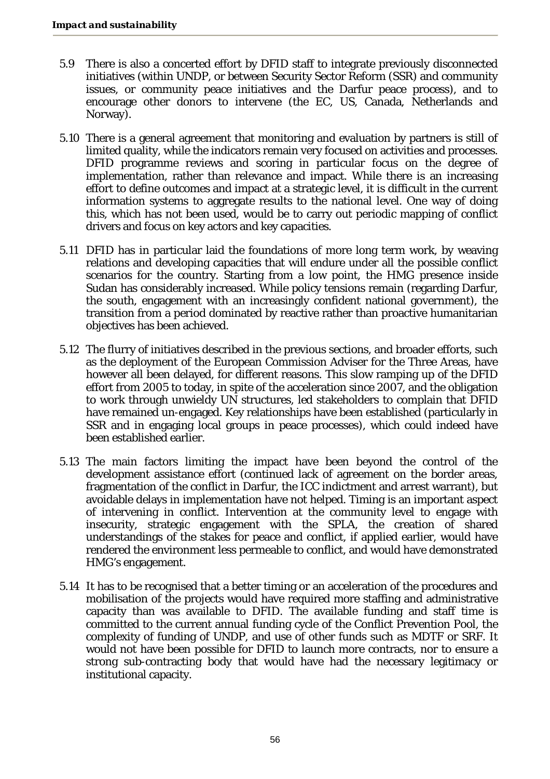- 5.9 There is also a concerted effort by DFID staff to integrate previously disconnected initiatives (within UNDP, or between Security Sector Reform (SSR) and community issues, or community peace initiatives and the Darfur peace process), and to encourage other donors to intervene (the EC, US, Canada, Netherlands and Norway).
- 5.10 There is a general agreement that monitoring and evaluation by partners is still of limited quality, while the indicators remain very focused on activities and processes. DFID programme reviews and scoring in particular focus on the degree of implementation, rather than relevance and impact. While there is an increasing effort to define outcomes and impact at a strategic level, it is difficult in the current information systems to aggregate results to the national level. One way of doing this, which has not been used, would be to carry out periodic mapping of conflict drivers and focus on key actors and key capacities.
- 5.11 DFID has in particular laid the foundations of more long term work, by weaving relations and developing capacities that will endure under all the possible conflict scenarios for the country. Starting from a low point, the HMG presence inside Sudan has considerably increased. While policy tensions remain (regarding Darfur, the south, engagement with an increasingly confident national government), the transition from a period dominated by reactive rather than proactive humanitarian objectives has been achieved.
- 5.12 The flurry of initiatives described in the previous sections, and broader efforts, such as the deployment of the European Commission Adviser for the Three Areas, have however all been delayed, for different reasons. This slow ramping up of the DFID effort from 2005 to today, in spite of the acceleration since 2007, and the obligation to work through unwieldy UN structures, led stakeholders to complain that DFID have remained un-engaged. Key relationships have been established (particularly in SSR and in engaging local groups in peace processes), which could indeed have been established earlier.
- 5.13 The main factors limiting the impact have been beyond the control of the development assistance effort (continued lack of agreement on the border areas, fragmentation of the conflict in Darfur, the ICC indictment and arrest warrant), but avoidable delays in implementation have not helped. Timing is an important aspect of intervening in conflict. Intervention at the community level to engage with insecurity, strategic engagement with the SPLA, the creation of shared understandings of the stakes for peace and conflict, if applied earlier, would have rendered the environment less permeable to conflict, and would have demonstrated HMG's engagement.
- 5.14 It has to be recognised that a better timing or an acceleration of the procedures and mobilisation of the projects would have required more staffing and administrative capacity than was available to DFID. The available funding and staff time is committed to the current annual funding cycle of the Conflict Prevention Pool, the complexity of funding of UNDP, and use of other funds such as MDTF or SRF. It would not have been possible for DFID to launch more contracts, nor to ensure a strong sub-contracting body that would have had the necessary legitimacy or institutional capacity.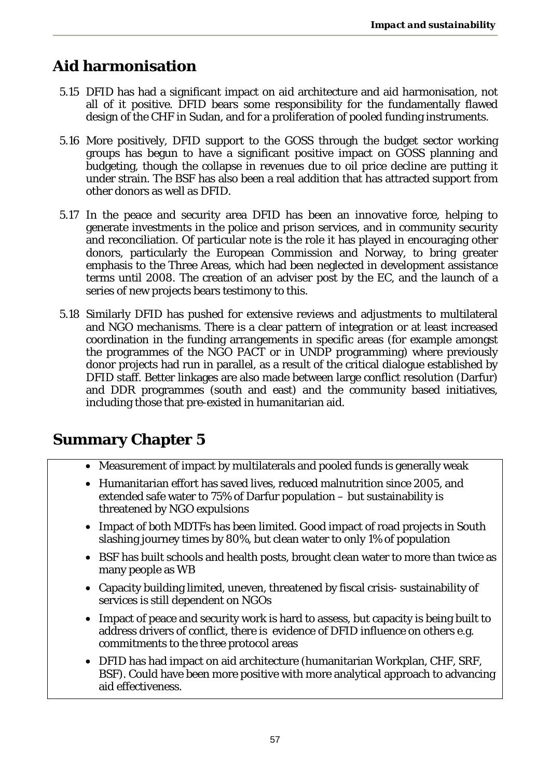### **Aid harmonisation**

- 5.15 DFID has had a significant impact on aid architecture and aid harmonisation, not all of it positive. DFID bears some responsibility for the fundamentally flawed design of the CHF in Sudan, and for a proliferation of pooled funding instruments.
- 5.16 More positively, DFID support to the GOSS through the budget sector working groups has begun to have a significant positive impact on GOSS planning and budgeting, though the collapse in revenues due to oil price decline are putting it under strain. The BSF has also been a real addition that has attracted support from other donors as well as DFID.
- 5.17 In the peace and security area DFID has been an innovative force, helping to generate investments in the police and prison services, and in community security and reconciliation. Of particular note is the role it has played in encouraging other donors, particularly the European Commission and Norway, to bring greater emphasis to the Three Areas, which had been neglected in development assistance terms until 2008. The creation of an adviser post by the EC, and the launch of a series of new projects bears testimony to this.
- 5.18 Similarly DFID has pushed for extensive reviews and adjustments to multilateral and NGO mechanisms. There is a clear pattern of integration or at least increased coordination in the funding arrangements in specific areas (for example amongst the programmes of the NGO PACT or in UNDP programming) where previously donor projects had run in parallel, as a result of the critical dialogue established by DFID staff. Better linkages are also made between large conflict resolution (Darfur) and DDR programmes (south and east) and the community based initiatives, including those that pre-existed in humanitarian aid.

# **Summary Chapter 5**

- Measurement of impact by multilaterals and pooled funds is generally weak
- Humanitarian effort has saved lives, reduced malnutrition since 2005, and extended safe water to 75% of Darfur population – but sustainability is threatened by NGO expulsions
- Impact of both MDTFs has been limited. Good impact of road projects in South slashing journey times by 80%, but clean water to only 1% of population
- BSF has built schools and health posts, brought clean water to more than twice as many people as WB
- Capacity building limited, uneven, threatened by fiscal crisis- sustainability of services is still dependent on NGOs
- Impact of peace and security work is hard to assess, but capacity is being built to address drivers of conflict, there is evidence of DFID influence on others e.g. commitments to the three protocol areas
- DFID has had impact on aid architecture (humanitarian Workplan, CHF, SRF, BSF). Could have been more positive with more analytical approach to advancing aid effectiveness.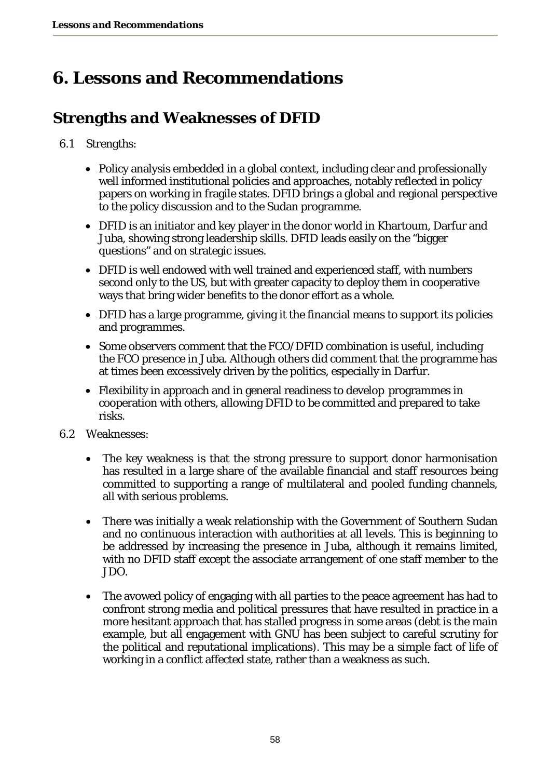# **6. Lessons and Recommendations**

# **Strengths and Weaknesses of DFID**

#### 6.1 Strengths:

- Policy analysis embedded in a global context, including clear and professionally well informed institutional policies and approaches, notably reflected in policy papers on working in fragile states. DFID brings a global and regional perspective to the policy discussion and to the Sudan programme.
- DFID is an initiator and key player in the donor world in Khartoum, Darfur and Juba, showing strong leadership skills. DFID leads easily on the "bigger questions" and on strategic issues.
- DFID is well endowed with well trained and experienced staff, with numbers second only to the US, but with greater capacity to deploy them in cooperative ways that bring wider benefits to the donor effort as a whole.
- DFID has a large programme, giving it the financial means to support its policies and programmes.
- Some observers comment that the FCO/DFID combination is useful, including the FCO presence in Juba. Although others did comment that the programme has at times been excessively driven by the politics, especially in Darfur.
- Flexibility in approach and in general readiness to develop programmes in cooperation with others, allowing DFID to be committed and prepared to take risks.
- 6.2 Weaknesses:
	- The key weakness is that the strong pressure to support donor harmonisation has resulted in a large share of the available financial and staff resources being committed to supporting a range of multilateral and pooled funding channels, all with serious problems.
	- There was initially a weak relationship with the Government of Southern Sudan and no continuous interaction with authorities at all levels. This is beginning to be addressed by increasing the presence in Juba, although it remains limited, with no DFID staff except the associate arrangement of one staff member to the JDO.
	- The avowed policy of engaging with all parties to the peace agreement has had to confront strong media and political pressures that have resulted in practice in a more hesitant approach that has stalled progress in some areas (debt is the main example, but all engagement with GNU has been subject to careful scrutiny for the political and reputational implications). This may be a simple fact of life of working in a conflict affected state, rather than a weakness as such.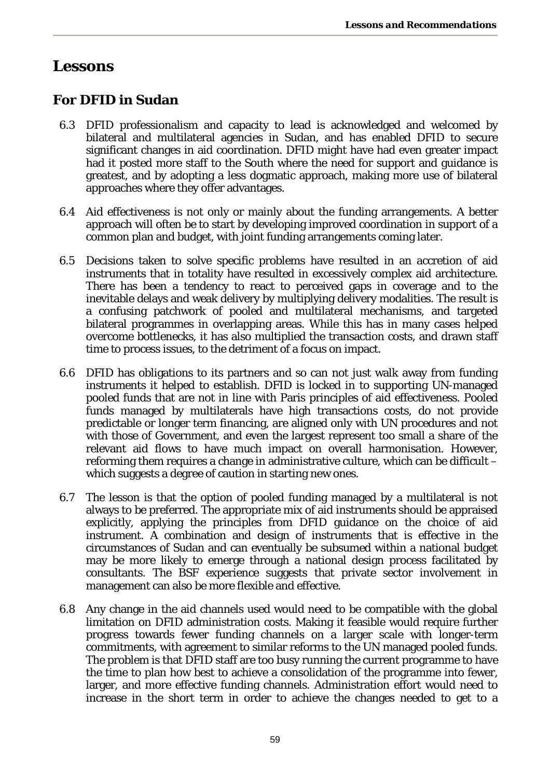### **Lessons**

### **For DFID in Sudan**

- 6.3 DFID professionalism and capacity to lead is acknowledged and welcomed by bilateral and multilateral agencies in Sudan, and has enabled DFID to secure significant changes in aid coordination. DFID might have had even greater impact had it posted more staff to the South where the need for support and guidance is greatest, and by adopting a less dogmatic approach, making more use of bilateral approaches where they offer advantages.
- 6.4 Aid effectiveness is not only or mainly about the funding arrangements. A better approach will often be to start by developing improved coordination in support of a common plan and budget, with joint funding arrangements coming later.
- 6.5 Decisions taken to solve specific problems have resulted in an accretion of aid instruments that in totality have resulted in excessively complex aid architecture. There has been a tendency to react to perceived gaps in coverage and to the inevitable delays and weak delivery by multiplying delivery modalities. The result is a confusing patchwork of pooled and multilateral mechanisms, and targeted bilateral programmes in overlapping areas. While this has in many cases helped overcome bottlenecks, it has also multiplied the transaction costs, and drawn staff time to process issues, to the detriment of a focus on impact.
- 6.6 DFID has obligations to its partners and so can not just walk away from funding instruments it helped to establish. DFID is locked in to supporting UN-managed pooled funds that are not in line with Paris principles of aid effectiveness. Pooled funds managed by multilaterals have high transactions costs, do not provide predictable or longer term financing, are aligned only with UN procedures and not with those of Government, and even the largest represent too small a share of the relevant aid flows to have much impact on overall harmonisation. However, reforming them requires a change in administrative culture, which can be difficult – which suggests a degree of caution in starting new ones.
- 6.7 The lesson is that the option of pooled funding managed by a multilateral is not always to be preferred. The appropriate mix of aid instruments should be appraised explicitly, applying the principles from DFID guidance on the choice of aid instrument. A combination and design of instruments that is effective in the circumstances of Sudan and can eventually be subsumed within a national budget may be more likely to emerge through a national design process facilitated by consultants. The BSF experience suggests that private sector involvement in management can also be more flexible and effective.
- 6.8 Any change in the aid channels used would need to be compatible with the global limitation on DFID administration costs. Making it feasible would require further progress towards fewer funding channels on a larger scale with longer-term commitments, with agreement to similar reforms to the UN managed pooled funds. The problem is that DFID staff are too busy running the current programme to have the time to plan how best to achieve a consolidation of the programme into fewer, larger, and more effective funding channels. Administration effort would need to increase in the short term in order to achieve the changes needed to get to a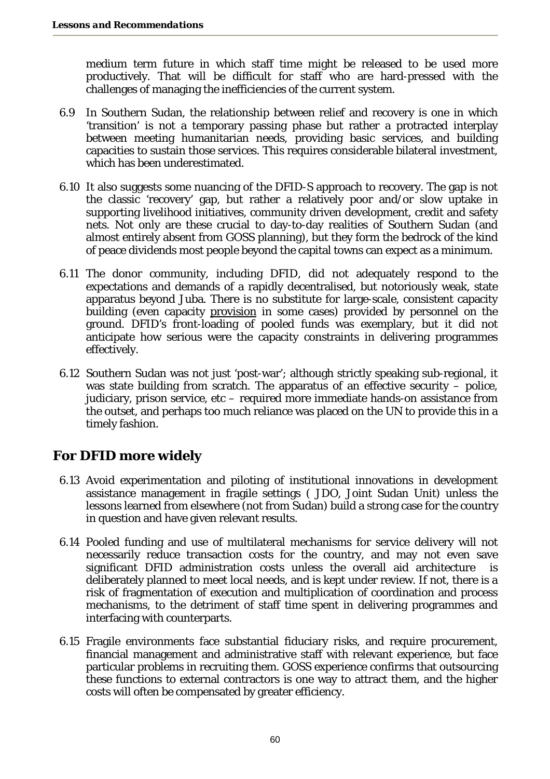medium term future in which staff time might be released to be used more productively. That will be difficult for staff who are hard-pressed with the challenges of managing the inefficiencies of the current system.

- 6.9 In Southern Sudan, the relationship between relief and recovery is one in which 'transition' is not a temporary passing phase but rather a protracted interplay between meeting humanitarian needs, providing basic services, and building capacities to sustain those services. This requires considerable bilateral investment, which has been underestimated.
- 6.10 It also suggests some nuancing of the DFID-S approach to recovery. The gap is not the classic 'recovery' gap, but rather a relatively poor and/or slow uptake in supporting livelihood initiatives, community driven development, credit and safety nets. Not only are these crucial to day-to-day realities of Southern Sudan (and almost entirely absent from GOSS planning), but they form the bedrock of the kind of peace dividends most people beyond the capital towns can expect as a minimum.
- 6.11 The donor community, including DFID, did not adequately respond to the expectations and demands of a rapidly decentralised, but notoriously weak, state apparatus beyond Juba. There is no substitute for large-scale, consistent capacity building (even capacity provision in some cases) provided by personnel on the ground. DFID's front-loading of pooled funds was exemplary, but it did not anticipate how serious were the capacity constraints in delivering programmes effectively.
- 6.12 Southern Sudan was not just 'post-war'; although strictly speaking sub-regional, it was state building from scratch. The apparatus of an effective security – police, judiciary, prison service, etc – required more immediate hands-on assistance from the outset, and perhaps too much reliance was placed on the UN to provide this in a timely fashion.

### **For DFID more widely**

- 6.13 Avoid experimentation and piloting of institutional innovations in development assistance management in fragile settings ( JDO, Joint Sudan Unit) unless the lessons learned from elsewhere (not from Sudan) build a strong case for the country in question and have given relevant results.
- 6.14 Pooled funding and use of multilateral mechanisms for service delivery will not necessarily reduce transaction costs for the country, and may not even save significant DFID administration costs unless the overall aid architecture is deliberately planned to meet local needs, and is kept under review. If not, there is a risk of fragmentation of execution and multiplication of coordination and process mechanisms, to the detriment of staff time spent in delivering programmes and interfacing with counterparts.
- 6.15 Fragile environments face substantial fiduciary risks, and require procurement, financial management and administrative staff with relevant experience, but face particular problems in recruiting them. GOSS experience confirms that outsourcing these functions to external contractors is one way to attract them, and the higher costs will often be compensated by greater efficiency.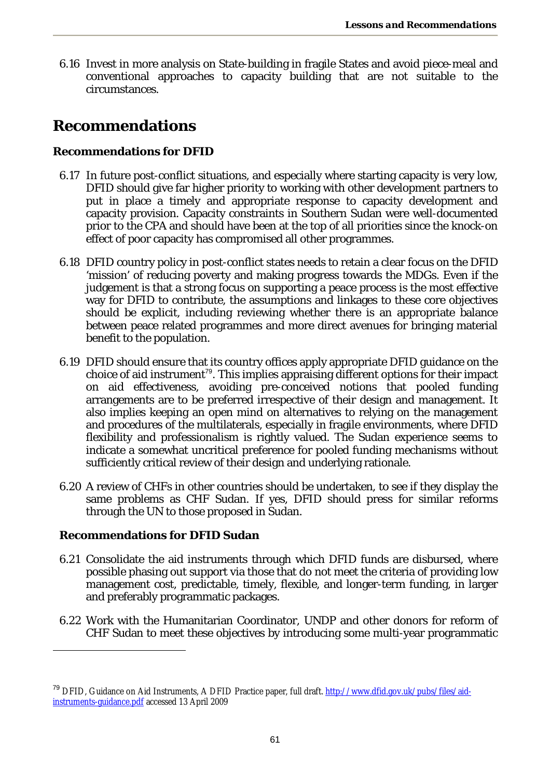6.16 Invest in more analysis on State-building in fragile States and avoid piece-meal and conventional approaches to capacity building that are not suitable to the circumstances.

### **Recommendations**

#### **Recommendations for DFID**

- 6.17 In future post-conflict situations, and especially where starting capacity is very low, DFID should give far higher priority to working with other development partners to put in place a timely and appropriate response to capacity development and capacity provision. Capacity constraints in Southern Sudan were well-documented prior to the CPA and should have been at the top of all priorities since the knock-on effect of poor capacity has compromised all other programmes.
- 6.18 DFID country policy in post-conflict states needs to retain a clear focus on the DFID 'mission' of reducing poverty and making progress towards the MDGs. Even if the judgement is that a strong focus on supporting a peace process is the most effective way for DFID to contribute, the assumptions and linkages to these core objectives should be explicit, including reviewing whether there is an appropriate balance between peace related programmes and more direct avenues for bringing material benefit to the population.
- 6.19 DFID should ensure that its country offices apply appropriate DFID guidance on the choice of aid instrument<sup>79</sup>. This implies appraising different options for their impact on aid effectiveness, avoiding pre-conceived notions that pooled funding arrangements are to be preferred irrespective of their design and management. It also implies keeping an open mind on alternatives to relying on the management and procedures of the multilaterals, especially in fragile environments, where DFID flexibility and professionalism is rightly valued. The Sudan experience seems to indicate a somewhat uncritical preference for pooled funding mechanisms without sufficiently critical review of their design and underlying rationale.
- 6.20 A review of CHFs in other countries should be undertaken, to see if they display the same problems as CHF Sudan. If yes, DFID should press for similar reforms through the UN to those proposed in Sudan.

#### **Recommendations for DFID Sudan**

 $\overline{a}$ 

- 6.21 Consolidate the aid instruments through which DFID funds are disbursed, where possible phasing out support via those that do not meet the criteria of providing low management cost, predictable, timely, flexible, and longer-term funding, in larger and preferably programmatic packages.
- 6.22 Work with the Humanitarian Coordinator, UNDP and other donors for reform of CHF Sudan to meet these objectives by introducing some multi-year programmatic

<sup>&</sup>lt;sup>79</sup> DFID, Guidance on Aid Instruments, A DFID Practice paper, full draft. http://www.dfid.gov.uk/pubs/files/aidinstruments-guidance.pdf accessed 13 April 2009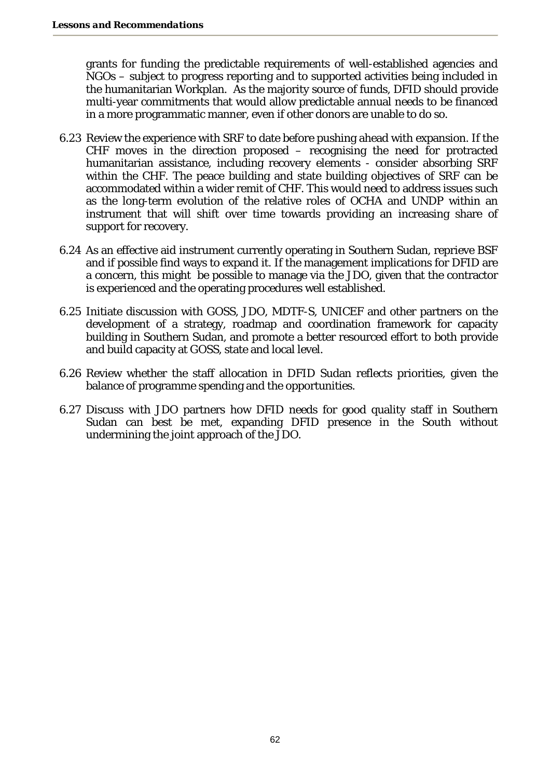grants for funding the predictable requirements of well-established agencies and NGOs – subject to progress reporting and to supported activities being included in the humanitarian Workplan. As the majority source of funds, DFID should provide multi-year commitments that would allow predictable annual needs to be financed in a more programmatic manner, even if other donors are unable to do so.

- 6.23 Review the experience with SRF to date before pushing ahead with expansion. If the CHF moves in the direction proposed – recognising the need for protracted humanitarian assistance, including recovery elements - consider absorbing SRF within the CHF. The peace building and state building objectives of SRF can be accommodated within a wider remit of CHF. This would need to address issues such as the long-term evolution of the relative roles of OCHA and UNDP within an instrument that will shift over time towards providing an increasing share of support for recovery.
- 6.24 As an effective aid instrument currently operating in Southern Sudan, reprieve BSF and if possible find ways to expand it. If the management implications for DFID are a concern, this might be possible to manage via the JDO, given that the contractor is experienced and the operating procedures well established.
- 6.25 Initiate discussion with GOSS, JDO, MDTF-S, UNICEF and other partners on the development of a strategy, roadmap and coordination framework for capacity building in Southern Sudan, and promote a better resourced effort to both provide and build capacity at GOSS, state and local level.
- 6.26 Review whether the staff allocation in DFID Sudan reflects priorities, given the balance of programme spending and the opportunities.
- 6.27 Discuss with JDO partners how DFID needs for good quality staff in Southern Sudan can best be met, expanding DFID presence in the South without undermining the joint approach of the JDO.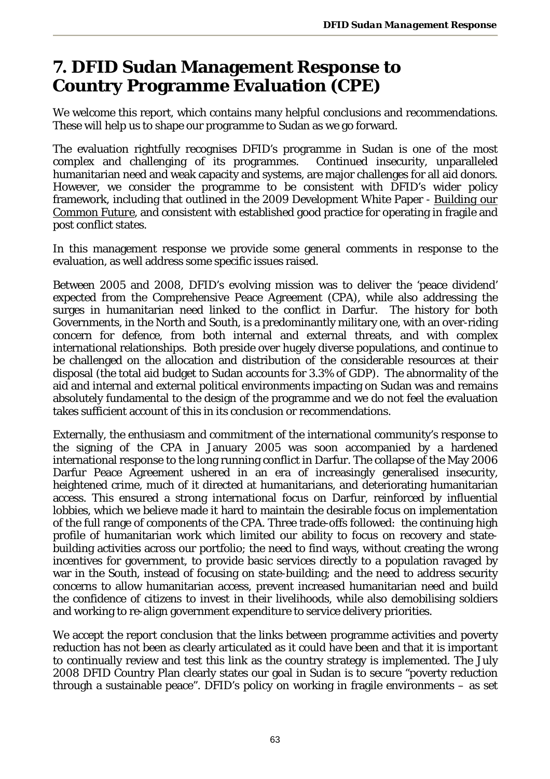# **7. DFID Sudan Management Response to Country Programme Evaluation (CPE)**

We welcome this report, which contains many helpful conclusions and recommendations. These will help us to shape our programme to Sudan as we go forward.

The evaluation rightfully recognises DFID's programme in Sudan is one of the most complex and challenging of its programmes. Continued insecurity, unparalleled humanitarian need and weak capacity and systems, are major challenges for all aid donors. However, we consider the programme to be consistent with DFID's wider policy framework, including that outlined in the 2009 Development White Paper - *Building our Common Future*, and consistent with established good practice for operating in fragile and post conflict states.

In this management response we provide some general comments in response to the evaluation, as well address some specific issues raised.

Between 2005 and 2008, DFID's evolving mission was to deliver the 'peace dividend' expected from the Comprehensive Peace Agreement (CPA), while also addressing the surges in humanitarian need linked to the conflict in Darfur. The history for both Governments, in the North and South, is a predominantly military one, with an over-riding concern for defence, from both internal and external threats, and with complex international relationships. Both preside over hugely diverse populations, and continue to be challenged on the allocation and distribution of the considerable resources at their disposal (the total aid budget to Sudan accounts for 3.3% of GDP). The abnormality of the aid and internal and external political environments impacting on Sudan was and remains absolutely fundamental to the design of the programme and we do not feel the evaluation takes sufficient account of this in its conclusion or recommendations.

Externally, the enthusiasm and commitment of the international community's response to the signing of the CPA in January 2005 was soon accompanied by a hardened international response to the long running conflict in Darfur. The collapse of the May 2006 Darfur Peace Agreement ushered in an era of increasingly generalised insecurity, heightened crime, much of it directed at humanitarians, and deteriorating humanitarian access. This ensured a strong international focus on Darfur, reinforced by influential lobbies, which we believe made it hard to maintain the desirable focus on implementation of the full range of components of the CPA. Three trade-offs followed: the continuing high profile of humanitarian work which limited our ability to focus on recovery and statebuilding activities across our portfolio; the need to find ways, without creating the wrong incentives for government, to provide basic services directly to a population ravaged by war in the South, instead of focusing on state-building; and the need to address security concerns to allow humanitarian access, prevent increased humanitarian need and build the confidence of citizens to invest in their livelihoods, while also demobilising soldiers and working to re-align government expenditure to service delivery priorities.

We accept the report conclusion that the links between programme activities and poverty reduction has not been as clearly articulated as it could have been and that it is important to continually review and test this link as the country strategy is implemented. The July 2008 DFID Country Plan clearly states our goal in Sudan is to secure "poverty reduction through a sustainable peace". DFID's policy on working in fragile environments – as set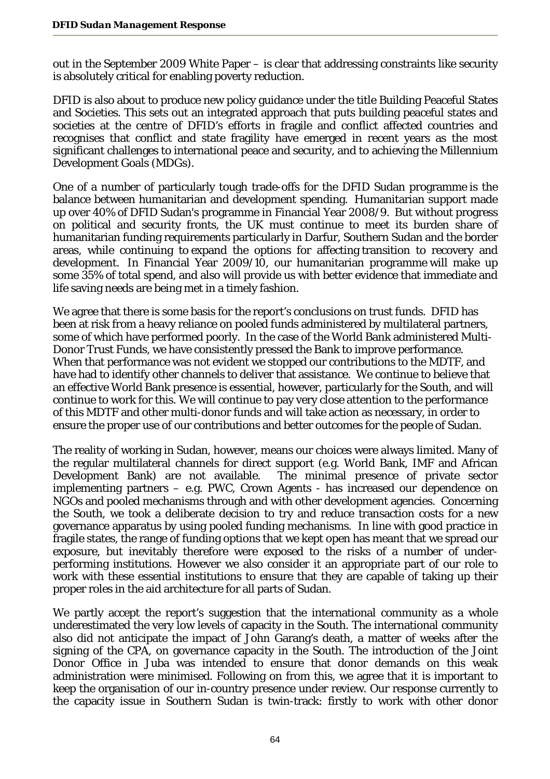out in the September 2009 White Paper – is clear that addressing constraints like security is absolutely critical for enabling poverty reduction.

DFID is also about to produce new policy guidance under the title Building Peaceful States and Societies. This sets out an integrated approach that puts building peaceful states and societies at the centre of DFID's efforts in fragile and conflict affected countries and recognises that conflict and state fragility have emerged in recent years as the most significant challenges to international peace and security, and to achieving the Millennium Development Goals (MDGs).

One of a number of particularly tough trade-offs for the DFID Sudan programme is the balance between humanitarian and development spending. Humanitarian support made up over 40% of DFID Sudan's programme in Financial Year 2008/9. But without progress on political and security fronts, the UK must continue to meet its burden share of humanitarian funding requirements particularly in Darfur, Southern Sudan and the border areas, while continuing to expand the options for affecting transition to recovery and development. In Financial Year 2009/10, our humanitarian programme will make up some 35% of total spend, and also will provide us with better evidence that immediate and life saving needs are being met in a timely fashion.

We agree that there is some basis for the report's conclusions on trust funds. DFID has been at risk from a heavy reliance on pooled funds administered by multilateral partners, some of which have performed poorly. In the case of the World Bank administered Multi-Donor Trust Funds, we have consistently pressed the Bank to improve performance. When that performance was not evident we stopped our contributions to the MDTF, and have had to identify other channels to deliver that assistance. We continue to believe that an effective World Bank presence is essential, however, particularly for the South, and will continue to work for this. We will continue to pay very close attention to the performance of this MDTF and other multi-donor funds and will take action as necessary, in order to ensure the proper use of our contributions and better outcomes for the people of Sudan.

The reality of working in Sudan, however, means our choices were always limited. Many of the regular multilateral channels for direct support (e.g. World Bank, IMF and African Development Bank) are not available. The minimal presence of private sector implementing partners – e.g. PWC, Crown Agents - has increased our dependence on NGOs and pooled mechanisms through and with other development agencies. Concerning the South, we took a deliberate decision to try and reduce transaction costs for a new governance apparatus by using pooled funding mechanisms. In line with good practice in fragile states, the range of funding options that we kept open has meant that we spread our exposure, but inevitably therefore were exposed to the risks of a number of underperforming institutions. However we also consider it an appropriate part of our role to work with these essential institutions to ensure that they are capable of taking up their proper roles in the aid architecture for all parts of Sudan.

We partly accept the report's suggestion that the international community as a whole underestimated the very low levels of capacity in the South. The international community also did not anticipate the impact of John Garang's death, a matter of weeks after the signing of the CPA, on governance capacity in the South. The introduction of the Joint Donor Office in Juba was intended to ensure that donor demands on this weak administration were minimised. Following on from this, we agree that it is important to keep the organisation of our in-country presence under review. Our response currently to the capacity issue in Southern Sudan is twin-track: firstly to work with other donor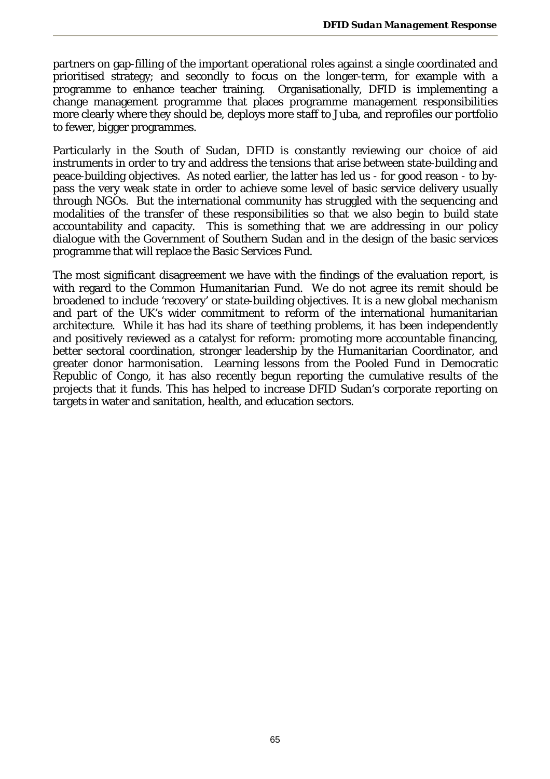partners on gap-filling of the important operational roles against a single coordinated and prioritised strategy; and secondly to focus on the longer-term, for example with a programme to enhance teacher training. Organisationally, DFID is implementing a change management programme that places programme management responsibilities more clearly where they should be, deploys more staff to Juba, and reprofiles our portfolio to fewer, bigger programmes.

Particularly in the South of Sudan, DFID is constantly reviewing our choice of aid instruments in order to try and address the tensions that arise between state-building and peace-building objectives. As noted earlier, the latter has led us - for good reason - to bypass the very weak state in order to achieve some level of basic service delivery usually through NGOs. But the international community has struggled with the sequencing and modalities of the transfer of these responsibilities so that we also begin to build state accountability and capacity. This is something that we are addressing in our policy dialogue with the Government of Southern Sudan and in the design of the basic services programme that will replace the Basic Services Fund.

The most significant disagreement we have with the findings of the evaluation report, is with regard to the Common Humanitarian Fund. We do not agree its remit should be broadened to include 'recovery' or state-building objectives. It is a new global mechanism and part of the UK's wider commitment to reform of the international humanitarian architecture. While it has had its share of teething problems, it has been independently and positively reviewed as a catalyst for reform: promoting more accountable financing, better sectoral coordination, stronger leadership by the Humanitarian Coordinator, and greater donor harmonisation. Learning lessons from the Pooled Fund in Democratic Republic of Congo, it has also recently begun reporting the cumulative results of the projects that it funds. This has helped to increase DFID Sudan's corporate reporting on targets in water and sanitation, health, and education sectors.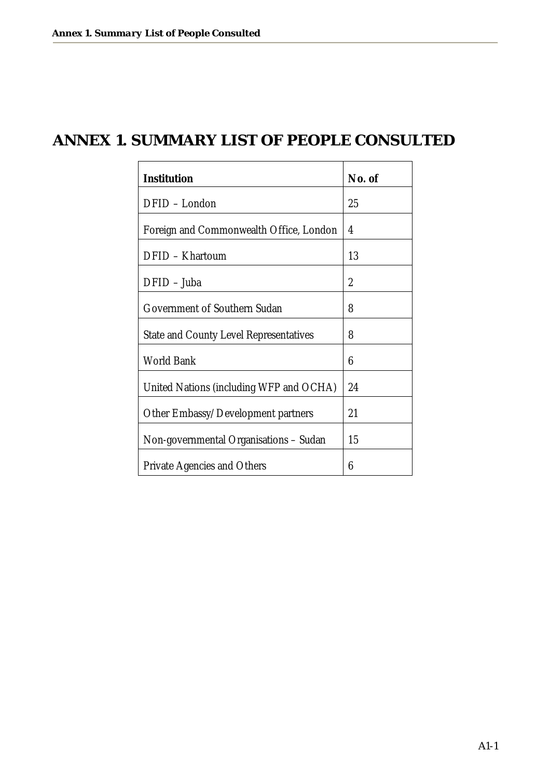# **ANNEX 1. SUMMARY LIST OF PEOPLE CONSULTED**

| Institution                                   | No. of |
|-----------------------------------------------|--------|
| DFID - London                                 | 25     |
| Foreign and Commonwealth Office, London       | 4      |
| DFID - Khartoum                               | 13     |
| $DFID - Juba$                                 | 2      |
| Government of Southern Sudan                  | 8      |
| <b>State and County Level Representatives</b> | 8      |
| <b>World Bank</b>                             | 6      |
| United Nations (including WFP and OCHA)       | 24     |
| Other Embassy/Development partners            | 21     |
| Non-governmental Organisations - Sudan        | 15     |
| <b>Private Agencies and Others</b>            | 6      |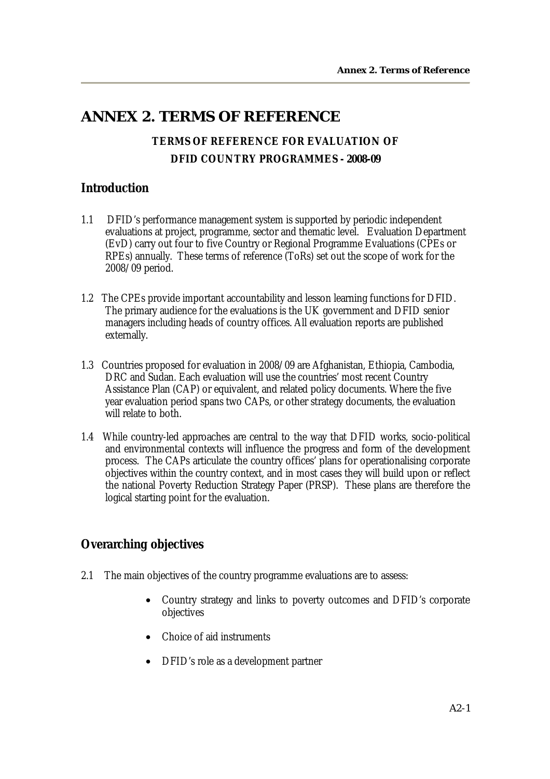### **ANNEX 2. TERMS OF REFERENCE**

### **TERMS OF REFERENCE FOR EVALUATION OF DFID COUNTRY PROGRAMMES - 2008-09**

#### **Introduction**

- 1.1 DFID's performance management system is supported by periodic independent evaluations at project, programme, sector and thematic level. Evaluation Department (EvD) carry out four to five Country or Regional Programme Evaluations (CPEs or RPEs) annually. These terms of reference (ToRs) set out the scope of work for the 2008/09 period.
- 1.2 The CPEs provide important accountability and lesson learning functions for DFID. The primary audience for the evaluations is the UK government and DFID senior managers including heads of country offices. All evaluation reports are published externally.
- 1.3 Countries proposed for evaluation in 2008/09 are Afghanistan, Ethiopia, Cambodia, DRC and Sudan. Each evaluation will use the countries' most recent Country Assistance Plan (CAP) or equivalent, and related policy documents. Where the five year evaluation period spans two CAPs, or other strategy documents, the evaluation will relate to both.
- 1.4 While country-led approaches are central to the way that DFID works, socio-political and environmental contexts will influence the progress and form of the development process. The CAPs articulate the country offices' plans for operationalising corporate objectives within the country context, and in most cases they will build upon or reflect the national Poverty Reduction Strategy Paper (PRSP). These plans are therefore the logical starting point for the evaluation.

#### **Overarching objectives**

- 2.1 The main objectives of the country programme evaluations are to assess:
	- Country strategy and links to poverty outcomes and DFID's corporate objectives
	- Choice of aid instruments
	- DFID's role as a development partner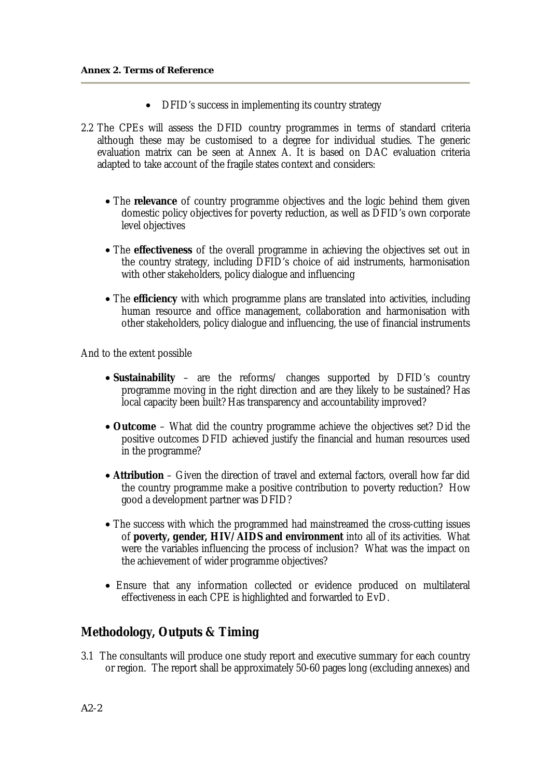- DFID's success in implementing its country strategy
- 2.2 The CPEs will assess the DFID country programmes in terms of standard criteria although these may be customised to a degree for individual studies. The generic evaluation matrix can be seen at Annex A. It is based on DAC evaluation criteria adapted to take account of the fragile states context and considers:
	- The **relevance** of country programme objectives and the logic behind them given domestic policy objectives for poverty reduction, as well as DFID's own corporate level objectives
	- The **effectiveness** of the overall programme in achieving the objectives set out in the country strategy, including DFID's choice of aid instruments, harmonisation with other stakeholders, policy dialogue and influencing
	- The **efficiency** with which programme plans are translated into activities, including human resource and office management, collaboration and harmonisation with other stakeholders, policy dialogue and influencing, the use of financial instruments

And to the extent possible

- **Sustainability** are the reforms/ changes supported by DFID's country programme moving in the right direction and are they likely to be sustained? Has local capacity been built? Has transparency and accountability improved?
- **Outcome** What did the country programme achieve the objectives set? Did the positive outcomes DFID achieved justify the financial and human resources used in the programme?
- **Attribution** Given the direction of travel and external factors, overall how far did the country programme make a positive contribution to poverty reduction? How good a development partner was DFID?
- The success with which the programmed had mainstreamed the cross-cutting issues of **poverty, gender, HIV/AIDS and environment** into all of its activities. What were the variables influencing the process of inclusion? What was the impact on the achievement of wider programme objectives?
- Ensure that any information collected or evidence produced on multilateral effectiveness in each CPE is highlighted and forwarded to EvD.

#### **Methodology, Outputs & Timing**

3.1 The consultants will produce one study report and executive summary for each country or region. The report shall be approximately 50-60 pages long (excluding annexes) and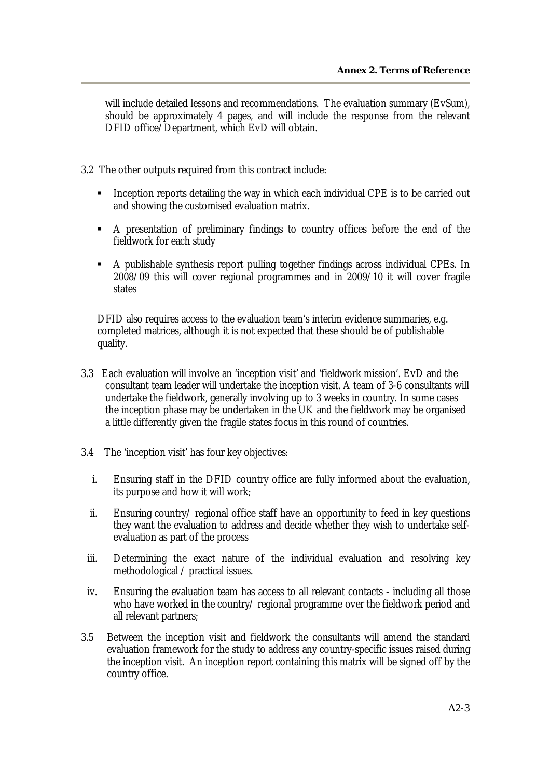will include detailed lessons and recommendations. The evaluation summary (EvSum), should be approximately 4 pages, and will include the response from the relevant DFID office/Department, which EvD will obtain.

- 3.2 The other outputs required from this contract include:
	- **Inception reports detailing the way in which each individual CPE is to be carried out** and showing the customised evaluation matrix.
	- A presentation of preliminary findings to country offices before the end of the fieldwork for each study
	- A publishable synthesis report pulling together findings across individual CPEs. In 2008/09 this will cover regional programmes and in 2009/10 it will cover fragile states

DFID also requires access to the evaluation team's interim evidence summaries, e.g. completed matrices, although it is not expected that these should be of publishable quality.

- 3.3 Each evaluation will involve an 'inception visit' and 'fieldwork mission'. EvD and the consultant team leader will undertake the inception visit. A team of 3-6 consultants will undertake the fieldwork, generally involving up to 3 weeks in country. In some cases the inception phase may be undertaken in the UK and the fieldwork may be organised a little differently given the fragile states focus in this round of countries.
- 3.4 The 'inception visit' has four key objectives:
	- i. Ensuring staff in the DFID country office are fully informed about the evaluation, its purpose and how it will work;
	- ii. Ensuring country/ regional office staff have an opportunity to feed in key questions they want the evaluation to address and decide whether they wish to undertake selfevaluation as part of the process
	- iii. Determining the exact nature of the individual evaluation and resolving key methodological / practical issues.
- iv. Ensuring the evaluation team has access to all relevant contacts including all those who have worked in the country/ regional programme over the fieldwork period and all relevant partners;
- 3.5 Between the inception visit and fieldwork the consultants will amend the standard evaluation framework for the study to address any country-specific issues raised during the inception visit. An inception report containing this matrix will be signed off by the country office.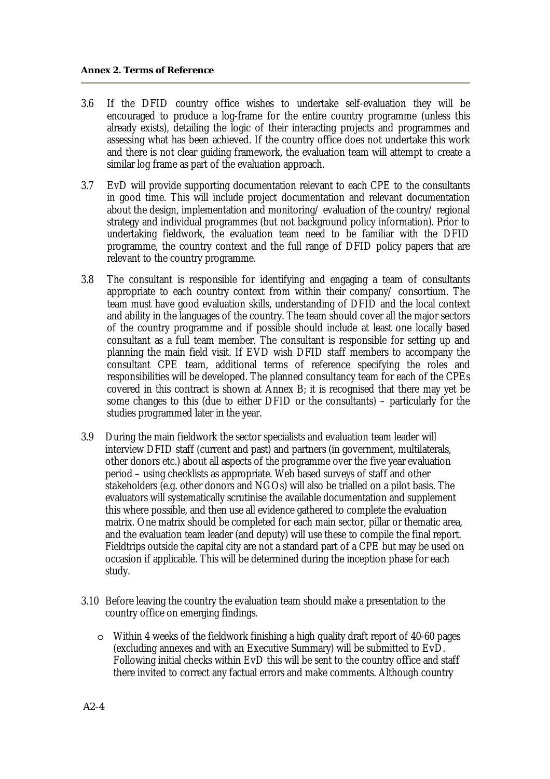- 3.6 If the DFID country office wishes to undertake self-evaluation they will be encouraged to produce a log-frame for the entire country programme (unless this already exists), detailing the logic of their interacting projects and programmes and assessing what has been achieved. If the country office does not undertake this work and there is not clear guiding framework, the evaluation team will attempt to create a similar log frame as part of the evaluation approach.
- 3.7 EvD will provide supporting documentation relevant to each CPE to the consultants in good time. This will include project documentation and relevant documentation about the design, implementation and monitoring/ evaluation of the country/ regional strategy and individual programmes (but not background policy information). Prior to undertaking fieldwork, the evaluation team need to be familiar with the DFID programme, the country context and the full range of DFID policy papers that are relevant to the country programme.
- 3.8 The consultant is responsible for identifying and engaging a team of consultants appropriate to each country context from within their company/ consortium. The team must have good evaluation skills, understanding of DFID and the local context and ability in the languages of the country. The team should cover all the major sectors of the country programme and if possible should include at least one locally based consultant as a full team member. The consultant is responsible for setting up and planning the main field visit. If EVD wish DFID staff members to accompany the consultant CPE team, additional terms of reference specifying the roles and responsibilities will be developed. The planned consultancy team for each of the CPEs covered in this contract is shown at Annex B; it is recognised that there may yet be some changes to this (due to either DFID or the consultants) – particularly for the studies programmed later in the year.
- 3.9 During the main fieldwork the sector specialists and evaluation team leader will interview DFID staff (current and past) and partners (in government, multilaterals, other donors etc.) about all aspects of the programme over the five year evaluation period – using checklists as appropriate. Web based surveys of staff and other stakeholders (e.g. other donors and NGOs) will also be trialled on a pilot basis. The evaluators will systematically scrutinise the available documentation and supplement this where possible, and then use all evidence gathered to complete the evaluation matrix. One matrix should be completed for each main sector, pillar or thematic area, and the evaluation team leader (and deputy) will use these to compile the final report. Fieldtrips outside the capital city are not a standard part of a CPE but may be used on occasion if applicable. This will be determined during the inception phase for each study.
- 3.10 Before leaving the country the evaluation team should make a presentation to the country office on emerging findings.
	- $\circ$  Within 4 weeks of the fieldwork finishing a high quality draft report of 40-60 pages (excluding annexes and with an Executive Summary) will be submitted to EvD. Following initial checks within EvD this will be sent to the country office and staff there invited to correct any factual errors and make comments. Although country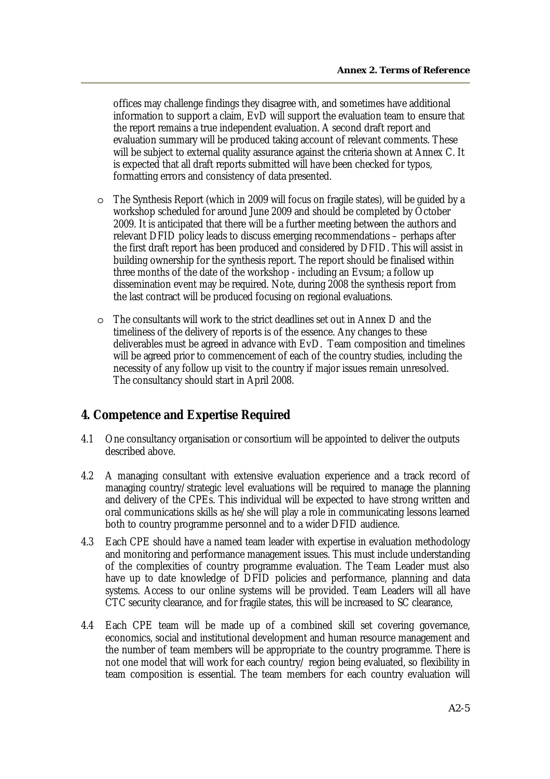offices may challenge findings they disagree with, and sometimes have additional information to support a claim, EvD will support the evaluation team to ensure that the report remains a true independent evaluation. A second draft report and evaluation summary will be produced taking account of relevant comments. These will be subject to external quality assurance against the criteria shown at Annex C. It is expected that all draft reports submitted will have been checked for typos, formatting errors and consistency of data presented.

- o The Synthesis Report (which in 2009 will focus on fragile states), will be guided by a workshop scheduled for around June 2009 and should be completed by October 2009. It is anticipated that there will be a further meeting between the authors and relevant DFID policy leads to discuss emerging recommendations – perhaps after the first draft report has been produced and considered by DFID. This will assist in building ownership for the synthesis report. The report should be finalised within three months of the date of the workshop - including an Evsum; a follow up dissemination event may be required. Note, during 2008 the synthesis report from the last contract will be produced focusing on regional evaluations.
- o The consultants will work to the strict deadlines set out in Annex D and the timeliness of the delivery of reports is of the essence. Any changes to these deliverables must be agreed in advance with EvD. Team composition and timelines will be agreed prior to commencement of each of the country studies, including the necessity of any follow up visit to the country if major issues remain unresolved. The consultancy should start in April 2008.

#### **4. Competence and Expertise Required**

- 4.1 One consultancy organisation or consortium will be appointed to deliver the outputs described above.
- 4.2 A managing consultant with extensive evaluation experience and a track record of managing country/strategic level evaluations will be required to manage the planning and delivery of the CPEs. This individual will be expected to have strong written and oral communications skills as he/she will play a role in communicating lessons learned both to country programme personnel and to a wider DFID audience.
- 4.3 Each CPE should have a named team leader with expertise in evaluation methodology and monitoring and performance management issues. This must include understanding of the complexities of country programme evaluation. The Team Leader must also have up to date knowledge of DFID policies and performance, planning and data systems. Access to our online systems will be provided. Team Leaders will all have CTC security clearance, and for fragile states, this will be increased to SC clearance,
- 4.4 Each CPE team will be made up of a combined skill set covering governance, economics, social and institutional development and human resource management and the number of team members will be appropriate to the country programme. There is not one model that will work for each country/ region being evaluated, so flexibility in team composition is essential. The team members for each country evaluation will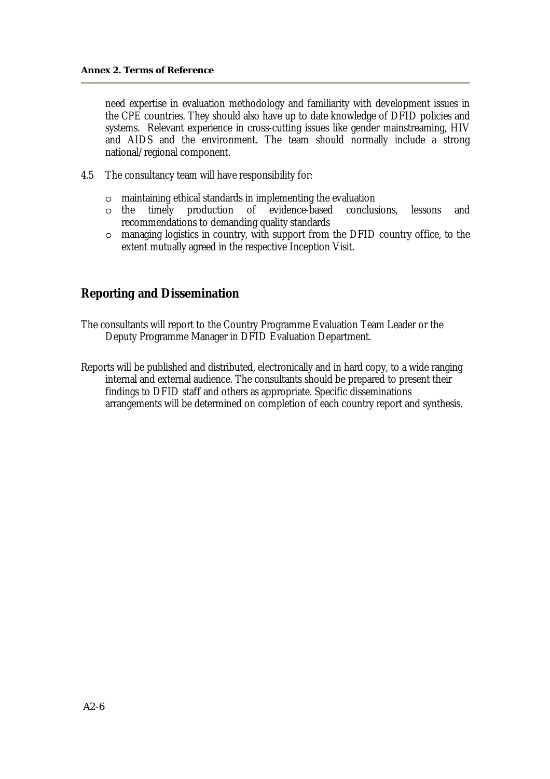need expertise in evaluation methodology and familiarity with development issues in the CPE countries. They should also have up to date knowledge of DFID policies and systems. Relevant experience in cross-cutting issues like gender mainstreaming, HIV and AIDS and the environment. The team should normally include a strong national/regional component.

- 4.5 The consultancy team will have responsibility for:
	- o maintaining ethical standards in implementing the evaluation
	- o the timely production of evidence-based conclusions, lessons and recommendations to demanding quality standards
	- o managing logistics in country, with support from the DFID country office, to the extent mutually agreed in the respective Inception Visit.

#### **Reporting and Dissemination**

The consultants will report to the Country Programme Evaluation Team Leader or the Deputy Programme Manager in DFID Evaluation Department.

Reports will be published and distributed, electronically and in hard copy, to a wide ranging internal and external audience. The consultants should be prepared to present their findings to DFID staff and others as appropriate. Specific disseminations arrangements will be determined on completion of each country report and synthesis.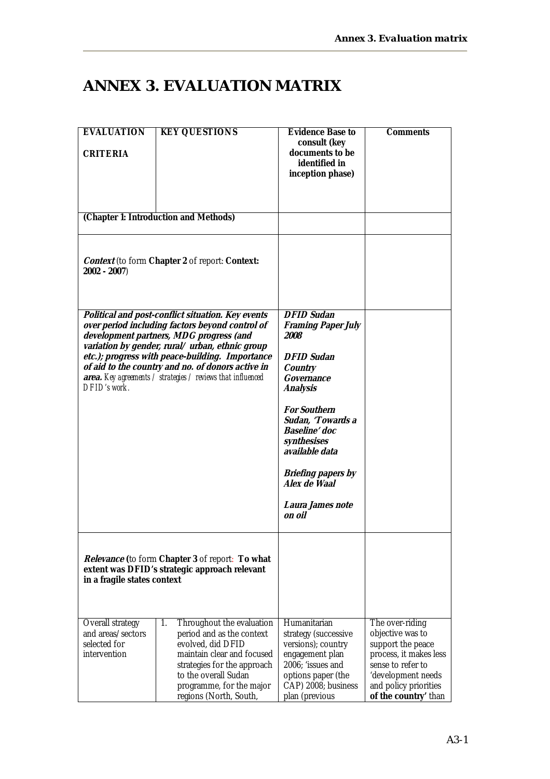# **ANNEX 3. EVALUATION MATRIX**

| <b>EVALUATION</b><br>CRITERIA                                         | <b>KEY QUESTIONS</b>                                                                                                                                                                                                                                                                                                                                                     | Evidence Base to<br>consult (key<br>documents to be<br>identified in<br>inception phase)                                                                                                                                                                                                  | Comments                                                                                                                                                                       |
|-----------------------------------------------------------------------|--------------------------------------------------------------------------------------------------------------------------------------------------------------------------------------------------------------------------------------------------------------------------------------------------------------------------------------------------------------------------|-------------------------------------------------------------------------------------------------------------------------------------------------------------------------------------------------------------------------------------------------------------------------------------------|--------------------------------------------------------------------------------------------------------------------------------------------------------------------------------|
|                                                                       | (Chapter 1: Introduction and Methods)                                                                                                                                                                                                                                                                                                                                    |                                                                                                                                                                                                                                                                                           |                                                                                                                                                                                |
| $2002 - 2007$                                                         | Context (to form Chapter 2 of report: Context:                                                                                                                                                                                                                                                                                                                           |                                                                                                                                                                                                                                                                                           |                                                                                                                                                                                |
| DFID's work.                                                          | Political and post-conflict situation. Key events<br>over period including factors beyond control of<br>development partners, MDG progress (and<br>variation by gender, rural/urban, ethnic group<br>etc.); progress with peace-building. Importance<br>of aid to the country and no. of donors active in<br>area. Key agreements / strategies / reviews that influenced | <b>DFID Sudan</b><br><b>Framing Paper July</b><br><i>2008</i><br><b>DFID Sudan</b><br>Country<br>Governance<br>Analysis<br><b>For Southern</b><br>Sudan, 'Towards a<br>Baseline' doc<br>synthesises<br>available data<br>Briefing papers by<br>Alex de Waal<br>Laura James note<br>on oil |                                                                                                                                                                                |
| in a fragile states context                                           | Relevance (to form Chapter 3 of report: To what<br>extent was DFID's strategic approach relevant                                                                                                                                                                                                                                                                         |                                                                                                                                                                                                                                                                                           |                                                                                                                                                                                |
| Overall strategy<br>and areas/sectors<br>selected for<br>intervention | 1.<br>Throughout the evaluation<br>period and as the context<br>evolved, did DFID<br>maintain clear and focused<br>strategies for the approach<br>to the overall Sudan<br>programme, for the major<br>regions (North, South,                                                                                                                                             | Humanitarian<br>strategy (successive<br>versions); country<br>engagement plan<br>2006; 'issues and<br>options paper (the<br>CAP) 2008; business<br>plan (previous                                                                                                                         | The over-riding<br>objective was to<br>support the peace<br>process, it makes less<br>sense to refer to<br>'development needs<br>and policy priorities<br>of the country' than |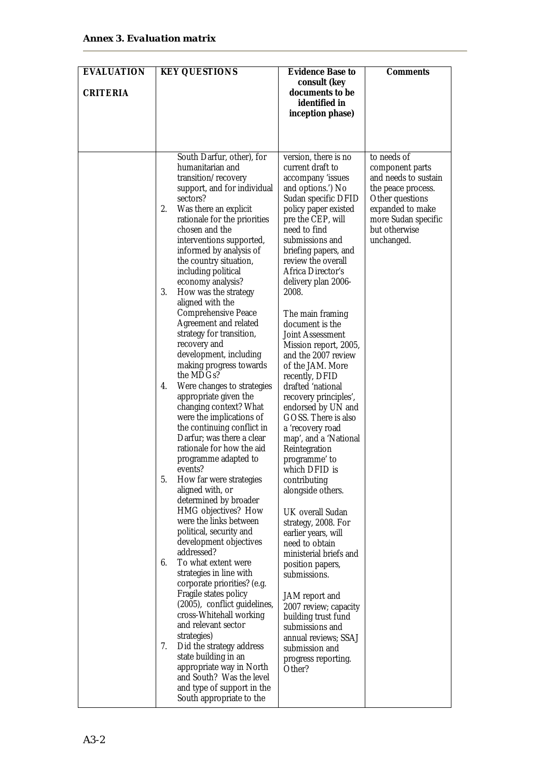| <b>EVALUATION</b><br>CRITERIA | <b>KEY QUESTIONS</b>                                                                                                                                                                                                                                                                                                                                                                                                                                                                                                                                                                                                                                                                                                                                                                                                                                                                                                                                                                                                                                                                                                                                                                                                                                                                                                                                                                       | Evidence Base to<br>consult (key<br>documents to be<br>identified in<br>inception phase)                                                                                                                                                                                                                                                                                                                                                                                                                                                                                                                                                                                                                                                                                                                                                                                                                                                                                                        | Comments                                                                                                                                                                  |
|-------------------------------|--------------------------------------------------------------------------------------------------------------------------------------------------------------------------------------------------------------------------------------------------------------------------------------------------------------------------------------------------------------------------------------------------------------------------------------------------------------------------------------------------------------------------------------------------------------------------------------------------------------------------------------------------------------------------------------------------------------------------------------------------------------------------------------------------------------------------------------------------------------------------------------------------------------------------------------------------------------------------------------------------------------------------------------------------------------------------------------------------------------------------------------------------------------------------------------------------------------------------------------------------------------------------------------------------------------------------------------------------------------------------------------------|-------------------------------------------------------------------------------------------------------------------------------------------------------------------------------------------------------------------------------------------------------------------------------------------------------------------------------------------------------------------------------------------------------------------------------------------------------------------------------------------------------------------------------------------------------------------------------------------------------------------------------------------------------------------------------------------------------------------------------------------------------------------------------------------------------------------------------------------------------------------------------------------------------------------------------------------------------------------------------------------------|---------------------------------------------------------------------------------------------------------------------------------------------------------------------------|
|                               | South Darfur, other), for<br>humanitarian and<br>transition/recovery<br>support, and for individual<br>sectors?<br>2.<br>Was there an explicit<br>rationale for the priorities<br>chosen and the<br>interventions supported,<br>informed by analysis of<br>the country situation,<br>including political<br>economy analysis?<br>3.<br>How was the strategy<br>aligned with the<br>Comprehensive Peace<br>Agreement and related<br>strategy for transition,<br>recovery and<br>development, including<br>making progress towards<br>the MDGs?<br>4.<br>Were changes to strategies<br>appropriate given the<br>changing context? What<br>were the implications of<br>the continuing conflict in<br>Darfur; was there a clear<br>rationale for how the aid<br>programme adapted to<br>events?<br>5.<br>How far were strategies<br>aligned with, or<br>determined by broader<br>HMG objectives? How<br>were the links between<br>political, security and<br>development objectives<br>addressed?<br>To what extent were<br>6.<br>strategies in line with<br>corporate priorities? (e.g.<br>Fragile states policy<br>(2005), conflict guidelines,<br>cross-Whitehall working<br>and relevant sector<br>strategies)<br>7.<br>Did the strategy address<br>state building in an<br>appropriate way in North<br>and South? Was the level<br>and type of support in the<br>South appropriate to the | version, there is no<br>current draft to<br>accompany 'issues<br>and options.') No<br>Sudan specific DFID<br>policy paper existed<br>pre the CEP, will<br>need to find<br>submissions and<br>briefing papers, and<br>review the overall<br>Africa Director's<br>delivery plan 2006-<br>2008.<br>The main framing<br>document is the<br>Joint Assessment<br>Mission report, 2005,<br>and the 2007 review<br>of the JAM. More<br>recently, DFID<br>drafted 'national<br>recovery principles',<br>endorsed by UN and<br>GOSS. There is also<br>a 'recovery road<br>map', and a 'National<br>Reintegration<br>programme' to<br>which DFID is<br>contributing<br>alongside others.<br>UK overall Sudan<br>strategy, 2008. For<br>earlier years, will<br>need to obtain<br>ministerial briefs and<br>position papers,<br>submissions.<br>JAM report and<br>2007 review; capacity<br>building trust fund<br>submissions and<br>annual reviews; SSAJ<br>submission and<br>progress reporting.<br>Other? | to needs of<br>component parts<br>and needs to sustain<br>the peace process.<br>Other questions<br>expanded to make<br>more Sudan specific<br>but otherwise<br>unchanged. |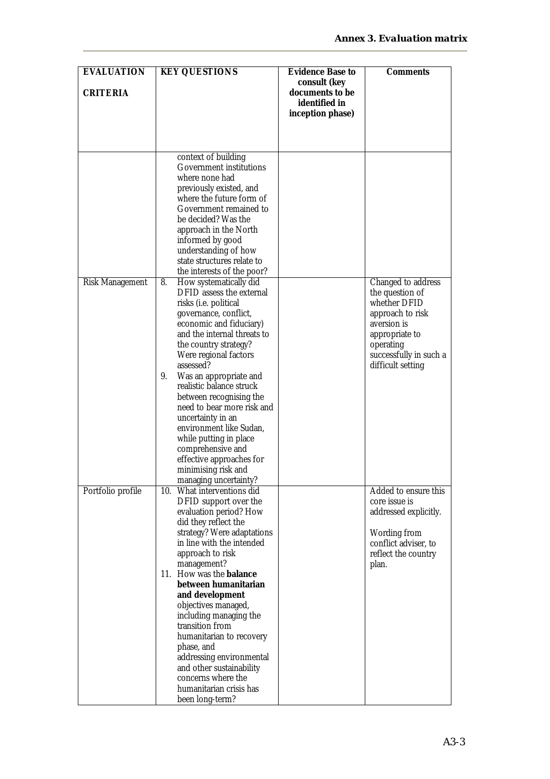| <b>EVALUATION</b> | <b>KEY QUESTIONS</b>                                | Evidence Base to | Comments                            |
|-------------------|-----------------------------------------------------|------------------|-------------------------------------|
|                   |                                                     | consult (key     |                                     |
| CRITERIA          |                                                     | documents to be  |                                     |
|                   |                                                     | identified in    |                                     |
|                   |                                                     | inception phase) |                                     |
|                   |                                                     |                  |                                     |
|                   |                                                     |                  |                                     |
|                   |                                                     |                  |                                     |
|                   | context of building                                 |                  |                                     |
|                   | Government institutions                             |                  |                                     |
|                   | where none had                                      |                  |                                     |
|                   | previously existed, and                             |                  |                                     |
|                   | where the future form of<br>Government remained to  |                  |                                     |
|                   | be decided? Was the                                 |                  |                                     |
|                   | approach in the North                               |                  |                                     |
|                   | informed by good                                    |                  |                                     |
|                   | understanding of how                                |                  |                                     |
|                   | state structures relate to                          |                  |                                     |
|                   | the interests of the poor?                          |                  |                                     |
| Risk Management   | How systematically did<br>8.                        |                  | Changed to address                  |
|                   | DFID assess the external                            |                  | the question of                     |
|                   | risks (i.e. political                               |                  | whether DFID                        |
|                   | governance, conflict,                               |                  | approach to risk                    |
|                   | economic and fiduciary)                             |                  | aversion is                         |
|                   | and the internal threats to                         |                  | appropriate to                      |
|                   | the country strategy?<br>Were regional factors      |                  | operating<br>successfully in such a |
|                   | assessed?                                           |                  | difficult setting                   |
|                   | 9.<br>Was an appropriate and                        |                  |                                     |
|                   | realistic balance struck                            |                  |                                     |
|                   | between recognising the                             |                  |                                     |
|                   | need to bear more risk and                          |                  |                                     |
|                   | uncertainty in an                                   |                  |                                     |
|                   | environment like Sudan,                             |                  |                                     |
|                   | while putting in place                              |                  |                                     |
|                   | comprehensive and                                   |                  |                                     |
|                   | effective approaches for                            |                  |                                     |
|                   | minimising risk and                                 |                  |                                     |
| Portfolio profile | managing uncertainty?<br>10. What interventions did |                  | Added to ensure this                |
|                   | DFID support over the                               |                  | core issue is                       |
|                   | evaluation period? How                              |                  | addressed explicitly.               |
|                   | did they reflect the                                |                  |                                     |
|                   | strategy? Were adaptations                          |                  | Wording from                        |
|                   | in line with the intended                           |                  | conflict adviser, to                |
|                   | approach to risk                                    |                  | reflect the country                 |
|                   | management?                                         |                  | plan.                               |
|                   | 11. How was the balance                             |                  |                                     |
|                   | between humanitarian                                |                  |                                     |
|                   | and development<br>objectives managed,              |                  |                                     |
|                   | including managing the                              |                  |                                     |
|                   | transition from                                     |                  |                                     |
|                   | humanitarian to recovery                            |                  |                                     |
|                   | phase, and                                          |                  |                                     |
|                   | addressing environmental                            |                  |                                     |
|                   | and other sustainability                            |                  |                                     |
|                   | concerns where the                                  |                  |                                     |
|                   | humanitarian crisis has                             |                  |                                     |
|                   | been long-term?                                     |                  |                                     |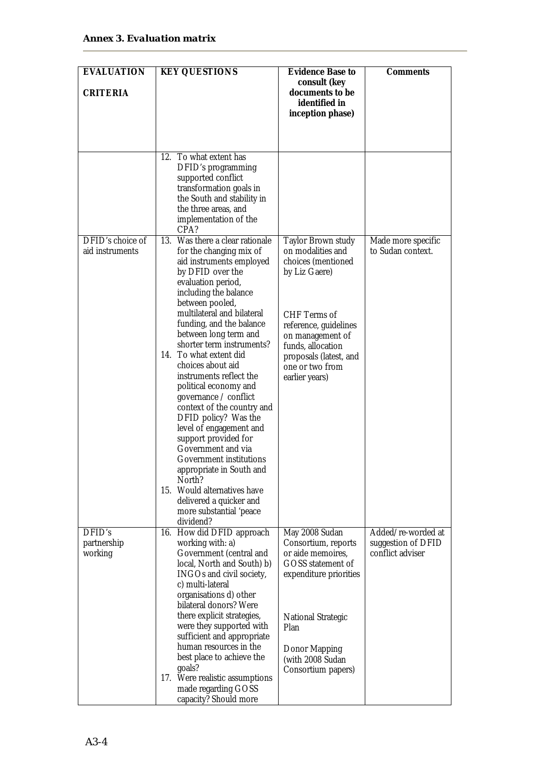| <b>EVALUATION</b>                   | <b>KEY QUESTIONS</b>                                                                                                                                                                                                                                                                                                                                                                                                                                                                                                                                                                                                                                                                                             | Evidence Base to                                                                                                                                                                                                                | Comments                                                     |
|-------------------------------------|------------------------------------------------------------------------------------------------------------------------------------------------------------------------------------------------------------------------------------------------------------------------------------------------------------------------------------------------------------------------------------------------------------------------------------------------------------------------------------------------------------------------------------------------------------------------------------------------------------------------------------------------------------------------------------------------------------------|---------------------------------------------------------------------------------------------------------------------------------------------------------------------------------------------------------------------------------|--------------------------------------------------------------|
| CRITERIA                            |                                                                                                                                                                                                                                                                                                                                                                                                                                                                                                                                                                                                                                                                                                                  | consult (key<br>documents to be<br>identified in<br>inception phase)                                                                                                                                                            |                                                              |
|                                     | 12. To what extent has<br>DFID's programming<br>supported conflict<br>transformation goals in<br>the South and stability in<br>the three areas, and<br>implementation of the<br>CPA?                                                                                                                                                                                                                                                                                                                                                                                                                                                                                                                             |                                                                                                                                                                                                                                 |                                                              |
| DFID's choice of<br>aid instruments | Was there a clear rationale<br>13.<br>for the changing mix of<br>aid instruments employed<br>by DFID over the<br>evaluation period,<br>including the balance<br>between pooled,<br>multilateral and bilateral<br>funding, and the balance<br>between long term and<br>shorter term instruments?<br>14. To what extent did<br>choices about aid<br>instruments reflect the<br>political economy and<br>governance / conflict<br>context of the country and<br>DFID policy? Was the<br>level of engagement and<br>support provided for<br>Government and via<br>Government institutions<br>appropriate in South and<br>North?<br>15. Would alternatives have<br>delivered a quicker and<br>more substantial 'peace | Taylor Brown study<br>on modalities and<br>choices (mentioned<br>by Liz Gaere)<br>CHF Terms of<br>reference, guidelines<br>on management of<br>funds, allocation<br>proposals (latest, and<br>one or two from<br>earlier years) | Made more specific<br>to Sudan context.                      |
| DFID's<br>partnership<br>working    | dividend?<br>16. How did DFID approach<br>working with: a)<br>Government (central and<br>local, North and South) b)<br>INGOs and civil society,<br>c) multi-lateral<br>organisations d) other<br>bilateral donors? Were<br>there explicit strategies,<br>were they supported with<br>sufficient and appropriate<br>human resources in the<br>best place to achieve the<br>goals?<br>17. Were realistic assumptions<br>made regarding GOSS<br>capacity? Should more                                                                                                                                                                                                                                               | May 2008 Sudan<br>Consortium, reports<br>or aide memoires,<br>GOSS statement of<br>expenditure priorities<br><b>National Strategic</b><br>Plan<br>Donor Mapping<br>(with 2008 Sudan<br>Consortium papers)                       | Added/re-worded at<br>suggestion of DFID<br>conflict adviser |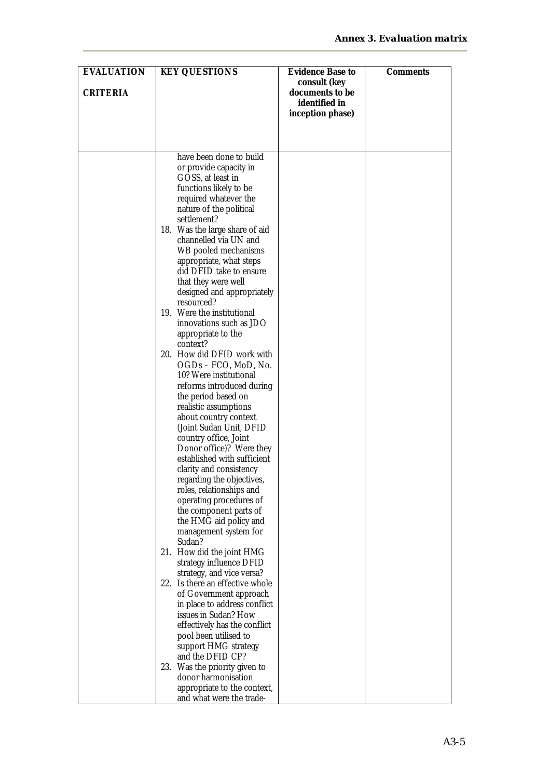| <b>EVALUATION</b> | <b>KEY QUESTIONS</b>                                                                | Evidence Base to                  | Comments |
|-------------------|-------------------------------------------------------------------------------------|-----------------------------------|----------|
| CRITERIA          |                                                                                     | consult (key<br>documents to be   |          |
|                   |                                                                                     | identified in<br>inception phase) |          |
|                   |                                                                                     |                                   |          |
|                   | have been done to build<br>or provide capacity in                                   |                                   |          |
|                   | GOSS, at least in<br>functions likely to be                                         |                                   |          |
|                   | required whatever the<br>nature of the political                                    |                                   |          |
|                   | settlement?<br>18. Was the large share of aid<br>channelled via UN and              |                                   |          |
|                   | WB pooled mechanisms<br>appropriate, what steps                                     |                                   |          |
|                   | did DFID take to ensure<br>that they were well                                      |                                   |          |
|                   | designed and appropriately<br>resourced?<br>19. Were the institutional              |                                   |          |
|                   | innovations such as JDO<br>appropriate to the                                       |                                   |          |
|                   | context?<br>20. How did DFID work with                                              |                                   |          |
|                   | OGDs - FCO, MoD, No.<br>10? Were institutional                                      |                                   |          |
|                   | reforms introduced during<br>the period based on<br>realistic assumptions           |                                   |          |
|                   | about country context<br>(Joint Sudan Unit, DFID                                    |                                   |          |
|                   | country office, Joint<br>Donor office)? Were they                                   |                                   |          |
|                   | established with sufficient<br>clarity and consistency<br>regarding the objectives, |                                   |          |
|                   | roles, relationships and<br>operating procedures of                                 |                                   |          |
|                   | the component parts of<br>the HMG aid policy and                                    |                                   |          |
|                   | management system for<br>Sudan?<br>21. How did the joint HMG                        |                                   |          |
|                   | strategy influence DFID<br>strategy, and vice versa?                                |                                   |          |
|                   | 22. Is there an effective whole<br>of Government approach                           |                                   |          |
|                   | in place to address conflict<br>issues in Sudan? How                                |                                   |          |
|                   | effectively has the conflict<br>pool been utilised to<br>support HMG strategy       |                                   |          |
|                   | and the DFID CP?<br>23. Was the priority given to                                   |                                   |          |
|                   | donor harmonisation<br>appropriate to the context,                                  |                                   |          |
|                   | and what were the trade-                                                            |                                   |          |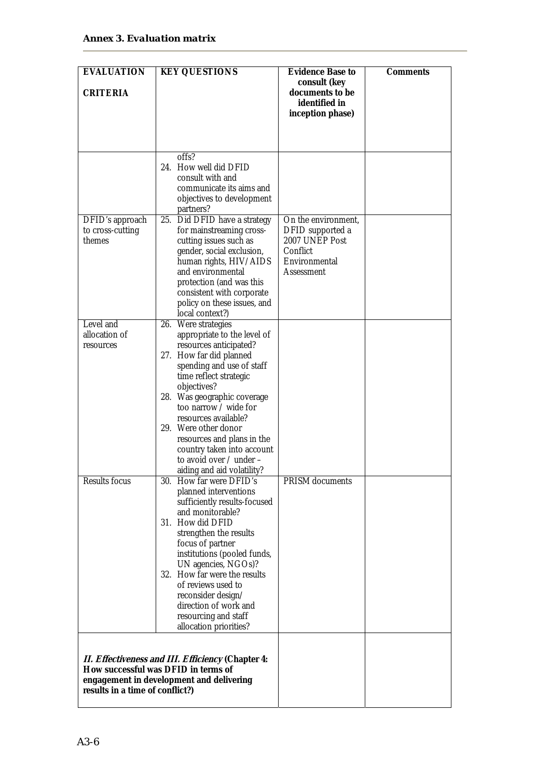| <b>EVALUATION</b>                             | <b>KEY QUESTIONS</b>                                                                                                                                                                                                                                                      | Evidence Base to                                                                                     | Comments |
|-----------------------------------------------|---------------------------------------------------------------------------------------------------------------------------------------------------------------------------------------------------------------------------------------------------------------------------|------------------------------------------------------------------------------------------------------|----------|
| CRITERIA                                      |                                                                                                                                                                                                                                                                           | consult (key<br>documents to be<br>identified in<br>inception phase)                                 |          |
|                                               |                                                                                                                                                                                                                                                                           |                                                                                                      |          |
|                                               | offs?<br>24. How well did DFID<br>consult with and                                                                                                                                                                                                                        |                                                                                                      |          |
|                                               | communicate its aims and<br>objectives to development<br>partners?                                                                                                                                                                                                        |                                                                                                      |          |
| DFID's approach<br>to cross-cutting<br>themes | 25. Did DFID have a strategy<br>for mainstreaming cross-<br>cutting issues such as<br>gender, social exclusion,<br>human rights, HIV/AIDS<br>and environmental<br>protection (and was this<br>consistent with corporate<br>policy on these issues, and<br>local context?) | On the environment,<br>DFID supported a<br>2007 UNEP Post<br>Conflict<br>Environmental<br>Assessment |          |
| Level and                                     | 26. Were strategies                                                                                                                                                                                                                                                       |                                                                                                      |          |
| allocation of                                 | appropriate to the level of                                                                                                                                                                                                                                               |                                                                                                      |          |
| resources                                     | resources anticipated?<br>27. How far did planned                                                                                                                                                                                                                         |                                                                                                      |          |
|                                               | spending and use of staff                                                                                                                                                                                                                                                 |                                                                                                      |          |
|                                               | time reflect strategic                                                                                                                                                                                                                                                    |                                                                                                      |          |
|                                               | objectives?                                                                                                                                                                                                                                                               |                                                                                                      |          |
|                                               | 28. Was geographic coverage                                                                                                                                                                                                                                               |                                                                                                      |          |
|                                               | too narrow / wide for                                                                                                                                                                                                                                                     |                                                                                                      |          |
|                                               | resources available?                                                                                                                                                                                                                                                      |                                                                                                      |          |
|                                               | 29. Were other donor                                                                                                                                                                                                                                                      |                                                                                                      |          |
|                                               | resources and plans in the                                                                                                                                                                                                                                                |                                                                                                      |          |
|                                               | country taken into account<br>to avoid over / under -                                                                                                                                                                                                                     |                                                                                                      |          |
|                                               | aiding and aid volatility?                                                                                                                                                                                                                                                |                                                                                                      |          |
| <b>Results focus</b>                          | 30. How far were DFID's                                                                                                                                                                                                                                                   | PRISM documents                                                                                      |          |
|                                               | planned interventions                                                                                                                                                                                                                                                     |                                                                                                      |          |
|                                               | sufficiently results-focused                                                                                                                                                                                                                                              |                                                                                                      |          |
|                                               | and monitorable?                                                                                                                                                                                                                                                          |                                                                                                      |          |
|                                               | 31. How did DFID                                                                                                                                                                                                                                                          |                                                                                                      |          |
|                                               | strengthen the results<br>focus of partner                                                                                                                                                                                                                                |                                                                                                      |          |
|                                               | institutions (pooled funds,                                                                                                                                                                                                                                               |                                                                                                      |          |
|                                               | UN agencies, NGOs)?                                                                                                                                                                                                                                                       |                                                                                                      |          |
|                                               | 32. How far were the results                                                                                                                                                                                                                                              |                                                                                                      |          |
|                                               | of reviews used to                                                                                                                                                                                                                                                        |                                                                                                      |          |
|                                               | reconsider design/<br>direction of work and                                                                                                                                                                                                                               |                                                                                                      |          |
|                                               | resourcing and staff                                                                                                                                                                                                                                                      |                                                                                                      |          |
|                                               | allocation priorities?                                                                                                                                                                                                                                                    |                                                                                                      |          |
|                                               |                                                                                                                                                                                                                                                                           |                                                                                                      |          |
|                                               |                                                                                                                                                                                                                                                                           |                                                                                                      |          |
|                                               | II. Effectiveness and III. Efficiency (Chapter 4:<br>How successful was DFID in terms of                                                                                                                                                                                  |                                                                                                      |          |
|                                               | engagement in development and delivering                                                                                                                                                                                                                                  |                                                                                                      |          |
| results in a time of conflict?)               |                                                                                                                                                                                                                                                                           |                                                                                                      |          |
|                                               |                                                                                                                                                                                                                                                                           |                                                                                                      |          |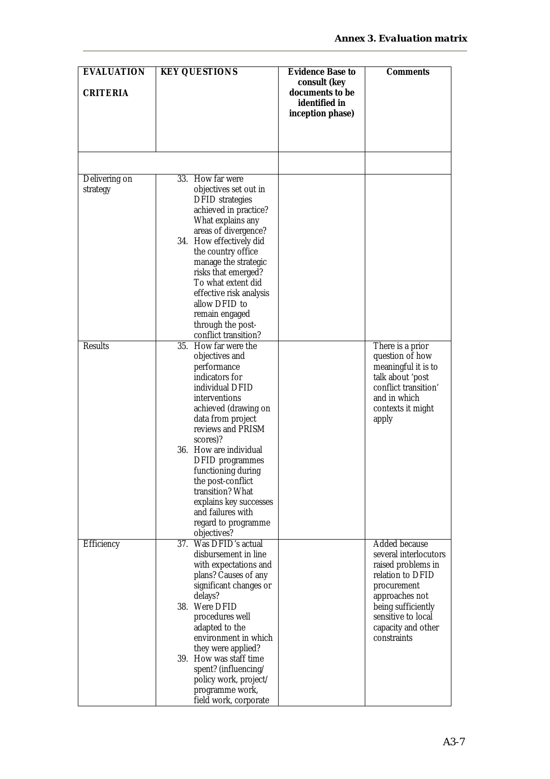| <b>EVALUATION</b> | <b>KEY QUESTIONS</b>                                                                                                  | Evidence Base to<br>consult (key                     | Comments                                    |
|-------------------|-----------------------------------------------------------------------------------------------------------------------|------------------------------------------------------|---------------------------------------------|
| CRITERIA          |                                                                                                                       | documents to be<br>identified in<br>inception phase) |                                             |
|                   |                                                                                                                       |                                                      |                                             |
|                   |                                                                                                                       |                                                      |                                             |
| Delivering on     | 33. How far were                                                                                                      |                                                      |                                             |
| strategy          | objectives set out in<br><b>DFID</b> strategies<br>achieved in practice?<br>What explains any<br>areas of divergence? |                                                      |                                             |
|                   | 34. How effectively did<br>the country office                                                                         |                                                      |                                             |
|                   | manage the strategic<br>risks that emerged?<br>To what extent did                                                     |                                                      |                                             |
|                   | effective risk analysis<br>allow DFID to                                                                              |                                                      |                                             |
|                   | remain engaged<br>through the post-<br>conflict transition?                                                           |                                                      |                                             |
| <b>Results</b>    | 35. How far were the                                                                                                  |                                                      | There is a prior                            |
|                   | objectives and<br>performance                                                                                         |                                                      | question of how<br>meaningful it is to      |
|                   | indicators for                                                                                                        |                                                      | talk about 'post                            |
|                   | individual DFID                                                                                                       |                                                      | conflict transition'                        |
|                   | interventions<br>achieved (drawing on                                                                                 |                                                      | and in which<br>contexts it might           |
|                   | data from project<br>reviews and PRISM                                                                                |                                                      | apply                                       |
|                   | scores)?<br>36. How are individual                                                                                    |                                                      |                                             |
|                   | DFID programmes                                                                                                       |                                                      |                                             |
|                   | functioning during                                                                                                    |                                                      |                                             |
|                   | the post-conflict<br>transition? What                                                                                 |                                                      |                                             |
|                   | explains key successes                                                                                                |                                                      |                                             |
|                   | and failures with                                                                                                     |                                                      |                                             |
|                   | regard to programme<br>objectives?                                                                                    |                                                      |                                             |
| Efficiency        | 37. Was DFID's actual                                                                                                 |                                                      | Added because                               |
|                   | disbursement in line<br>with expectations and                                                                         |                                                      | several interlocutors<br>raised problems in |
|                   | plans? Causes of any                                                                                                  |                                                      | relation to DFID                            |
|                   | significant changes or                                                                                                |                                                      | procurement                                 |
|                   | delays?<br>38. Were DFID                                                                                              |                                                      | approaches not<br>being sufficiently        |
|                   | procedures well                                                                                                       |                                                      | sensitive to local                          |
|                   | adapted to the                                                                                                        |                                                      | capacity and other                          |
|                   | environment in which<br>they were applied?                                                                            |                                                      | constraints                                 |
|                   | 39. How was staff time                                                                                                |                                                      |                                             |
|                   | spent? (influencing/                                                                                                  |                                                      |                                             |
|                   | policy work, project/<br>programme work,                                                                              |                                                      |                                             |
|                   | field work, corporate                                                                                                 |                                                      |                                             |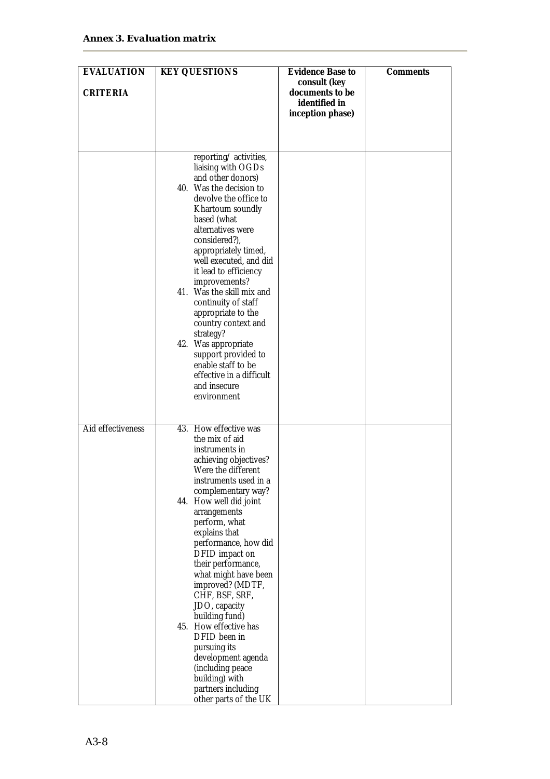| <b>EVALUATION</b> | <b>KEY QUESTIONS</b>                                                                                                                                                                                                                                                                                                                                                                                                                                                                                                                            | Evidence Base to                                                     | Comments |
|-------------------|-------------------------------------------------------------------------------------------------------------------------------------------------------------------------------------------------------------------------------------------------------------------------------------------------------------------------------------------------------------------------------------------------------------------------------------------------------------------------------------------------------------------------------------------------|----------------------------------------------------------------------|----------|
| CRITERIA          |                                                                                                                                                                                                                                                                                                                                                                                                                                                                                                                                                 | consult (key<br>documents to be<br>identified in<br>inception phase) |          |
|                   |                                                                                                                                                                                                                                                                                                                                                                                                                                                                                                                                                 |                                                                      |          |
|                   | reporting/activities,<br>liaising with OGDs<br>and other donors)<br>40. Was the decision to<br>devolve the office to<br>Khartoum soundly<br>based (what<br>alternatives were<br>considered?),<br>appropriately timed,<br>well executed, and did<br>it lead to efficiency<br>improvements?<br>41. Was the skill mix and<br>continuity of staff<br>appropriate to the<br>country context and<br>strategy?<br>42. Was appropriate<br>support provided to<br>enable staff to be<br>effective in a difficult<br>and insecure<br>environment          |                                                                      |          |
| Aid effectiveness | 43. How effective was                                                                                                                                                                                                                                                                                                                                                                                                                                                                                                                           |                                                                      |          |
|                   | the mix of aid<br>instruments in<br>achieving objectives?<br>Were the different<br>instruments used in a<br>complementary way?<br>44. How well did joint<br>arrangements<br>perform, what<br>explains that<br>performance, how did<br>DFID impact on<br>their performance,<br>what might have been<br>improved? (MDTF,<br>CHF, BSF, SRF,<br>JDO, capacity<br>building fund)<br>45. How effective has<br>DFID been in<br>pursuing its<br>development agenda<br>(including peace<br>building) with<br>partners including<br>other parts of the UK |                                                                      |          |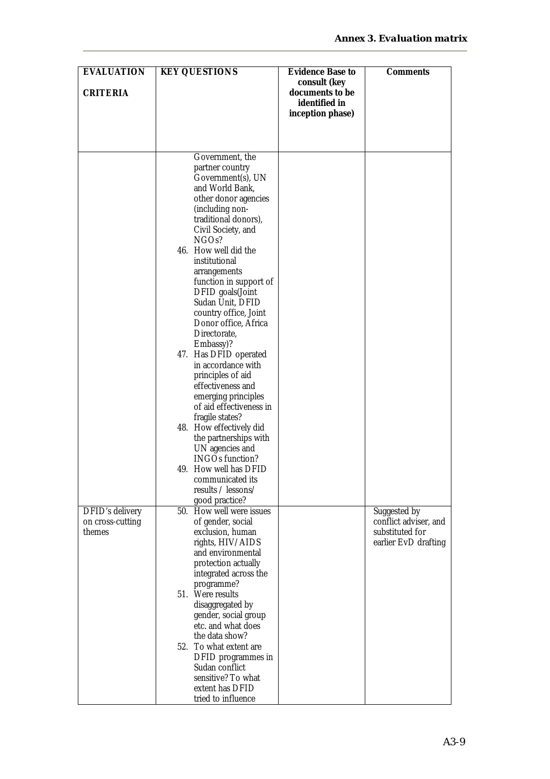| <b>EVALUATION</b>                          | <b>KEY QUESTIONS</b>                             | Evidence Base to                                 | Comments                              |
|--------------------------------------------|--------------------------------------------------|--------------------------------------------------|---------------------------------------|
| CRITERIA                                   |                                                  | consult (key<br>documents to be<br>identified in |                                       |
|                                            |                                                  | inception phase)                                 |                                       |
|                                            |                                                  |                                                  |                                       |
|                                            | Government, the                                  |                                                  |                                       |
|                                            | partner country<br>Government(s), UN             |                                                  |                                       |
|                                            | and World Bank,                                  |                                                  |                                       |
|                                            | other donor agencies<br>(including non-          |                                                  |                                       |
|                                            | traditional donors),                             |                                                  |                                       |
|                                            | Civil Society, and<br>NGO <sub>s?</sub>          |                                                  |                                       |
|                                            | 46. How well did the<br>institutional            |                                                  |                                       |
|                                            | arrangements                                     |                                                  |                                       |
|                                            | function in support of<br>DFID goals(Joint       |                                                  |                                       |
|                                            | Sudan Unit, DFID                                 |                                                  |                                       |
|                                            | country office, Joint<br>Donor office, Africa    |                                                  |                                       |
|                                            | Directorate,                                     |                                                  |                                       |
|                                            | Embassy)?<br>47. Has DFID operated               |                                                  |                                       |
|                                            | in accordance with<br>principles of aid          |                                                  |                                       |
|                                            | effectiveness and                                |                                                  |                                       |
|                                            | emerging principles<br>of aid effectiveness in   |                                                  |                                       |
|                                            | fragile states?                                  |                                                  |                                       |
|                                            | 48. How effectively did<br>the partnerships with |                                                  |                                       |
|                                            | UN agencies and                                  |                                                  |                                       |
|                                            | <b>INGOs function?</b><br>49. How well has DFID  |                                                  |                                       |
|                                            | communicated its                                 |                                                  |                                       |
|                                            | results / lessons/<br>good practice?             |                                                  |                                       |
| <b>DFID's delivery</b><br>on cross-cutting | 50. How well were issues<br>of gender, social    |                                                  | Suggested by<br>conflict adviser, and |
| themes                                     | exclusion, human                                 |                                                  | substituted for                       |
|                                            | rights, HIV/AIDS<br>and environmental            |                                                  | earlier EvD drafting                  |
|                                            | protection actually                              |                                                  |                                       |
|                                            | integrated across the<br>programme?              |                                                  |                                       |
|                                            | 51. Were results                                 |                                                  |                                       |
|                                            | disaggregated by<br>gender, social group         |                                                  |                                       |
|                                            | etc. and what does<br>the data show?             |                                                  |                                       |
|                                            | 52. To what extent are                           |                                                  |                                       |
|                                            | DFID programmes in<br>Sudan conflict             |                                                  |                                       |
|                                            | sensitive? To what                               |                                                  |                                       |
|                                            | extent has DFID<br>tried to influence            |                                                  |                                       |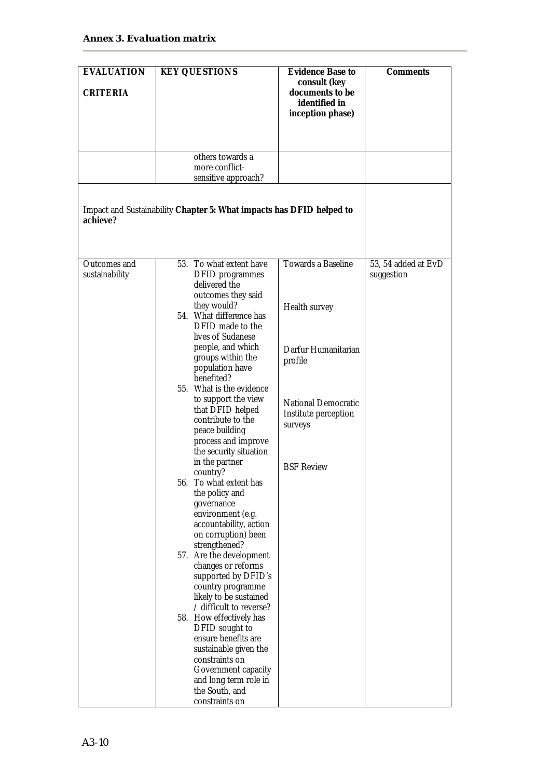| <b>EVALUATION</b><br>CRITERIA  | <b>KEY QUESTIONS</b>                                                                                                                                                                                                       | Evidence Base to<br>consult (key<br>documents to be<br>identified in<br>inception phase) | Comments                          |
|--------------------------------|----------------------------------------------------------------------------------------------------------------------------------------------------------------------------------------------------------------------------|------------------------------------------------------------------------------------------|-----------------------------------|
|                                |                                                                                                                                                                                                                            |                                                                                          |                                   |
|                                | others towards a<br>more conflict-                                                                                                                                                                                         |                                                                                          |                                   |
|                                | sensitive approach?                                                                                                                                                                                                        |                                                                                          |                                   |
| achieve?                       | Impact and Sustainability Chapter 5: What impacts has DFID helped to                                                                                                                                                       |                                                                                          |                                   |
|                                |                                                                                                                                                                                                                            |                                                                                          |                                   |
| Outcomes and<br>sustainability | 53. To what extent have<br>DFID programmes<br>delivered the                                                                                                                                                                | <b>Towards a Baseline</b>                                                                | 53, 54 added at EvD<br>suggestion |
|                                | outcomes they said<br>they would?<br>54. What difference has                                                                                                                                                               | Health survey                                                                            |                                   |
|                                | DFID made to the<br>lives of Sudanese<br>people, and which<br>groups within the<br>population have<br>benefited?                                                                                                           | Darfur Humanitarian<br>profile                                                           |                                   |
|                                | 55. What is the evidence<br>to support the view<br>that DFID helped<br>contribute to the<br>peace building<br>process and improve<br>the security situation                                                                | <b>National Democratic</b><br>Institute perception<br>surveys                            |                                   |
|                                | in the partner<br>country?<br>56. To what extent has<br>the policy and<br>governance<br>environment (e.g.<br>accountability, action<br>on corruption) been                                                                 | <b>BSF Review</b>                                                                        |                                   |
|                                | strengthened?<br>57. Are the development<br>changes or reforms<br>supported by DFID's<br>country programme<br>likely to be sustained                                                                                       |                                                                                          |                                   |
|                                | / difficult to reverse?<br>58. How effectively has<br>DFID sought to<br>ensure benefits are<br>sustainable given the<br>constraints on<br>Government capacity<br>and long term role in<br>the South, and<br>constraints on |                                                                                          |                                   |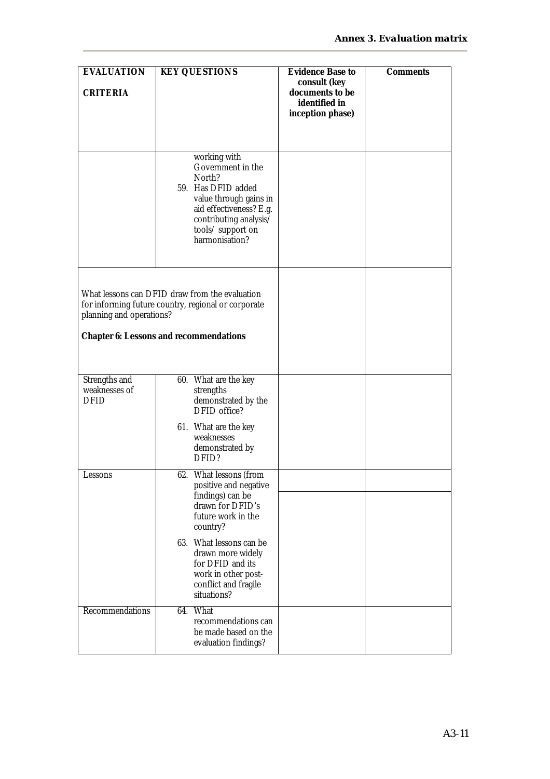| <b>EVALUATION</b>                             | <b>KEY QUESTIONS</b>                                                                                                                                                                    | Evidence Base to                                                     |          |
|-----------------------------------------------|-----------------------------------------------------------------------------------------------------------------------------------------------------------------------------------------|----------------------------------------------------------------------|----------|
| CRITERIA                                      |                                                                                                                                                                                         | consult (key<br>documents to be<br>identified in<br>inception phase) | Comments |
|                                               |                                                                                                                                                                                         |                                                                      |          |
|                                               | working with<br>Government in the<br>North?<br>59. Has DFID added<br>value through gains in<br>aid effectiveness? E.g.<br>contributing analysis/<br>tools/ support on<br>harmonisation? |                                                                      |          |
| planning and operations?                      | What lessons can DFID draw from the evaluation<br>for informing future country, regional or corporate<br>Chapter 6: Lessons and recommendations                                         |                                                                      |          |
| Strengths and<br>weaknesses of<br><b>DFID</b> | 60. What are the key<br>strengths<br>demonstrated by the<br>DFID office?                                                                                                                |                                                                      |          |
|                                               | 61. What are the key<br>weaknesses<br>demonstrated by<br>DFID?                                                                                                                          |                                                                      |          |
| essons                                        | What lessons (from<br>62.<br>positive and negative                                                                                                                                      |                                                                      |          |
|                                               | findings) can be<br>drawn for DFID's<br>future work in the<br>country?                                                                                                                  |                                                                      |          |
|                                               | 63. What lessons can be<br>drawn more widely<br>for DFID and its<br>work in other post-<br>conflict and fragile<br>situations?                                                          |                                                                      |          |
| Recommendations                               | 64. What<br>recommendations can<br>be made based on the<br>evaluation findings?                                                                                                         |                                                                      |          |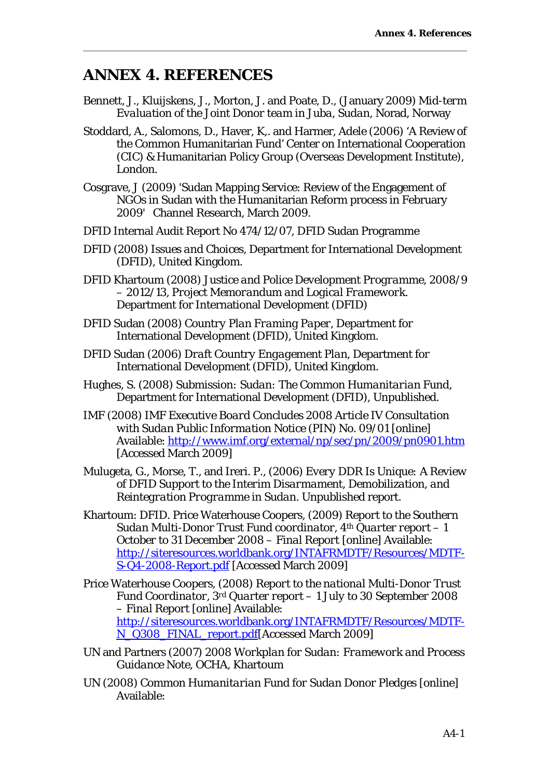### **ANNEX 4. REFERENCES**

- Bennett, J., Kluijskens, J., Morton, J. and Poate, D., (January 2009) *Mid-term Evaluation of the Joint Donor team in Juba, Sudan,* Norad, Norway
- Stoddard, A., Salomons, D., Haver, K,. and Harmer, Adele (2006) 'A Review of the Common Humanitarian Fund' Center on International Cooperation (CIC) & Humanitarian Policy Group (Overseas Development Institute), London.
- Cosgrave, J (2009) 'Sudan Mapping Service: Review of the Engagement of NGOs in Sudan with the Humanitarian Reform process in February 2009' Channel Research, March 2009.
- DFID Internal Audit Report No 474/12/07, DFID Sudan Programme
- DFID (2008) *Issues and Choices*, Department for International Development (DFID), United Kingdom.
- DFID Khartoum (2008) *Justice and Police Development Programme, 2008/9 – 2012/13, Project Memorandum and Logical Framework*. Department for International Development (DFID)
- DFID Sudan (2008) *Country Plan Framing Paper*, Department for International Development (DFID), United Kingdom.
- DFID Sudan (2006) *Draft Country Engagement Plan,* Department for International Development (DFID), United Kingdom.
- Hughes, S. (2008) *Submission: Sudan: The Common Humanitarian Fund*, Department for International Development (DFID), Unpublished.
- IMF (2008) *IMF Executive Board Concludes 2008 Article IV Consultation with Sudan Public Information Notice (PIN) No. 09/01* [online] Available: http://www.imf.org/external/np/sec/pn/2009/pn0901.htm [Accessed March 2009]
- Mulugeta, G., Morse, T., and Ireri. P., (2006) *Every DDR Is Unique: A Review of DFID Support to the Interim Disarmament, Demobilization, and Reintegration Programme in Sudan*. Unpublished report.
- Khartoum: DFID. Price Waterhouse Coopers, (2009) *Report to the Southern Sudan Multi-Donor Trust Fund coordinator, 4th Quarter report – 1 October to 31 December 2008 – Final Report* [online] Available: http://siteresources.worldbank.org/INTAFRMDTF/Resources/MDTF-S-Q4-2008-Report.pdf [Accessed March 2009]
- Price Waterhouse Coopers, (2008) *Report to the national Multi-Donor Trust Fund Coordinator, 3rd Quarter report – 1 July to 30 September 2008 – Final Report* [online] Available: http://siteresources.worldbank.org/INTAFRMDTF/Resources/MDTF-N\_Q308\_FINAL\_report.pdf[Accessed March 2009]
- UN and Partners (2007) *2008 Workplan for Sudan: Framework and Process Guidance Note,* OCHA, Khartoum
- UN (2008) *Common Humanitarian Fund for Sudan Donor Pledges* [online] Available: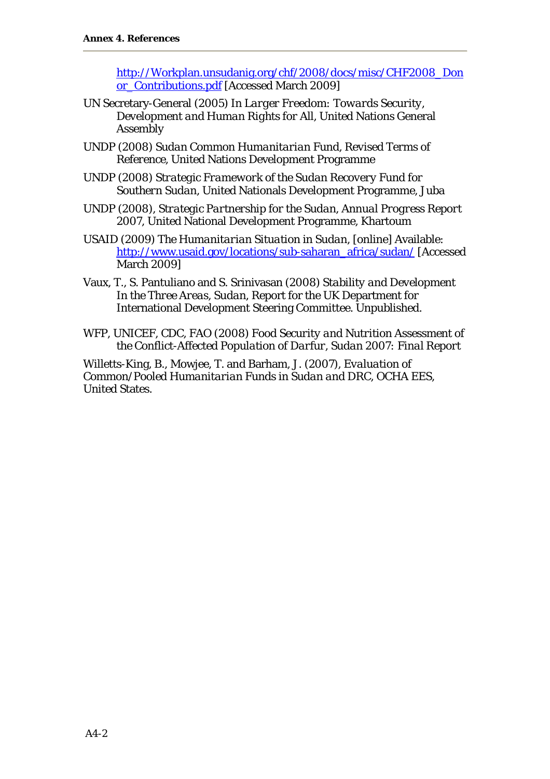http://Workplan.unsudanig.org/chf/2008/docs/misc/CHF2008\_Don or\_Contributions.pdf [Accessed March 2009]

- UN Secretary-General (2005) *In Larger Freedom: Towards Security, Development and Human Rights for All*, United Nations General Assembly
- UNDP (2008) *Sudan Common Humanitarian Fund, Revised Terms of Reference*, United Nations Development Programme
- UNDP (2008) *Strategic Framework of the Sudan Recovery Fund for Southern Sudan,* United Nationals Development Programme, Juba
- UNDP (2008), *Strategic Partnership for the Sudan, Annual Progress Report 2007*, United National Development Programme, Khartoum
- USAID (2009) *The Humanitarian Situation in Sudan*, [online] Available: http://www.usaid.gov/locations/sub-saharan\_africa/sudan/ [Accessed March 2009]
- Vaux, T., S. Pantuliano and S. Srinivasan (2008) *Stability and Development In the Three Areas, Sudan*, Report for the UK Department for International Development Steering Committee. Unpublished.
- WFP, UNICEF, CDC, FAO (2008) *Food Security and Nutrition Assessment of the Conflict-Affected Population of Darfur, Sudan 2007: Final Report*

Willetts-King, B., Mowjee, T. and Barham, J. (2007), *Evaluation of Common/Pooled Humanitarian Funds in Sudan and DRC,* OCHA EES, United States.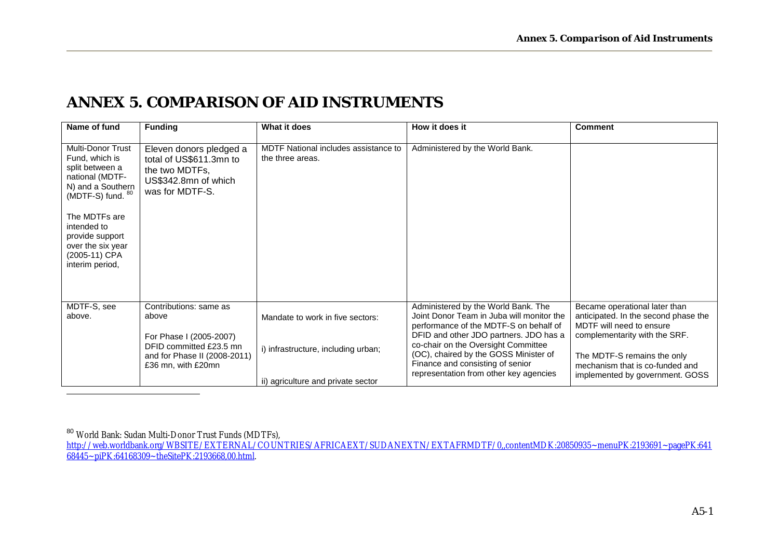### **ANNEX 5. COMPARISON OF AID INSTRUMENTS**

 $\overline{a}$ 

| Name of fund                                                                                                                                                                                                                           | <b>Funding</b>                                                                                                  | What it does                                                            | How it does it                                                                                                                                                                                              | <b>Comment</b>                                                                                                                     |
|----------------------------------------------------------------------------------------------------------------------------------------------------------------------------------------------------------------------------------------|-----------------------------------------------------------------------------------------------------------------|-------------------------------------------------------------------------|-------------------------------------------------------------------------------------------------------------------------------------------------------------------------------------------------------------|------------------------------------------------------------------------------------------------------------------------------------|
| <b>Multi-Donor Trust</b><br>Fund, which is<br>split between a<br>national (MDTF-<br>N) and a Southern<br>(MDTF-S) fund. 80<br>The MDTFs are<br>intended to<br>provide support<br>over the six year<br>(2005-11) CPA<br>interim period, | Eleven donors pledged a<br>total of US\$611.3mn to<br>the two MDTFs,<br>US\$342.8mn of which<br>was for MDTF-S. | MDTF National includes assistance to<br>the three areas.                | Administered by the World Bank.                                                                                                                                                                             |                                                                                                                                    |
| MDTF-S, see<br>above.                                                                                                                                                                                                                  | Contributions: same as<br>above<br>For Phase I (2005-2007)<br>DFID committed £23.5 mn                           | Mandate to work in five sectors:<br>i) infrastructure, including urban; | Administered by the World Bank. The<br>Joint Donor Team in Juba will monitor the<br>performance of the MDTF-S on behalf of<br>DFID and other JDO partners. JDO has a<br>co-chair on the Oversight Committee | Became operational later than<br>anticipated. In the second phase the<br>MDTF will need to ensure<br>complementarity with the SRF. |
|                                                                                                                                                                                                                                        | and for Phase II (2008-2011)<br>£36 mn, with £20mn                                                              | ii) agriculture and private sector                                      | (OC), chaired by the GOSS Minister of<br>Finance and consisting of senior<br>representation from other key agencies                                                                                         | The MDTF-S remains the only<br>mechanism that is co-funded and<br>implemented by government. GOSS                                  |

<sup>80</sup> World Bank: Sudan Multi-Donor Trust Funds (MDTFs), http://web.worldbank.org/WBSITE/EXTERNAL/COUNTRIES/AFRICAEXT/SUDANEXTN/EXTAFRMDTF/0,,contentMDK:20850935~menuPK:2193691~pagePK:641 68445~piPK:64168309~theSitePK:2193668,00.html.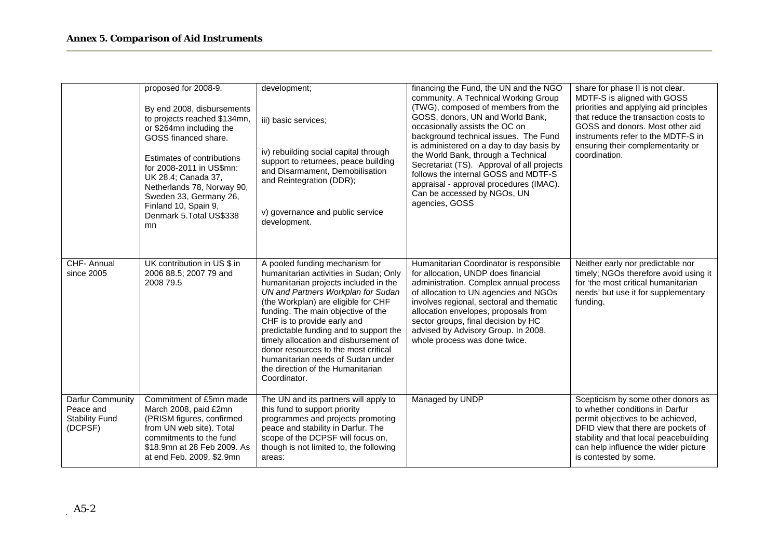|                                                                   | proposed for 2008-9.<br>By end 2008, disbursements<br>to projects reached \$134mn,<br>or \$264mn including the<br>GOSS financed share.<br>Estimates of contributions<br>for 2008-2011 in US\$mn:<br>UK 28.4; Canada 37,<br>Netherlands 78, Norway 90,<br>Sweden 33, Germany 26,<br>Finland 10, Spain 9,<br>Denmark 5. Total US\$338<br>mn. | development;<br>iii) basic services;<br>iv) rebuilding social capital through<br>support to returnees, peace building<br>and Disarmament, Demobilisation<br>and Reintegration (DDR);<br>v) governance and public service<br>development.                                                                                                                                                                                                                                                 | financing the Fund, the UN and the NGO<br>community. A Technical Working Group<br>(TWG), composed of members from the<br>GOSS, donors, UN and World Bank,<br>occasionally assists the OC on<br>background technical issues. The Fund<br>is administered on a day to day basis by<br>the World Bank, through a Technical<br>Secretariat (TS). Approval of all projects<br>follows the internal GOSS and MDTF-S<br>appraisal - approval procedures (IMAC).<br>Can be accessed by NGOs, UN<br>agencies, GOSS | share for phase II is not clear.<br>MDTF-S is aligned with GOSS<br>priorities and applying aid principles<br>that reduce the transaction costs to<br>GOSS and donors. Most other aid<br>instruments refer to the MDTF-S in<br>ensuring their complementarity or<br>coordination. |
|-------------------------------------------------------------------|--------------------------------------------------------------------------------------------------------------------------------------------------------------------------------------------------------------------------------------------------------------------------------------------------------------------------------------------|------------------------------------------------------------------------------------------------------------------------------------------------------------------------------------------------------------------------------------------------------------------------------------------------------------------------------------------------------------------------------------------------------------------------------------------------------------------------------------------|-----------------------------------------------------------------------------------------------------------------------------------------------------------------------------------------------------------------------------------------------------------------------------------------------------------------------------------------------------------------------------------------------------------------------------------------------------------------------------------------------------------|----------------------------------------------------------------------------------------------------------------------------------------------------------------------------------------------------------------------------------------------------------------------------------|
| CHF-Annual<br>since 2005                                          | UK contribution in US \$ in<br>2006 88.5; 2007 79 and<br>2008 79.5                                                                                                                                                                                                                                                                         | A pooled funding mechanism for<br>humanitarian activities in Sudan; Only<br>humanitarian projects included in the<br>UN and Partners Workplan for Sudan<br>(the Workplan) are eligible for CHF<br>funding. The main objective of the<br>CHF is to provide early and<br>predictable funding and to support the<br>timely allocation and disbursement of<br>donor resources to the most critical<br>humanitarian needs of Sudan under<br>the direction of the Humanitarian<br>Coordinator. | Humanitarian Coordinator is responsible<br>for allocation, UNDP does financial<br>administration. Complex annual process<br>of allocation to UN agencies and NGOs<br>involves regional, sectoral and thematic<br>allocation envelopes, proposals from<br>sector groups, final decision by HC<br>advised by Advisory Group. In 2008,<br>whole process was done twice.                                                                                                                                      | Neither early nor predictable nor<br>timely; NGOs therefore avoid using it<br>for 'the most critical humanitarian<br>needs' but use it for supplementary<br>funding.                                                                                                             |
| Darfur Community<br>Peace and<br><b>Stability Fund</b><br>(DCPSF) | Commitment of £5mn made<br>March 2008, paid £2mn<br>(PRISM figures, confirmed<br>from UN web site). Total<br>commitments to the fund<br>\$18.9mn at 28 Feb 2009. As<br>at end Feb. 2009, \$2.9mn                                                                                                                                           | The UN and its partners will apply to<br>this fund to support priority<br>programmes and projects promoting<br>peace and stability in Darfur. The<br>scope of the DCPSF will focus on,<br>though is not limited to, the following<br>areas:                                                                                                                                                                                                                                              | Managed by UNDP                                                                                                                                                                                                                                                                                                                                                                                                                                                                                           | Scepticism by some other donors as<br>to whether conditions in Darfur<br>permit objectives to be achieved,<br>DFID view that there are pockets of<br>stability and that local peacebuilding<br>can help influence the wider picture<br>is contested by some.                     |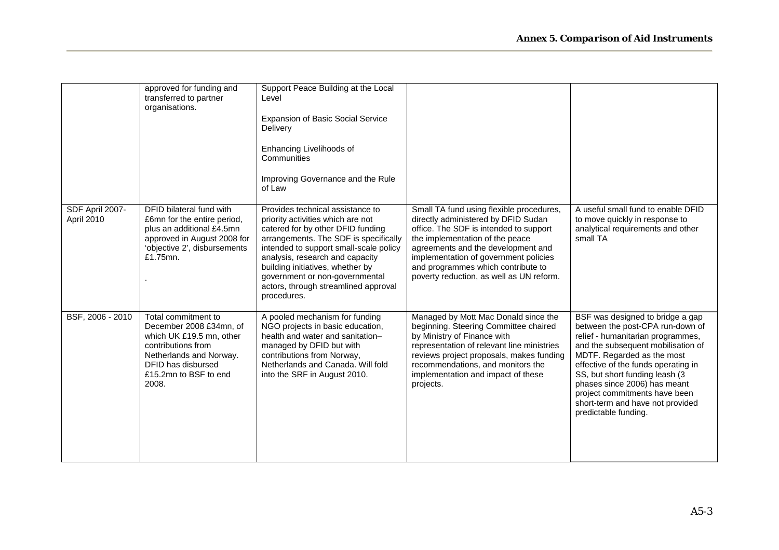|                               | approved for funding and<br>transferred to partner<br>organisations.                                                                                                                | Support Peace Building at the Local<br>Level<br><b>Expansion of Basic Social Service</b><br>Delivery<br>Enhancing Livelihoods of<br>Communities<br>Improving Governance and the Rule<br>of Law                                                                                                                                                                |                                                                                                                                                                                                                                                                                                                               |                                                                                                                                                                                                                                                                                                                                                                                      |
|-------------------------------|-------------------------------------------------------------------------------------------------------------------------------------------------------------------------------------|---------------------------------------------------------------------------------------------------------------------------------------------------------------------------------------------------------------------------------------------------------------------------------------------------------------------------------------------------------------|-------------------------------------------------------------------------------------------------------------------------------------------------------------------------------------------------------------------------------------------------------------------------------------------------------------------------------|--------------------------------------------------------------------------------------------------------------------------------------------------------------------------------------------------------------------------------------------------------------------------------------------------------------------------------------------------------------------------------------|
| SDF April 2007-<br>April 2010 | DFID bilateral fund with<br>£6mn for the entire period,<br>plus an additional £4.5mn<br>approved in August 2008 for<br>'objective 2', disbursements<br>£1.75mn.                     | Provides technical assistance to<br>priority activities which are not<br>catered for by other DFID funding<br>arrangements. The SDF is specifically<br>intended to support small-scale policy<br>analysis, research and capacity<br>building initiatives, whether by<br>government or non-governmental<br>actors, through streamlined approval<br>procedures. | Small TA fund using flexible procedures,<br>directly administered by DFID Sudan<br>office. The SDF is intended to support<br>the implementation of the peace<br>agreements and the development and<br>implementation of government policies<br>and programmes which contribute to<br>poverty reduction, as well as UN reform. | A useful small fund to enable DFID<br>to move quickly in response to<br>analytical requirements and other<br>small TA                                                                                                                                                                                                                                                                |
| BSF, 2006 - 2010              | Total commitment to<br>December 2008 £34mn, of<br>which UK £19.5 mn, other<br>contributions from<br>Netherlands and Norway.<br>DFID has disbursed<br>£15.2mn to BSF to end<br>2008. | A pooled mechanism for funding<br>NGO projects in basic education,<br>health and water and sanitation-<br>managed by DFID but with<br>contributions from Norway,<br>Netherlands and Canada. Will fold<br>into the SRF in August 2010.                                                                                                                         | Managed by Mott Mac Donald since the<br>beginning. Steering Committee chaired<br>by Ministry of Finance with<br>representation of relevant line ministries<br>reviews project proposals, makes funding<br>recommendations, and monitors the<br>implementation and impact of these<br>projects.                                | BSF was designed to bridge a gap<br>between the post-CPA run-down of<br>relief - humanitarian programmes,<br>and the subsequent mobilisation of<br>MDTF. Regarded as the most<br>effective of the funds operating in<br>SS, but short funding leash (3)<br>phases since 2006) has meant<br>project commitments have been<br>short-term and have not provided<br>predictable funding. |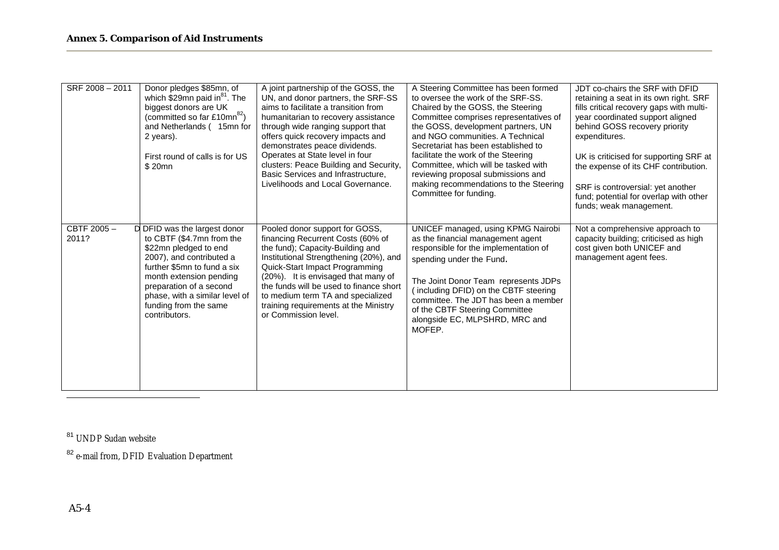| SRF 2008 - 2011     | Donor pledges \$85mn, of<br>which \$29mn paid in $^{81}$ . The<br>biggest donors are UK<br>(committed so far £10mn <sup>82</sup> )<br>and Netherlands (15mn for<br>2 years).<br>First round of calls is for US<br>\$20mn                                                        | A joint partnership of the GOSS, the<br>UN, and donor partners, the SRF-SS<br>aims to facilitate a transition from<br>humanitarian to recovery assistance<br>through wide ranging support that<br>offers quick recovery impacts and<br>demonstrates peace dividends.<br>Operates at State level in four<br>clusters: Peace Building and Security,<br>Basic Services and Infrastructure.<br>Livelihoods and Local Governance. | A Steering Committee has been formed<br>to oversee the work of the SRF-SS.<br>Chaired by the GOSS, the Steering<br>Committee comprises representatives of<br>the GOSS, development partners, UN<br>and NGO communities. A Technical<br>Secretariat has been established to<br>facilitate the work of the Steering<br>Committee, which will be tasked with<br>reviewing proposal submissions and<br>making recommendations to the Steering<br>Committee for funding. | JDT co-chairs the SRF with DFID<br>retaining a seat in its own right. SRF<br>fills critical recovery gaps with multi-<br>year coordinated support aligned<br>behind GOSS recovery priority<br>expenditures.<br>UK is criticised for supporting SRF at<br>the expense of its CHF contribution.<br>SRF is controversial: yet another<br>fund; potential for overlap with other<br>funds; weak management. |
|---------------------|---------------------------------------------------------------------------------------------------------------------------------------------------------------------------------------------------------------------------------------------------------------------------------|------------------------------------------------------------------------------------------------------------------------------------------------------------------------------------------------------------------------------------------------------------------------------------------------------------------------------------------------------------------------------------------------------------------------------|---------------------------------------------------------------------------------------------------------------------------------------------------------------------------------------------------------------------------------------------------------------------------------------------------------------------------------------------------------------------------------------------------------------------------------------------------------------------|---------------------------------------------------------------------------------------------------------------------------------------------------------------------------------------------------------------------------------------------------------------------------------------------------------------------------------------------------------------------------------------------------------|
| CBTF 2005-<br>2011? | D DFID was the largest donor<br>to CBTF (\$4.7mn from the<br>\$22mn pledged to end<br>2007), and contributed a<br>further \$5mn to fund a six<br>month extension pending<br>preparation of a second<br>phase, with a similar level of<br>funding from the same<br>contributors. | Pooled donor support for GOSS,<br>financing Recurrent Costs (60% of<br>the fund); Capacity-Building and<br>Institutional Strengthening (20%), and<br>Quick-Start Impact Programming<br>(20%). It is envisaged that many of<br>the funds will be used to finance short<br>to medium term TA and specialized<br>training requirements at the Ministry<br>or Commission level.                                                  | UNICEF managed, using KPMG Nairobi<br>as the financial management agent<br>responsible for the implementation of<br>spending under the Fund.<br>The Joint Donor Team represents JDPs<br>including DFID) on the CBTF steering<br>committee. The JDT has been a member<br>of the CBTF Steering Committee<br>alongside EC, MLPSHRD, MRC and<br>MOFEP.                                                                                                                  | Not a comprehensive approach to<br>capacity building; criticised as high<br>cost given both UNICEF and<br>management agent fees.                                                                                                                                                                                                                                                                        |

81 UNDP Sudan website

82 e-mail from, DFID Evaluation Department

 $\overline{a}$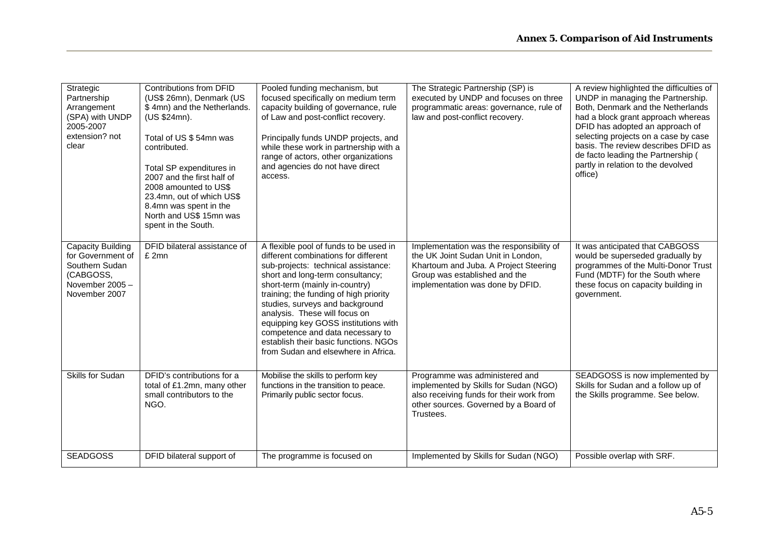| Strategic<br>Partnership<br>Arrangement<br>(SPA) with UNDP<br>2005-2007<br>extension? not<br>clear       | <b>Contributions from DFID</b><br>(US\$ 26mn), Denmark (US<br>\$4mn) and the Netherlands.<br>(US \$24mn).<br>Total of US \$ 54mn was<br>contributed.<br>Total SP expenditures in<br>2007 and the first half of<br>2008 amounted to US\$<br>23.4mn, out of which US\$<br>8.4mn was spent in the<br>North and US\$ 15mn was<br>spent in the South. | Pooled funding mechanism, but<br>focused specifically on medium term<br>capacity building of governance, rule<br>of Law and post-conflict recovery.<br>Principally funds UNDP projects, and<br>while these work in partnership with a<br>range of actors, other organizations<br>and agencies do not have direct<br>access.                                                                                                                                           | The Strategic Partnership (SP) is<br>executed by UNDP and focuses on three<br>programmatic areas: governance, rule of<br>law and post-conflict recovery.                                     | A review highlighted the difficulties of<br>UNDP in managing the Partnership.<br>Both, Denmark and the Netherlands<br>had a block grant approach whereas<br>DFID has adopted an approach of<br>selecting projects on a case by case<br>basis. The review describes DFID as<br>de facto leading the Partnership (<br>partly in relation to the devolved<br>office) |
|----------------------------------------------------------------------------------------------------------|--------------------------------------------------------------------------------------------------------------------------------------------------------------------------------------------------------------------------------------------------------------------------------------------------------------------------------------------------|-----------------------------------------------------------------------------------------------------------------------------------------------------------------------------------------------------------------------------------------------------------------------------------------------------------------------------------------------------------------------------------------------------------------------------------------------------------------------|----------------------------------------------------------------------------------------------------------------------------------------------------------------------------------------------|-------------------------------------------------------------------------------------------------------------------------------------------------------------------------------------------------------------------------------------------------------------------------------------------------------------------------------------------------------------------|
| Capacity Building<br>for Government of<br>Southern Sudan<br>(CABGOSS,<br>November 2005-<br>November 2007 | DFID bilateral assistance of<br>£ 2mn                                                                                                                                                                                                                                                                                                            | A flexible pool of funds to be used in<br>different combinations for different<br>sub-projects: technical assistance:<br>short and long-term consultancy;<br>short-term (mainly in-country)<br>training; the funding of high priority<br>studies, surveys and background<br>analysis. These will focus on<br>equipping key GOSS institutions with<br>competence and data necessary to<br>establish their basic functions. NGOs<br>from Sudan and elsewhere in Africa. | Implementation was the responsibility of<br>the UK Joint Sudan Unit in London,<br>Khartoum and Juba. A Project Steering<br>Group was established and the<br>implementation was done by DFID. | It was anticipated that CABGOSS<br>would be superseded gradually by<br>programmes of the Multi-Donor Trust<br>Fund (MDTF) for the South where<br>these focus on capacity building in<br>government.                                                                                                                                                               |
| Skills for Sudan                                                                                         | DFID's contributions for a<br>total of £1.2mn, many other<br>small contributors to the<br>NGO.                                                                                                                                                                                                                                                   | Mobilise the skills to perform key<br>functions in the transition to peace.<br>Primarily public sector focus.                                                                                                                                                                                                                                                                                                                                                         | Programme was administered and<br>implemented by Skills for Sudan (NGO)<br>also receiving funds for their work from<br>other sources. Governed by a Board of<br>Trustees.                    | SEADGOSS is now implemented by<br>Skills for Sudan and a follow up of<br>the Skills programme. See below.                                                                                                                                                                                                                                                         |
| <b>SEADGOSS</b>                                                                                          | DFID bilateral support of                                                                                                                                                                                                                                                                                                                        | The programme is focused on                                                                                                                                                                                                                                                                                                                                                                                                                                           | Implemented by Skills for Sudan (NGO)                                                                                                                                                        | Possible overlap with SRF.                                                                                                                                                                                                                                                                                                                                        |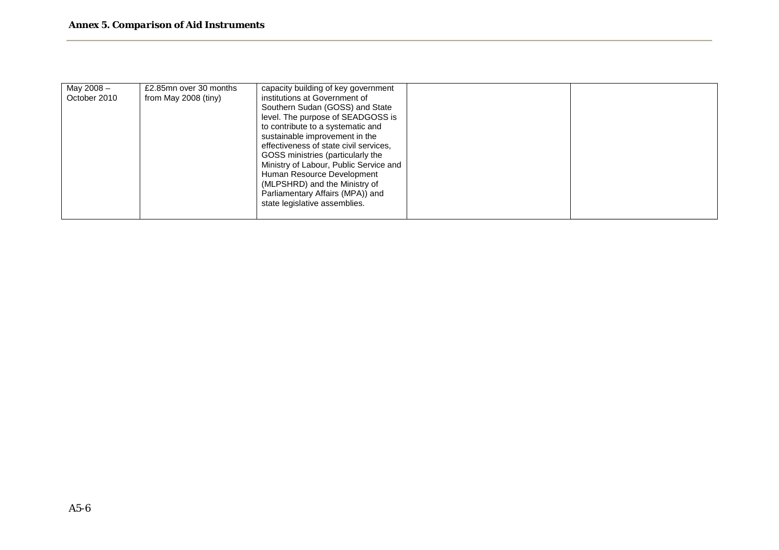| May 2008 -   | £2.85mn over 30 months | capacity building of key government    |  |
|--------------|------------------------|----------------------------------------|--|
| October 2010 | from May 2008 (tiny)   | institutions at Government of          |  |
|              |                        | Southern Sudan (GOSS) and State        |  |
|              |                        | level. The purpose of SEADGOSS is      |  |
|              |                        | to contribute to a systematic and      |  |
|              |                        | sustainable improvement in the         |  |
|              |                        | effectiveness of state civil services. |  |
|              |                        | GOSS ministries (particularly the      |  |
|              |                        | Ministry of Labour, Public Service and |  |
|              |                        | Human Resource Development             |  |
|              |                        | (MLPSHRD) and the Ministry of          |  |
|              |                        | Parliamentary Affairs (MPA)) and       |  |
|              |                        | state legislative assemblies.          |  |
|              |                        |                                        |  |